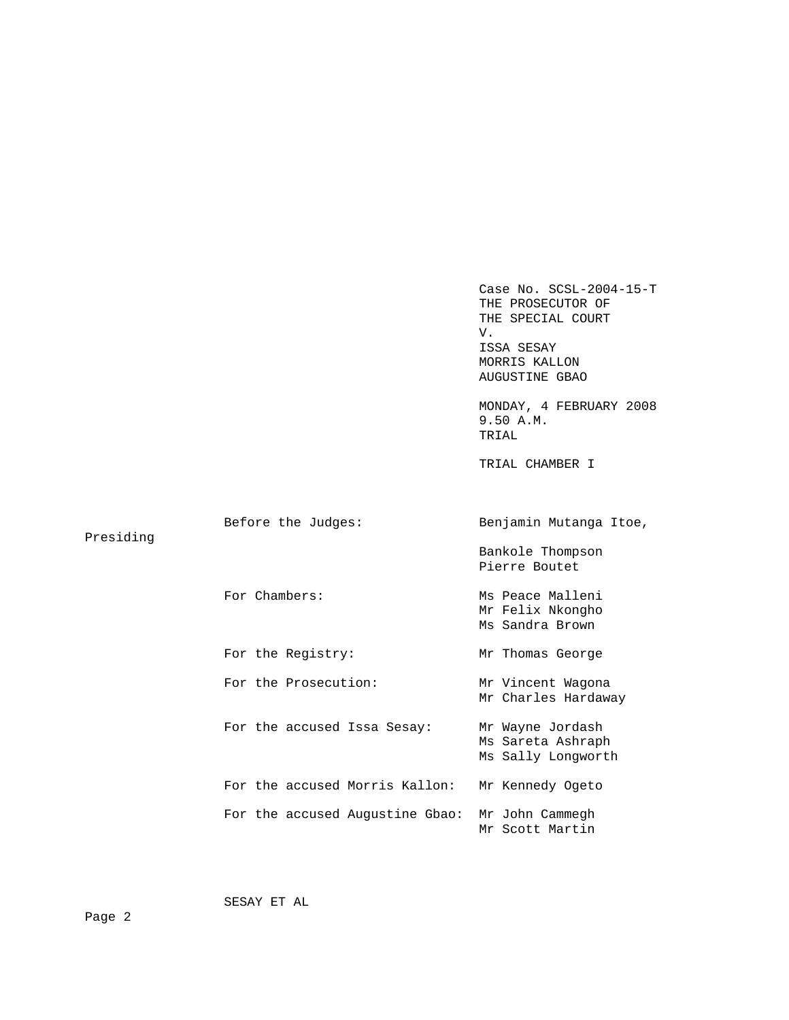Case No. SCSL-2004-15-T THE PROSECUTOR OF THE SPECIAL COURT V. ISSA SESAY MORRIS KALLON AUGUSTINE GBAO MONDAY, 4 FEBRUARY 2008 9.50 A.M. TRIAL TRIAL CHAMBER I Before the Judges: Benjamin Mutanga Itoe, Presiding Bankole Thompson Pierre Boutet For Chambers: Ms Peace Malleni Mr Felix Nkongho Ms Sandra Brown For the Registry: Mr Thomas George For the Prosecution: Mr Vincent Wagona Mr Charles Hardaway For the accused Issa Sesay: Mr Wayne Jordash Ms Sareta Ashraph Ms Sally Longworth For the accused Morris Kallon: Mr Kennedy Ogeto For the accused Augustine Gbao: Mr John Cammegh Mr Scott Martin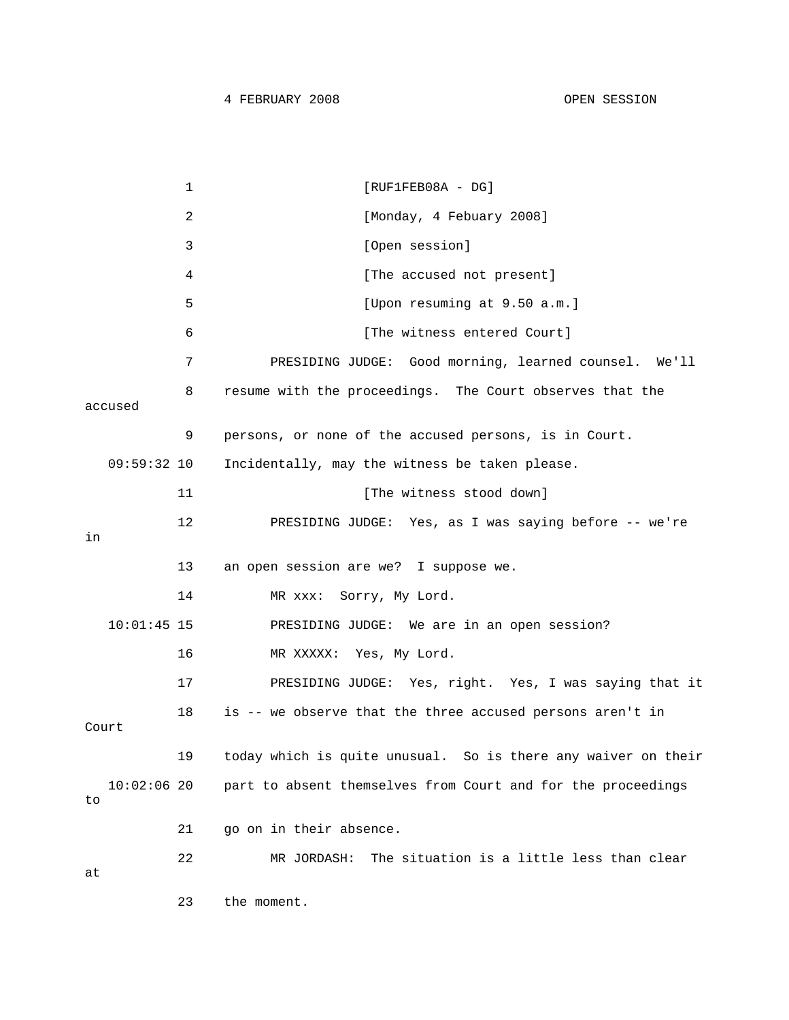```
1 [RUF1FEB08A - DG]
           2 [Monday, 4 Febuary 2008]
            3 [Open session] 
           4 1 [The accused not present]
           5 [Upon resuming at 9.50 a.m.] 
           6 [The witness entered Court]
            7 PRESIDING JUDGE: Good morning, learned counsel. We'll 
           8 resume with the proceedings. The Court observes that the 
accused 
            9 persons, or none of the accused persons, is in Court. 
   09:59:32 10 Incidentally, may the witness be taken please. 
          11 Intervalle The witness stood down
           12 PRESIDING JUDGE: Yes, as I was saying before -- we're 
in 
           13 an open session are we? I suppose we. 
          14 MR xxx: Sorry, My Lord.
   10:01:45 15 PRESIDING JUDGE: We are in an open session? 
           16 MR XXXXX: Yes, My Lord. 
           17 PRESIDING JUDGE: Yes, right. Yes, I was saying that it 
           18 is -- we observe that the three accused persons aren't in 
Court 
           19 today which is quite unusual. So is there any waiver on their 
   10:02:06 20 part to absent themselves from Court and for the proceedings 
to 
           21 go on in their absence. 
           22 MR JORDASH: The situation is a little less than clear 
at 
           23 the moment.
```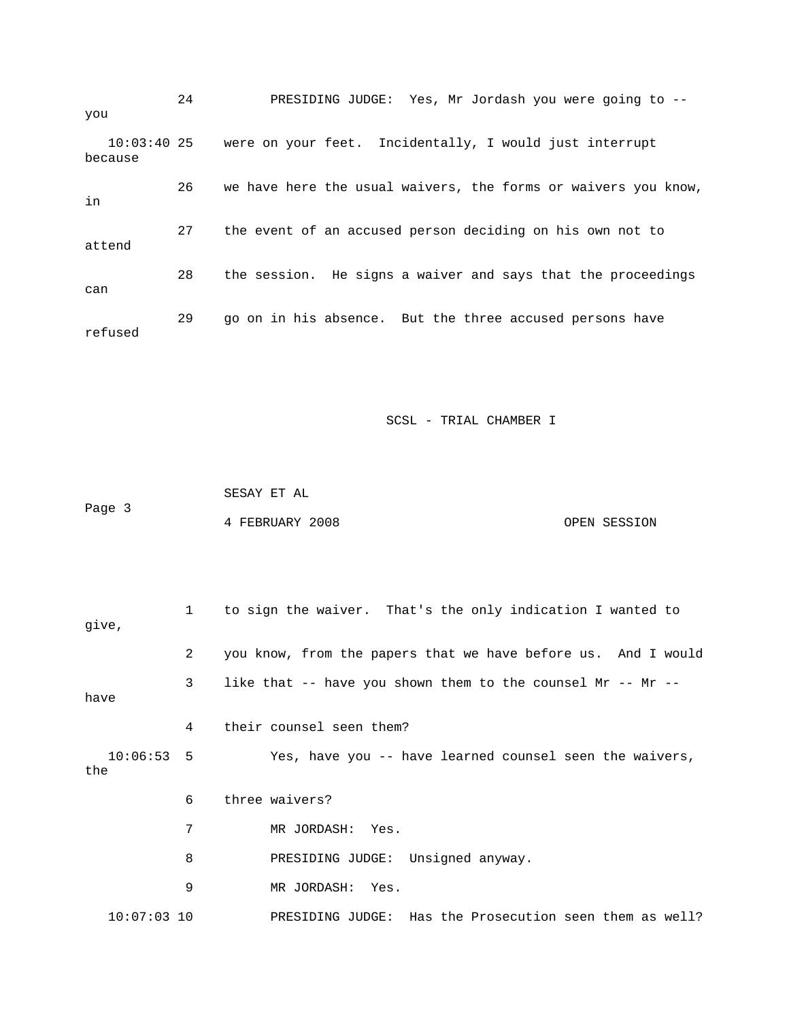24 PRESIDING JUDGE: Yes, Mr Jordash you were going to - you 10:03:40 25 were on your feet. Incidentally, I would just interrupt because 26 we have here the usual waivers, the forms or waivers you know, in 27 the event of an accused person deciding on his own not to attend 28 the session. He signs a waiver and says that the proceedings can 29 go on in his absence. But the three accused persons have refused

SCSL - TRIAL CHAMBER I

 SESAY ET AL Page 3 4 FEBRUARY 2008 OPEN SESSION

 1 to sign the waiver. That's the only indication I wanted to 2 you know, from the papers that we have before us. And I would 4 their counsel seen them? 10:06:53 5 Yes, have you -- have learned counsel seen the waivers, 6 three waivers? 7 MR JORDASH: Yes. 8 **PRESIDING JUDGE:** Unsigned anyway. 9 MR JORDASH: Yes. 10:07:03 10 PRESIDING JUDGE: Has the Prosecution seen them as well? give, 3 like that -- have you shown them to the counsel Mr -- Mr - have the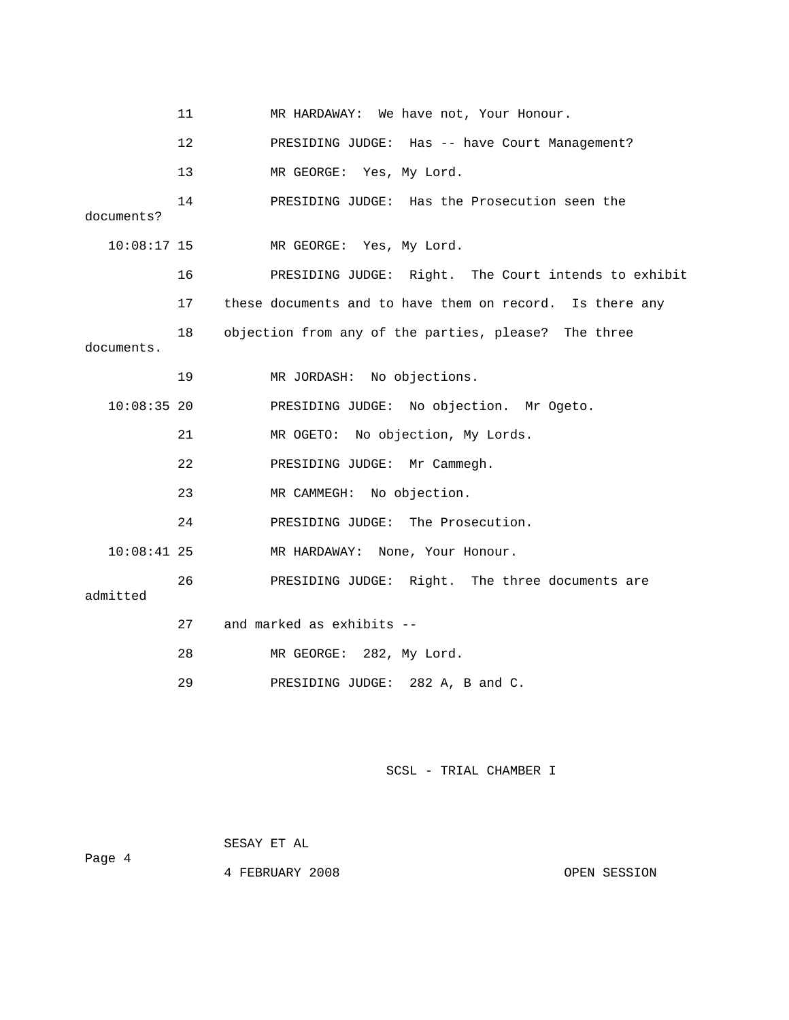|               | 11              | MR HARDAWAY: We have not, Your Honour.                   |
|---------------|-----------------|----------------------------------------------------------|
|               | 12 <sup>°</sup> | PRESIDING JUDGE: Has -- have Court Management?           |
|               | 13              | MR GEORGE: Yes, My Lord.                                 |
| documents?    | 14              | PRESIDING JUDGE: Has the Prosecution seen the            |
| $10:08:17$ 15 |                 | MR GEORGE: Yes, My Lord.                                 |
|               | 16              | PRESIDING JUDGE: Right. The Court intends to exhibit     |
|               | 17              | these documents and to have them on record. Is there any |
| documents.    | 18              | objection from any of the parties, please? The three     |
|               | 19              | MR JORDASH: No objections.                               |
| $10:08:35$ 20 |                 | PRESIDING JUDGE: No objection. Mr Ogeto.                 |
|               | 21              | MR OGETO: No objection, My Lords.                        |
|               | 22              | PRESIDING JUDGE: Mr Cammegh.                             |
|               | 23              | MR CAMMEGH: No objection.                                |
|               | 24              | PRESIDING JUDGE: The Prosecution.                        |
| $10:08:41$ 25 |                 | MR HARDAWAY: None, Your Honour.                          |
| admitted      | 26              | PRESIDING JUDGE: Right. The three documents are          |
|               | 27              | and marked as exhibits --                                |
|               | 28              | MR GEORGE: 282, My Lord.                                 |
|               | 29              | PRESIDING JUDGE:<br>282 A, B and C.                      |

SESAY ET AL

4 FEBRUARY 2008 OPEN SESSION

Page 4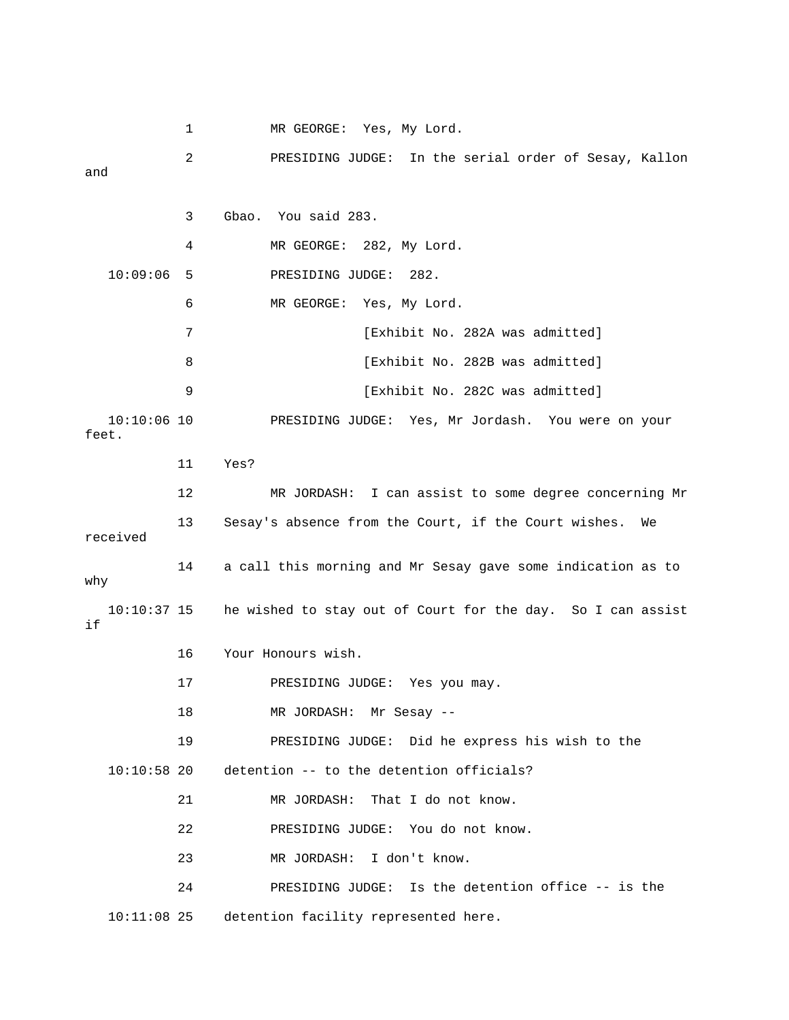1 MR GEORGE: Yes, My Lord. 3 Gbao. You said 283. 4 MR GEORGE: 282, My Lord. . 6 MR GEORGE: Yes, My Lord 7 **12A Exhibit No. 282A was admitted**] on your 10:10:06 10 PRESIDING JUDGE: Yes, Mr Jordash. You were feet. 11 Yes? MR JORDASH: I can assist to some degree concerning Mr received 14 a call this morning and Mr Sesay gave some indication as to why he wished to stay out of Court for the day. So I can assist 16 Your Honours wish. 17 PRESIDING JUDGE: Yes you may. 19 PRESIDING JUDGE: Did he express his wish to the 24 PRESIDING JUDGE: Is the detention office -- is the 2 PRESIDING JUDGE: In the serial order of Sesay, Kallon and 10:09:06 5 PRESIDING JUDGE: 282. 8 [Exhibit No. 282B was admitted] 9 **Exhibit No. 282C was admitted**] 12 13 Sesay's absence from the Court, if the Court wishes. We  $10:10:37$  15 if 18 MR JORDASH: Mr Sesay -- 10:10:58 20 detention -- to the detention officials? 21 MR JORDASH: That I do not know. 22 PRESIDING JUDGE: You do not know. 23 MR JORDASH: I don't know. 10:11:08 25 detention facility represented here.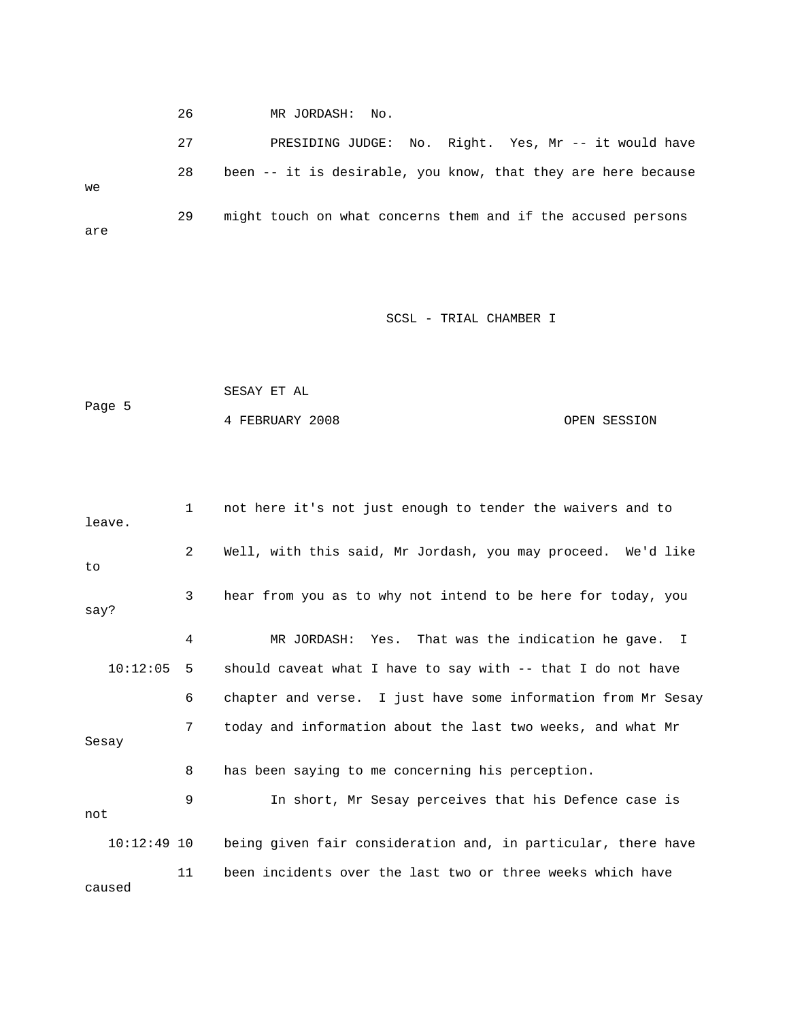26 MR JORDASH: No.

 27 PRESIDING JUDGE: No. Right. Yes, Mr -- it would have 29 might touch on what concerns them and if the accused persons are 28 been -- it is desirable, you know, that they are here because we

# SCSL - TRIAL CHAMBER I

|        | SESAY ET AL     |              |
|--------|-----------------|--------------|
| Page 5 |                 |              |
|        | 4 FEBRUARY 2008 | OPEN SESSION |

| leave.        | $\mathbf{1}$ | not here it's not just enough to tender the waivers and to     |
|---------------|--------------|----------------------------------------------------------------|
| to            | $\mathbf{2}$ | Well, with this said, Mr Jordash, you may proceed. We'd like   |
| say?          | 3            | hear from you as to why not intend to be here for today, you   |
|               | 4            | MR JORDASH: Yes. That was the indication he gave. I            |
| 10:12:05      | 5            | should caveat what I have to say with $-$ - that I do not have |
|               | 6            | chapter and verse. I just have some information from Mr Sesay  |
| Sesay         | 7            | today and information about the last two weeks, and what Mr    |
|               | 8            | has been saying to me concerning his perception.               |
| not           | 9            | In short, Mr Sesay perceives that his Defence case is          |
| $10:12:49$ 10 |              | being given fair consideration and, in particular, there have  |
| caused        | 11           | been incidents over the last two or three weeks which have     |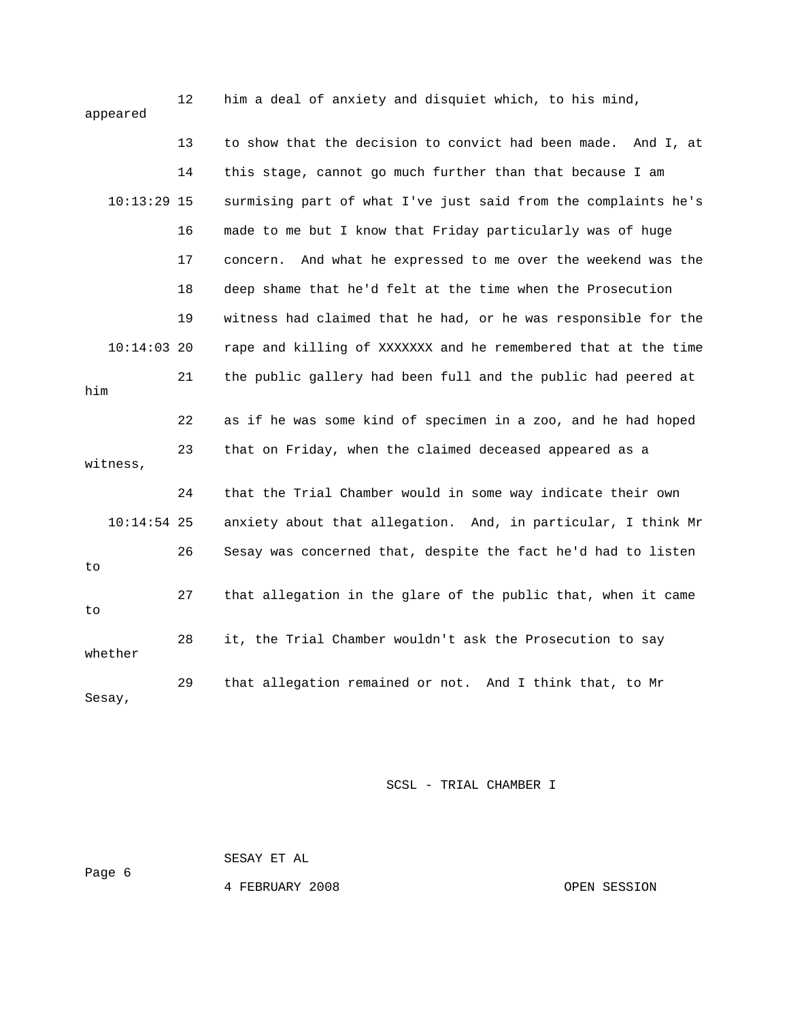| appeared      | 12 | him a deal of anxiety and disquiet which, to his mind,           |
|---------------|----|------------------------------------------------------------------|
|               | 13 | to show that the decision to convict had been made. And I, at    |
|               | 14 | this stage, cannot go much further than that because I am        |
| $10:13:29$ 15 |    | surmising part of what I've just said from the complaints he's   |
|               | 16 | made to me but I know that Friday particularly was of huge       |
|               | 17 | And what he expressed to me over the weekend was the<br>concern. |
|               | 18 | deep shame that he'd felt at the time when the Prosecution       |
|               | 19 | witness had claimed that he had, or he was responsible for the   |
| $10:14:03$ 20 |    | rape and killing of XXXXXXX and he remembered that at the time   |
| him           | 21 | the public gallery had been full and the public had peered at    |
|               | 22 | as if he was some kind of specimen in a zoo, and he had hoped    |
| witness,      | 23 | that on Friday, when the claimed deceased appeared as a          |
|               | 24 | that the Trial Chamber would in some way indicate their own      |
| $10:14:54$ 25 |    | anxiety about that allegation. And, in particular, I think Mr    |
| to            | 26 | Sesay was concerned that, despite the fact he'd had to listen    |
| to            | 27 | that allegation in the glare of the public that, when it came    |
| whether       | 28 | it, the Trial Chamber wouldn't ask the Prosecution to say        |
| Sesay,        | 29 | that allegation remained or not. And I think that, to Mr         |

 SESAY ET AL Page 6

4 FEBRUARY 2008 OPEN SESSION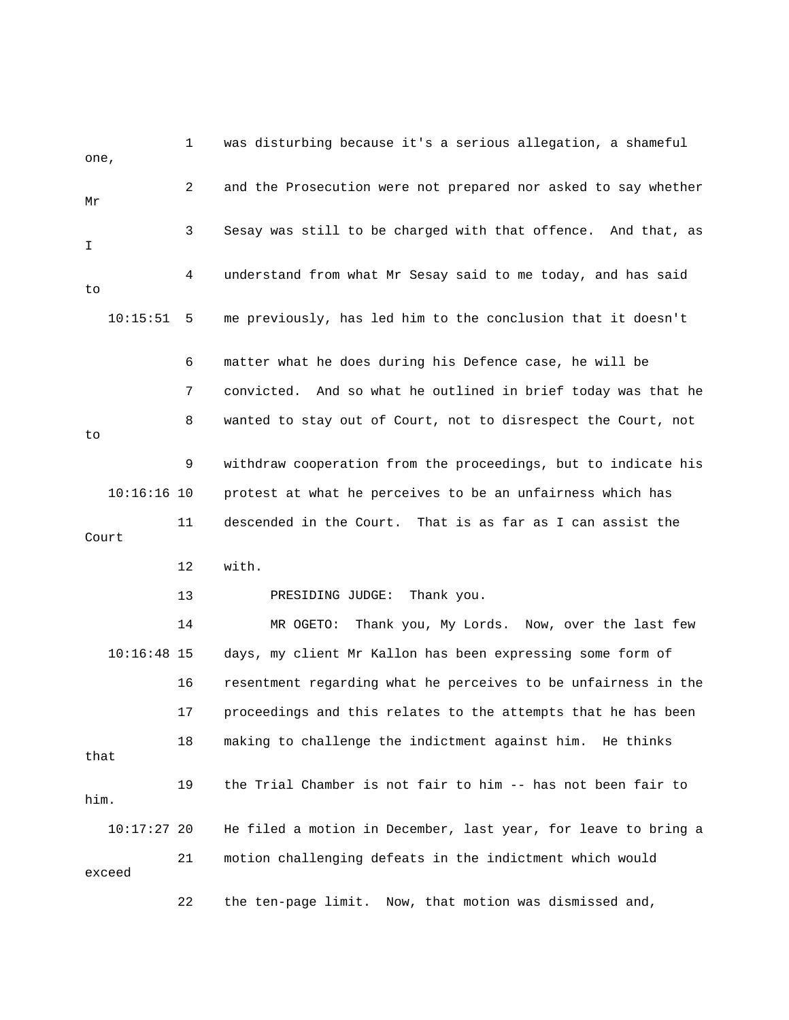1 was disturbing because it's a serious allegation, a shameful 2 and the Prosecution were not prepared nor asked to say whether 3 Sesay was still to be charged with that offence. And that, as 4 understand from what Mr Sesay said to me today, and has said 10:15:51 5 me previously, has led him to the conclusion that it doesn't 6 matter what he does during his Defence case, he will be 7 convicted. And so what he outlined in brief today was that he 10:16:16 10 protest at what he perceives to be an unfairness which has 11 descended in the Court. That is as far as I can assist the 12 with. PRESIDING JUDGE: Thank you. 14 MR OGETO: Thank you, My Lords. Now, over the last few 10:16:48 15 days, my client Mr Kallon has been expressing some form of 16 Fesentment regarding what he perceives to be unfairness in the 17 proceedings and this relates to the attempts that he has been 18 making to challenge the indictment against him. He thinks 19 the Trial Chamber is not fair to him -- has not been fair to 10:17:27 20 He filed a motion in December, last year, for leave to bring a 22 the ten-page limit. Now, that motion was dismissed and, one, Mr I to 8 wanted to stay out of Court, not to disrespect the Court, not to 9 withdraw cooperation from the proceedings, but to indicate his Court 13 that him. 21 motion challenging defeats in the indictment which would exceed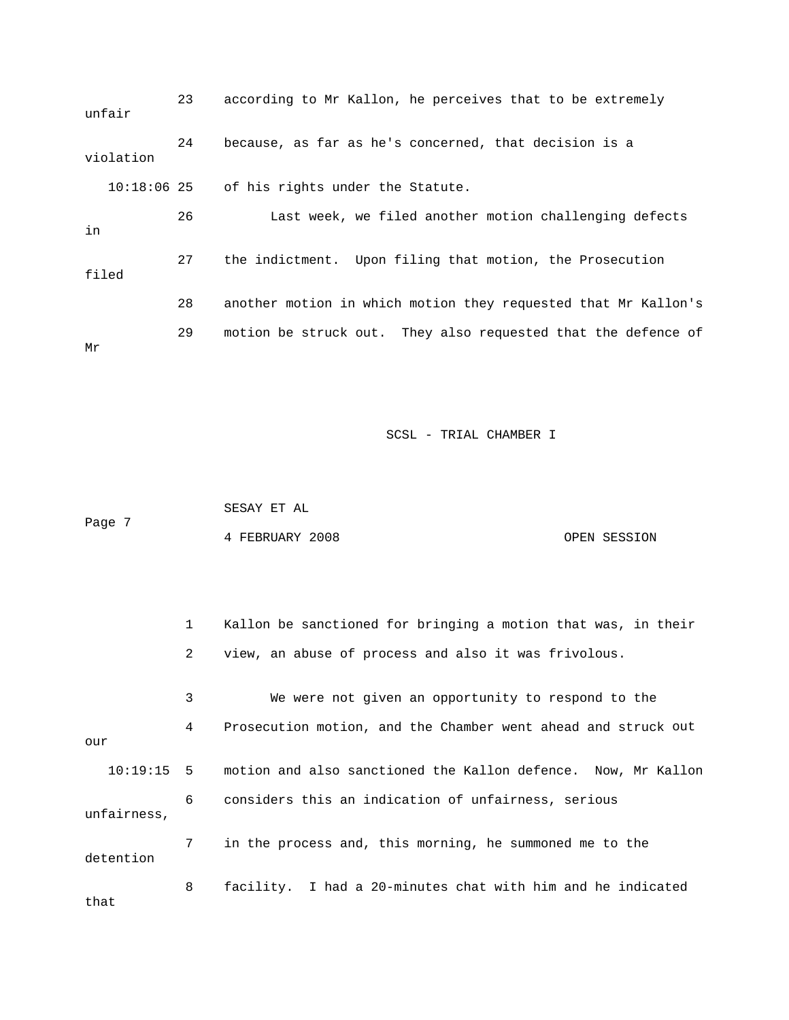23 according to Mr Kallon, he perceives that to be extremely 24 because, as far as he's concerned, that decision is a 10:18:06 25 of his rights under the Statute. 26 Last week, we filed another motion challenging defects 27 the indictment. Upon filing that motion, the Prosecution 28 another motion in which motion they requested that Mr Kallon's unfair violation in filed 29 motion be struck out. They also requested that the defence of Mr

SCSL - TRIAL CHAMBER I

 SESAY ET AL 4 FEBRUARY 2008 OPEN SESSION Page 7

 1 Kallon be sanctioned for bringing a motion that was, in their 2 view, an abuse of process and also it was frivolous. 3 We were not given an opportunity to respond to the 4 Prosecution motion, and the Chamber went ahead and struck out motion and also sanctioned the Kallon defence. Now, Mr Kallon 6 considers this an indication of unfairness, serious unfairness, 7 in the process and, this morning, he summoned me to the 8 facility. I had a 20-minutes chat with him and he indicated our  $10:19:15$  5 detention that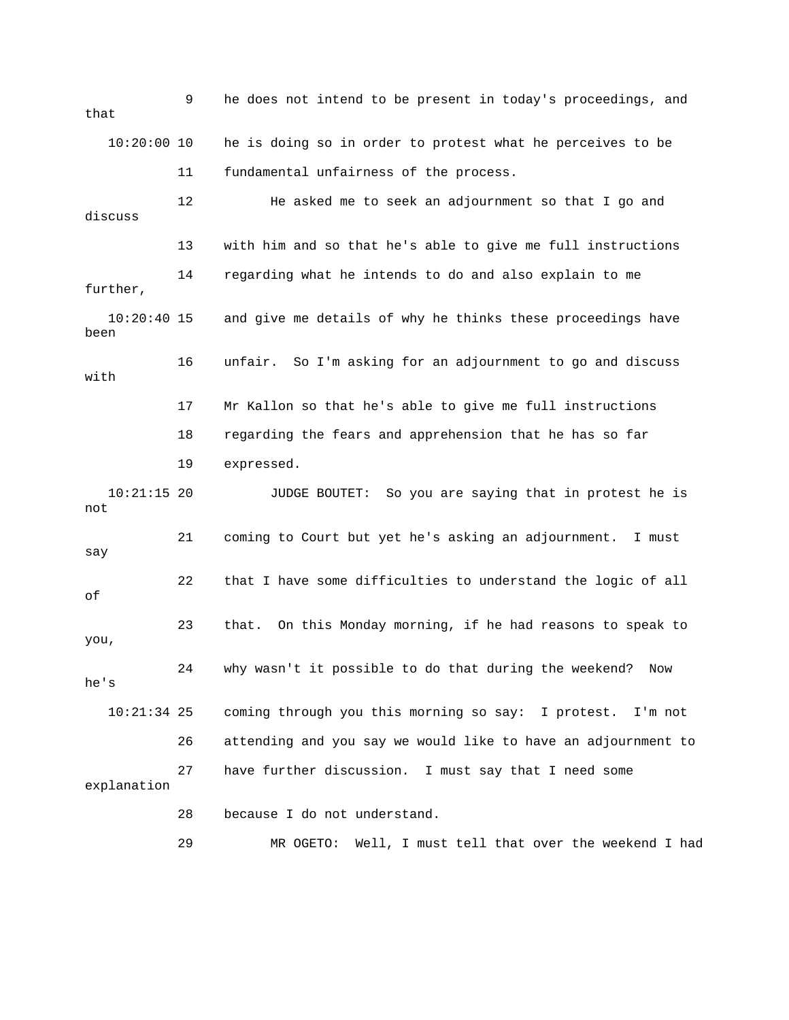9 he does not intend to be present in today's proceedings, and that 10:20:00 10 he is doing so in order to protest what he perceives to be 11 fundamental unfairness of the process. t so that I go and 12 He asked me to seek an adjournmen 14 regarding what he intends to do and also explain to me  $10:20:40$  15 and give me details of why he thinks these proceedings have 18 regarding the fears and apprehension that he has so far 10:21:15 20 JUDGE BOUTET: So you are saying that in protest he is 26 attending and you say we would like to have an adjournment to 29 MR OGETO: Well, I must tell that over the weekend I had discuss 13 with him and so that he's able to give me full instructions further, been 16 unfair. So I'm asking for an adjournment to go and discuss with 17 Mr Kallon so that he's able to give me full instructions 19 expressed. not 21 coming to Court but yet he's asking an adjournment. I must say 22 that I have some difficulties to understand the logic of all of 23 that. On this Monday morning, if he had reasons to speak to you, 24 why wasn't it possible to do that during the weekend? Now he's 10:21:34 25 coming through you this morning so say: I protest. I'm not 27 have further discussion. I must say that I need some explanation 28 because I do not understand.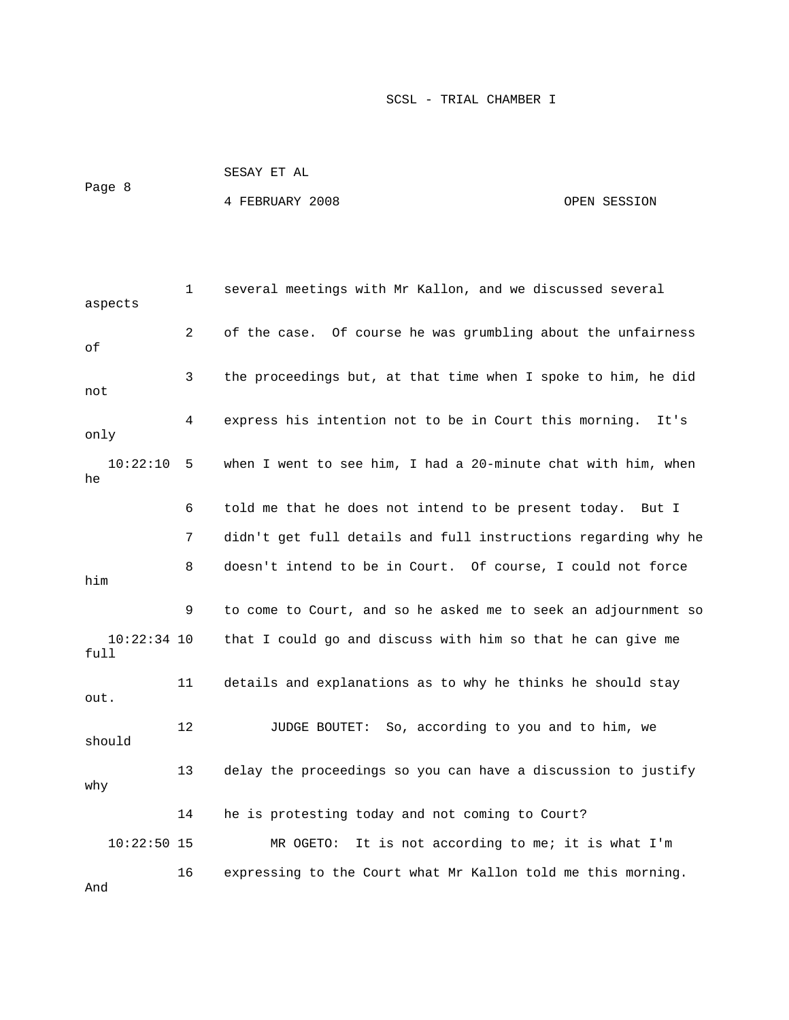| Page 8 | SESAY ET AL     |              |
|--------|-----------------|--------------|
|        | 4 FEBRUARY 2008 | OPEN SESSION |

 1 several meetings with Mr Kallon, and we discussed several aspects 2 of the case. Of course he was grumbling about the unfairness 7 didn't get full details and full instructions regarding why he 8 doesn't intend to be in Court. Of course, I could not force that I could go and discuss with him so that he can give me 13 delay the proceedings so you can have a discussion to justify 10:22:50 15 MR OGETO: It is not according to me; it is what I'm . 16 expressing to the Court what Mr Kallon told me this morning of 3 the proceedings but, at that time when I spoke to him, he did not 4 express his intention not to be in Court this morning. It's only 10:22:10 5 when I went to see him, I had a 20-minute chat with him, when he 6 told me that he does not intend to be present today. But I him 9 to come to Court, and so he asked me to seek an adjournment so  $10:22:34$  10 full 11 details and explanations as to why he thinks he should stay out. 12 **JUDGE BOUTET:** So, according to you and to him, we should why 14 he is protesting today and not coming to Court? And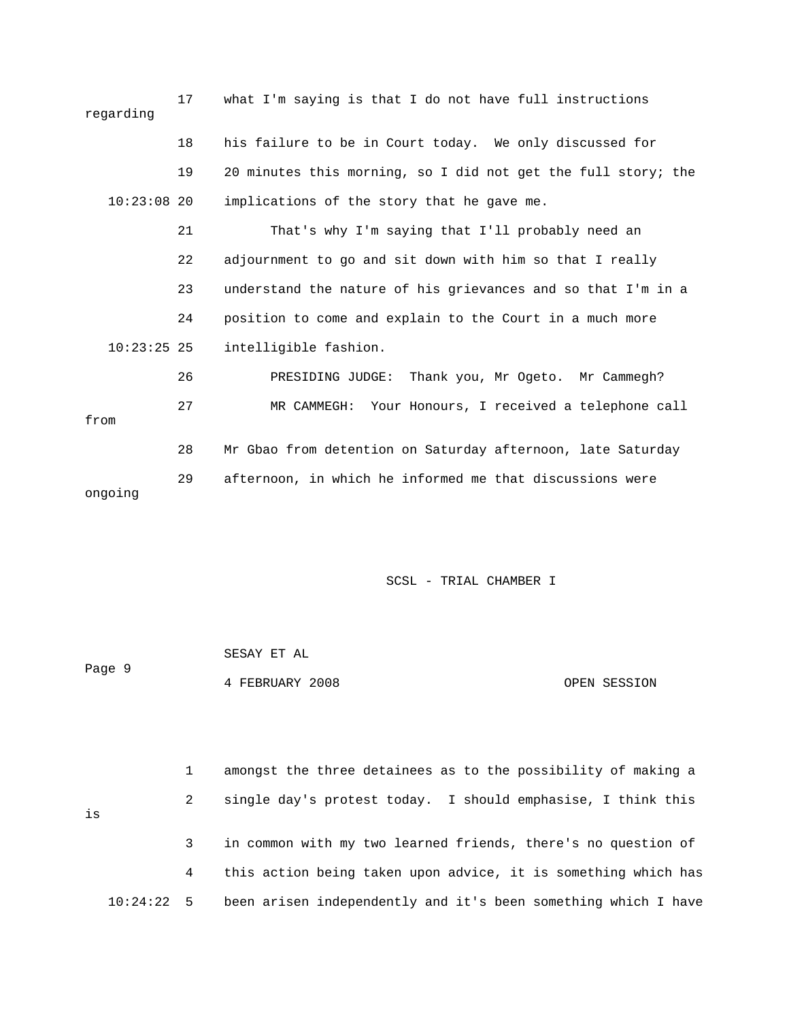| regarding     | 17 | what I'm saying is that I do not have full instructions       |
|---------------|----|---------------------------------------------------------------|
|               | 18 | his failure to be in Court today. We only discussed for       |
|               | 19 | 20 minutes this morning, so I did not get the full story; the |
| $10:23:08$ 20 |    | implications of the story that he gave me.                    |
|               | 21 | That's why I'm saying that I'll probably need an              |
|               | 22 | adjournment to go and sit down with him so that I really      |
|               | 23 | understand the nature of his grievances and so that I'm in a  |
|               | 24 | position to come and explain to the Court in a much more      |
| $10:23:25$ 25 |    | intelligible fashion.                                         |
|               | 26 | PRESIDING JUDGE: Thank you, Mr Ogeto. Mr Cammegh?             |
| from          | 27 | MR CAMMEGH: Your Honours, I received a telephone call         |
|               | 28 | Mr Gbao from detention on Saturday afternoon, late Saturday   |
| ongoing       | 29 | afternoon, in which he informed me that discussions were      |

|        | SESAY ET AL     |              |
|--------|-----------------|--------------|
| Page 9 |                 |              |
|        | 4 FEBRUARY 2008 | OPEN SESSION |

 1 amongst the three detainees as to the possibility of making a 2 single day's protest today. I should emphasise, I think this is 3 in common with my two learned friends, there's no question of 4 this action being taken upon advice, it is something which has 10:24:22 5 been arisen independently and it's been something which I have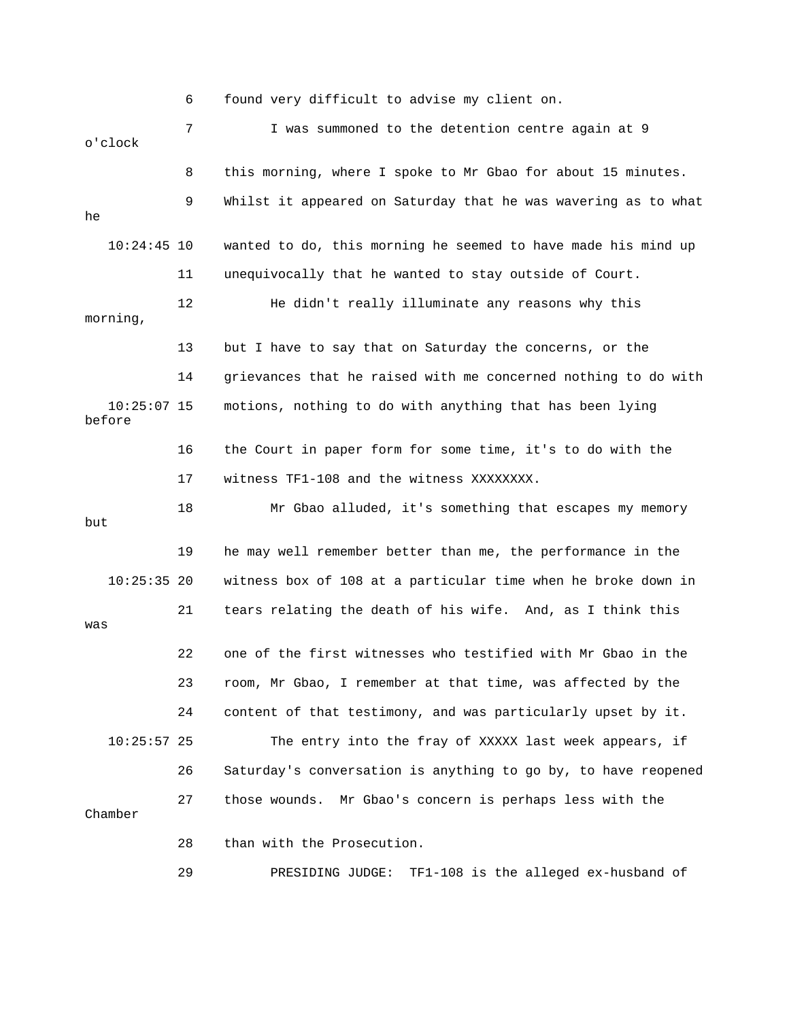6 found very difficult to advise my client on. 7 I was summoned to the detention centre again at 9 8 this morning, where I spoke to Mr Gbao for about 15 minutes. 9 Whilst it appeared on Saturday that he was wavering as to what 11 unequivocally that he wanted to stay outside of Court. 12 He didn't really illuminate any reasons why this 14 grievances that he raised with me concerned nothing to do with 10:25:07 15 motions, nothing to do with anything that has been lying 17 witness TF1-108 and the witness XXXXXXXX. 18 Mr Gbao alluded, it's something that escapes my memory 10:25:35 20 witness box of 108 at a particular time when he broke down in 21 tears relating the death of his wife. And, as I think this 23 room, Mr Gbao, I remember at that time, was affected by the 24 content of that testimony, and was particularly upset by it. 10:25:57 25 The entry into the fray of XXXXX last week appears, if 26 Saturday's conversation is anything to go by, to have reopened 27 those wounds. Mr Gbao's concern is perhaps less with the 29 PRESIDING JUDGE: TF1-108 is the alleged ex-husband of o'clock he 10:24:45 10 wanted to do, this morning he seemed to have made his mind up morning, 13 but I have to say that on Saturday the concerns, or the before 16 the Court in paper form for some time, it's to do with the but 19 he may well remember better than me, the performance in the was 22 one of the first witnesses who testified with Mr Gbao in the Chamber 28 than with the Prosecution.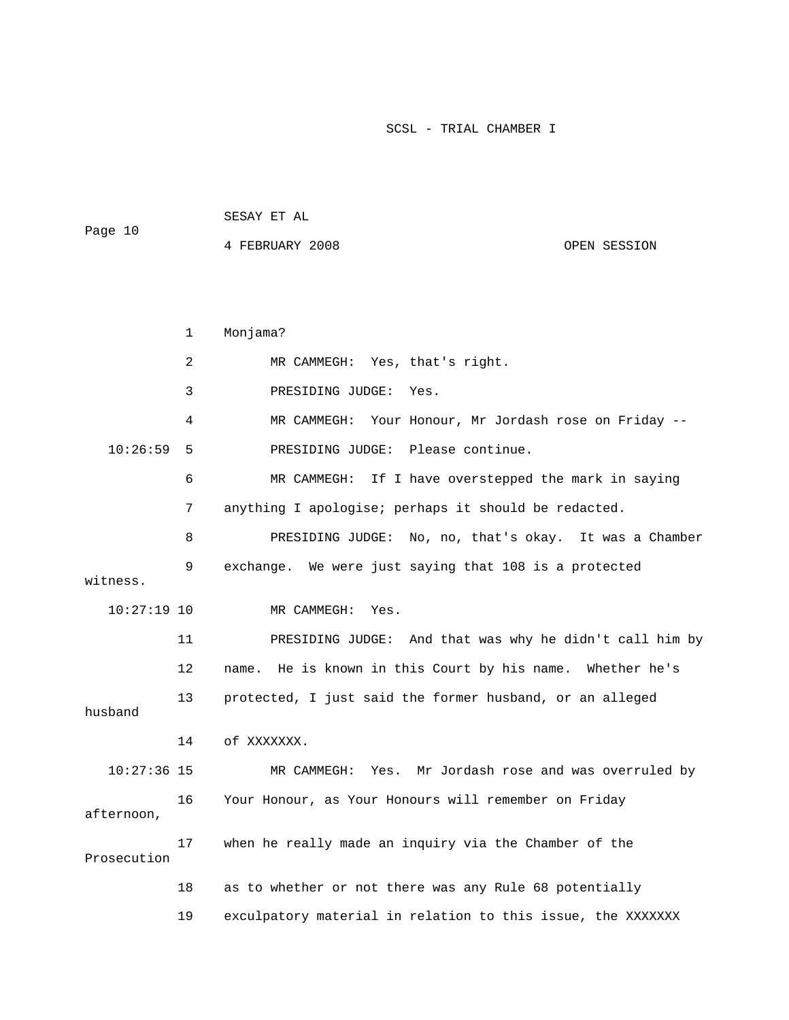| Page 10 | SESAY ET AL     |              |  |
|---------|-----------------|--------------|--|
|         | 4 FEBRUARY 2008 | OPEN SESSION |  |
|         |                 |              |  |

|               | 1  | Monjama?                                                        |
|---------------|----|-----------------------------------------------------------------|
|               | 2  | MR CAMMEGH: Yes, that's right.                                  |
|               | 3  | PRESIDING JUDGE:<br>Yes.                                        |
|               | 4  | MR CAMMEGH: Your Honour, Mr Jordash rose on Friday --           |
| 10:26:59      | 5  | PRESIDING JUDGE: Please continue.                               |
|               | 6  | MR CAMMEGH:<br>If I have overstepped the mark in saying         |
|               | 7  | anything I apologise; perhaps it should be redacted.            |
|               | 8  | PRESIDING JUDGE: No, no, that's okay. It was a Chamber          |
| witness.      | 9  | exchange. We were just saying that 108 is a protected           |
| $10:27:19$ 10 |    | MR CAMMEGH:<br>Yes.                                             |
|               | 11 | PRESIDING JUDGE: And that was why he didn't call him by         |
|               | 12 | He is known in this Court by his name.<br>Whether he's<br>name. |
| husband       | 13 | protected, I just said the former husband, or an alleged        |
|               | 14 | of XXXXXXX.                                                     |
| $10:27:36$ 15 |    | Yes. Mr Jordash rose and was overruled by<br>MR CAMMEGH:        |
| afternoon,    | 16 | Your Honour, as Your Honours will remember on Friday            |
| Prosecution   | 17 | when he really made an inquiry via the Chamber of the           |
|               | 18 | as to whether or not there was any Rule 68 potentially          |
|               | 19 | exculpatory material in relation to this issue, the XXXXXXX     |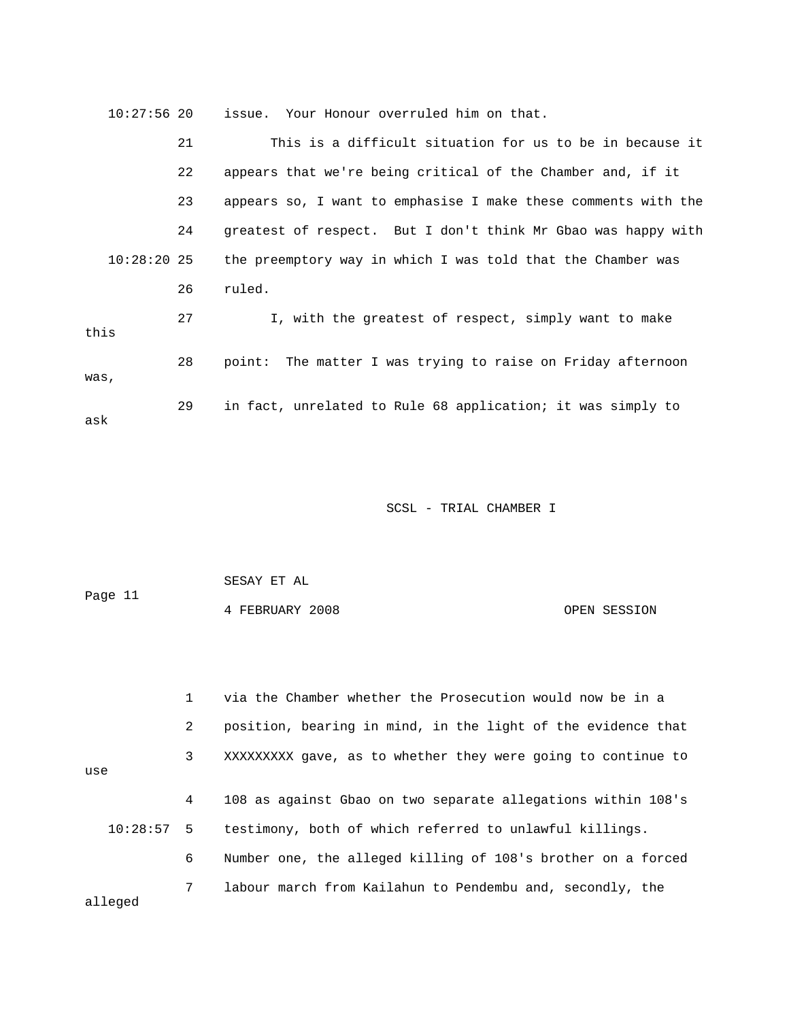| $10:27:56$ 20 |    | issue. Your Honour overruled him on that.                      |
|---------------|----|----------------------------------------------------------------|
|               | 21 | This is a difficult situation for us to be in because it       |
|               | 22 | appears that we're being critical of the Chamber and, if it    |
|               | 23 | appears so, I want to emphasise I make these comments with the |
|               | 24 | greatest of respect. But I don't think Mr Gbao was happy with  |
| $10:28:20$ 25 |    | the preemptory way in which I was told that the Chamber was    |
|               | 26 | ruled.                                                         |
| this          | 27 | I, with the greatest of respect, simply want to make           |
| was,          | 28 | point: The matter I was trying to raise on Friday afternoon    |
| ask           | 29 | in fact, unrelated to Rule 68 application; it was simply to    |

| Page 11 | SESAY ET AL     |              |  |  |  |
|---------|-----------------|--------------|--|--|--|
|         | 4 FEBRUARY 2008 | OPEN SESSION |  |  |  |
|         |                 |              |  |  |  |
|         |                 |              |  |  |  |
|         |                 |              |  |  |  |

 1 via the Chamber whether the Prosecution would now be in a 2 position, bearing in mind, in the light of the evidence that 3 XXXXXXXXX gave, as to whether they were going to continue to 4 108 as against Gbao on two separate allegations within 108's testimony, both of which referred to unlawful killings. use  $10:28:57$  5 6 Number one, the alleged killing of 108's brother on a forced 7 labour march from Kailahun to Pendembu and, secondly, the alleged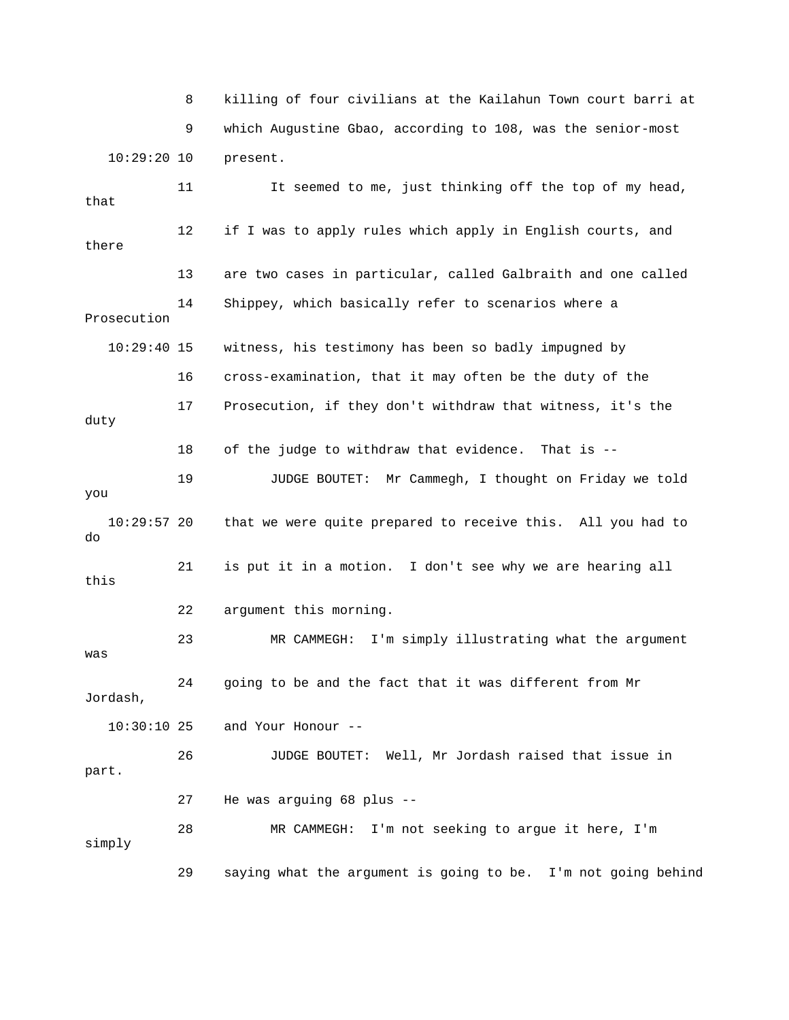8 killing of four civilians at the Kailahun Town court barri at 9 which Augustine Gbao, according to 108, was the senior-most 10:29:20 10 present.

 12 if I was to apply rules which apply in English courts, and 13 are two cases in particular, called Galbraith and one called 14 Shippey, which basically refer to scenarios where a Prosecution 10:29:40 15 witness, his testimony has been so badly impugned by 6 cross-examination, that it may often be the duty of the 17 Prosecution, if they don't withdraw that witness, it's the 18 of the judge to withdraw that evidence. That is -- 19 JUDGE BOUTET: Mr Cammegh, I thought on Friday we told you 10:29:57 20 that we were quite prepared to receive this. All you had to 21 is put it in a motion. I don't see why we are hearing all 22 argument this morning. 23 MR CAMMEGH: I'm simply illustrating what the argument was 24 going to be and the fact that it was different from Mr and Your Honour -- 26 JUDGE BOUTET: Well, Mr Jordash raised that issue in 27 He was arguing 68 plus -- 28 MR CAMMEGH: I'm not seeking to argue it here, I'm simply 29 saying what the argument is going to be. I'm not going behind 11 It seemed to me, just thinking off the top of my head, that there 1 duty do this Jordash,  $10:30:10$  25 part.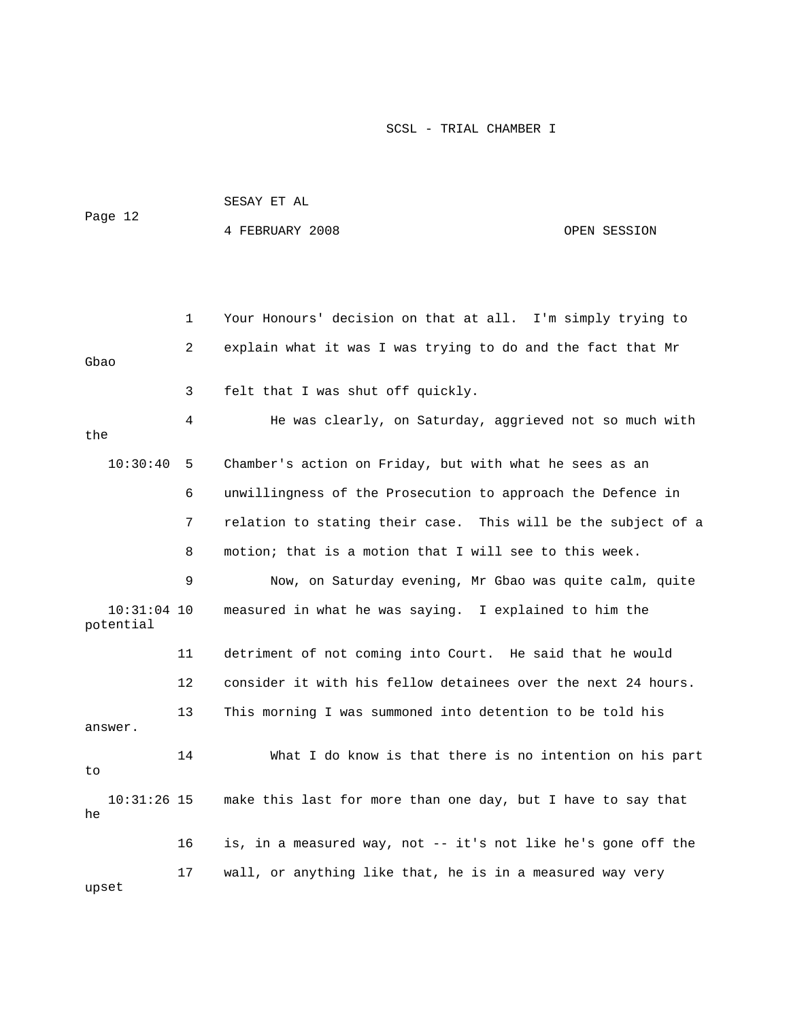|         | SESAY ET AL     |              |  |
|---------|-----------------|--------------|--|
| Page 12 | 4 FEBRUARY 2008 | OPEN SESSION |  |
|         |                 |              |  |

 1 Your Honours' decision on that at all. I'm simply trying to 2 explain what it was I was trying to do and the fact that Mr Gbao 3 felt that I was shut off quickly. 4 He was clearly, on Saturday, aggrieved not so much with the 6 unwillingness of the Prosecution to approach the Defence in 7 relation to stating their case. This will be the subject of a potential 11 detriment of not coming into Court. He said that he would 12 consider it with his fellow detainees over the next 24 hours. 14 What I do know is that there is no intention on his part 10:31:26 15 make this last for more than one day, but I have to say that 16 is, in a measured way, not -- it's not like he's gone off the 17 wall, or anything like that, he is in a measured way very upset 10:30:40 5 Chamber's action on Friday, but with what he sees as an 8 motion; that is a motion that I will see to this week. 9 Now, on Saturday evening, Mr Gbao was quite calm, quite 10:31:04 10 measured in what he was saying. I explained to him the 13 This morning I was summoned into detention to be told his answer. to he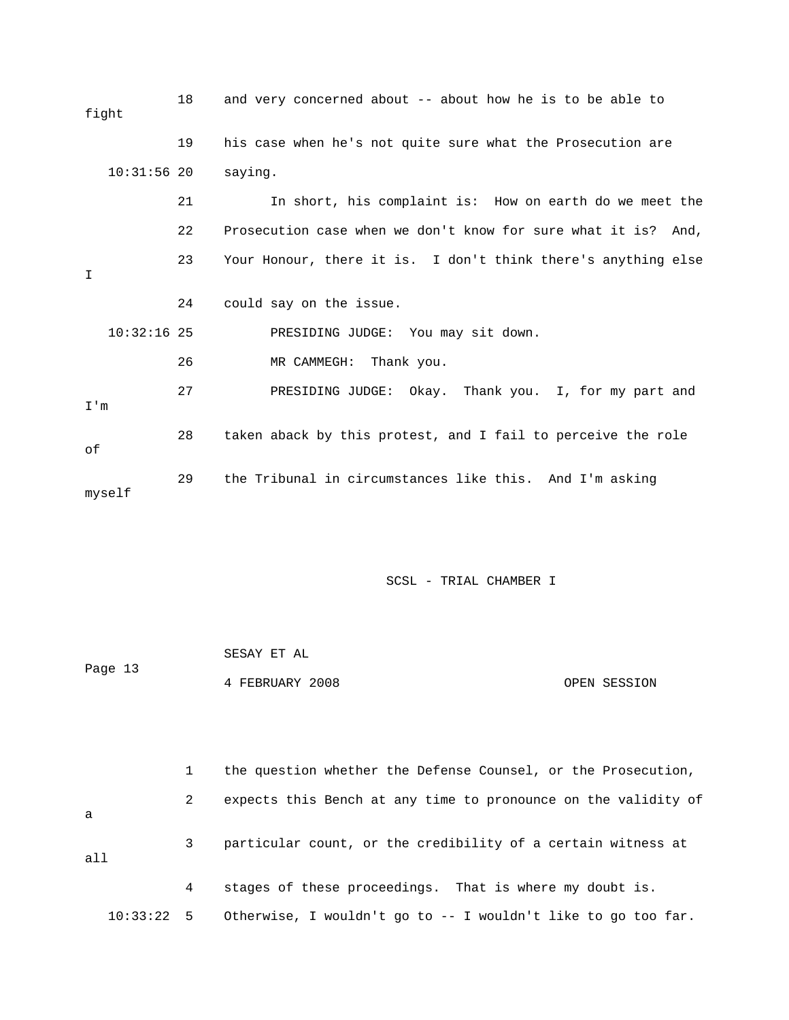| fight |               | 18 | and very concerned about -- about how he is to be able to     |
|-------|---------------|----|---------------------------------------------------------------|
|       |               | 19 | his case when he's not quite sure what the Prosecution are    |
|       | $10:31:56$ 20 |    | saying.                                                       |
|       |               | 21 | In short, his complaint is: How on earth do we meet the       |
|       |               | 22 | Prosecution case when we don't know for sure what it is? And, |
| I     |               | 23 | Your Honour, there it is. I don't think there's anything else |
|       |               | 24 | could say on the issue.                                       |
|       | $10:32:16$ 25 |    | PRESIDING JUDGE: You may sit down.                            |
|       |               | 26 | MR CAMMEGH: Thank you.                                        |
| I'm   |               | 27 | PRESIDING JUDGE: Okay. Thank you. I, for my part and          |
| of    |               | 28 | taken aback by this protest, and I fail to perceive the role  |
|       | myself        | 29 | the Tribunal in circumstances like this. And I'm asking       |

|         | SESAY ET AL     |              |
|---------|-----------------|--------------|
| Page 13 |                 |              |
|         | 4 FEBRUARY 2008 | OPEN SESSION |

 1 the question whether the Defense Counsel, or the Prosecution, 2 expects this Bench at any time to pronounce on the validity of 10:33:22 5 Otherwise, I wouldn't go to -- I wouldn't like to go too far. a 3 particular count, or the credibility of a certain witness at all 4 stages of these proceedings. That is where my doubt is.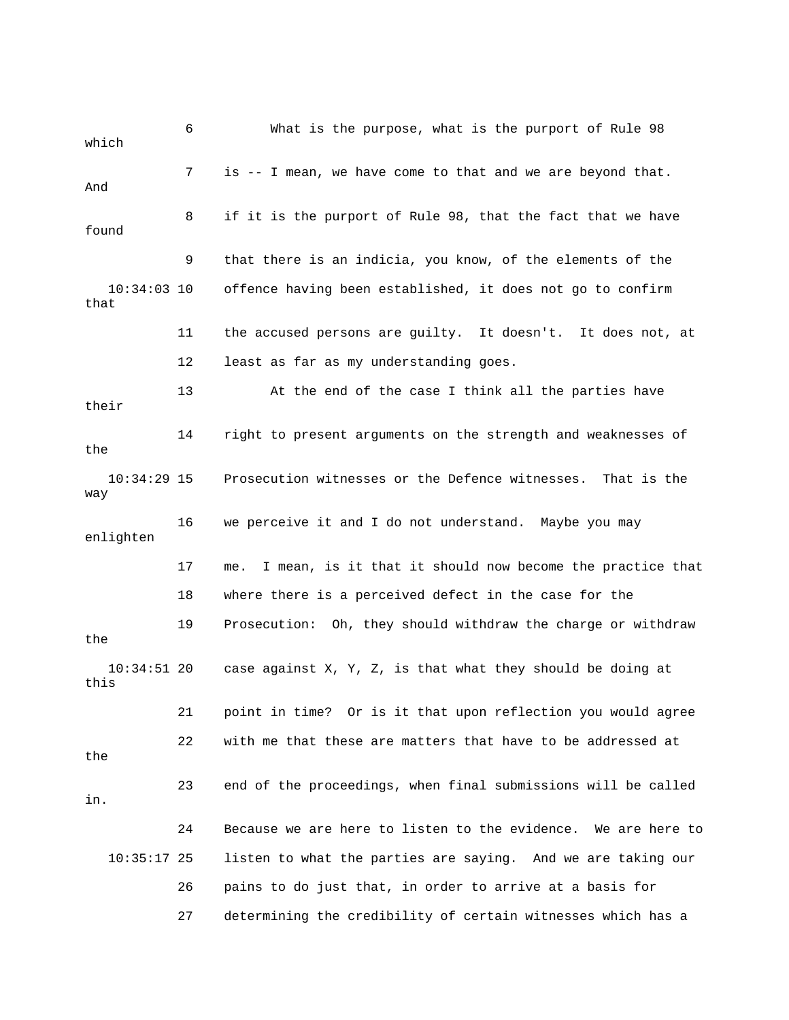6 What is the purpose, what is the purport of Rule 98 which 7 is -- I mean, we have come to that and we are beyond that. And 11 the accused persons are guilty. It doesn't. It does not, at 12 least as far as my understanding goes. 13 At the end of the case I think all the parties have 14 right to present arguments on the strength and weaknesses of enlighten 17 me. I mean, is it that it should now become the practice that 18 where there is a perceived defect in the case for the 19 Prosecution: Oh, they should withdraw the charge or withdraw 21 point in time? Or is it that upon reflection you would agree 22 with me that these are matters that have to be addressed at listen to what the parties are saying. And we are taking our 26 pains to do just that, in order to arrive at a basis for 27 determining the credibility of certain witnesses which has a 8 if it is the purport of Rule 98, that the fact that we have found 9 that there is an indicia, you know, of the elements of the 10:34:03 10 offence having been established, it does not go to confirm that their the 10:34:29 15 Prosecution witnesses or the Defence witnesses. That is the way 16 we perceive it and I do not understand. Maybe you may the 10:34:51 20 case against X, Y, Z, is that what they should be doing at this the 23 end of the proceedings, when final submissions will be called in. 24 Because we are here to listen to the evidence. We are here to  $10:35:17$  25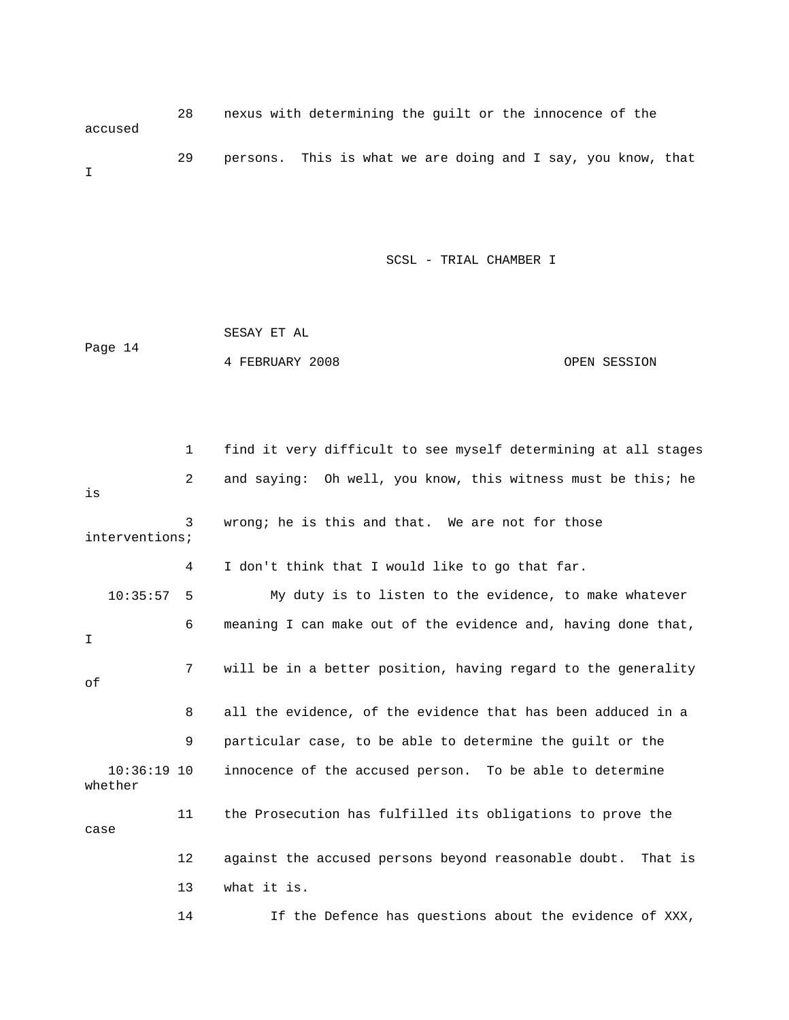28 nexus with determining the guilt or the innocence of the accused 29 persons. This is what we are doing and I say, you know, t hat I

SCSL - TRIAL CHAMBER I

|         | SESAY ET AL     |              |
|---------|-----------------|--------------|
| Page 14 |                 |              |
|         | 4 FEBRUARY 2008 | OPEN SESSION |

 1 find it very difficult to see myself determining at all stages 2 and saying: Oh well, you know, this witness must be this; he interventions; My duty is to listen to the evidence, to make whatever 6 meaning I can make out of the evidence and, having done that, 9 particular case, to be able to determine the guilt or the 12 against the accused persons beyond reasonable doubt. That is 13 what it is. is 3 wrong; he is this and that. We are not for those 4 I don't think that I would like to go that far. 10:35:57 5 I 7 will be in a better position, having regard to the generality of 8 all the evidence, of the evidence that has been adduced in a 10:36:19 10 innocence of the accused person. To be able to determine whether 11 the Prosecution has fulfilled its obligations to prove the case

14 If the Defence has questions about the evidence of XXX,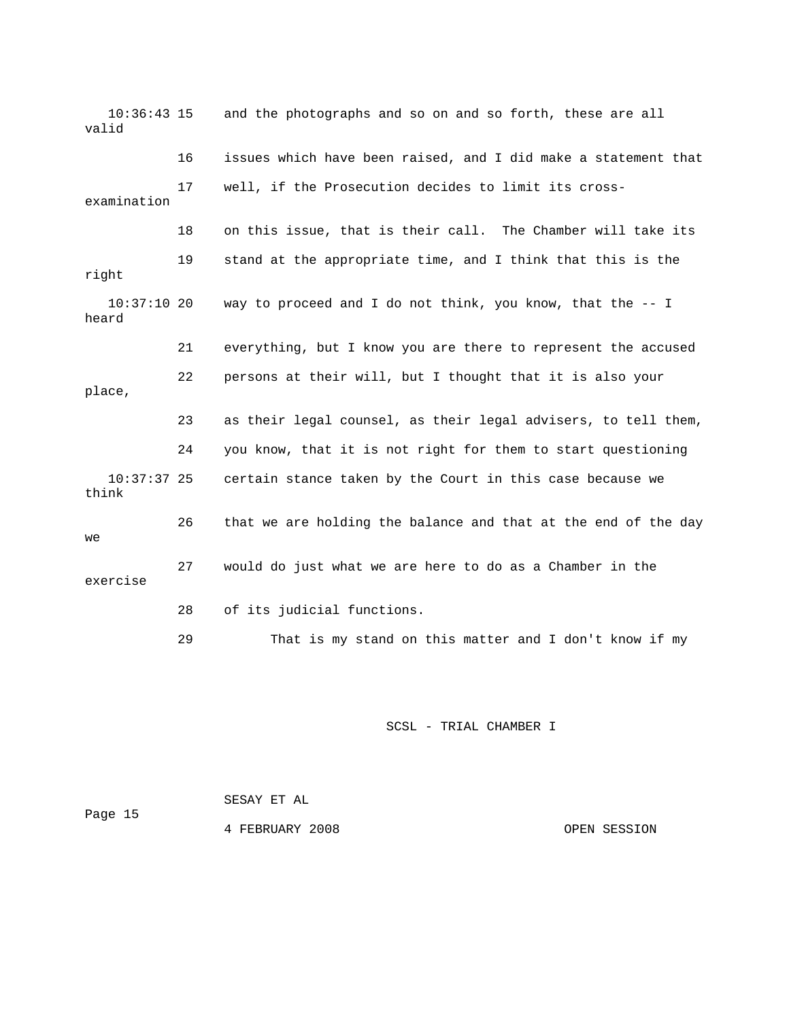10:36:43 15 and the photographs and so on and so forth, these are all valid 16 issues which have been raised, and I did make a statement that 17 well, if the Prosecution decides to limit its cross-18 on this issue, that is their call. The Chamber will take its 19 stand at the appropriate time, and I think that this is the 21 everything, but I know you are there to represent the accused 23 as their legal counsel, as their legal advisers, to tell them, 24 you know, that it is not right for them to start questioning 10:37:37 25 certain stance taken by the Court in this case because we 26 that we are holding the balance and that at the end of the day exercise 29 That is my stand on this matter and I don't know if my examination right 10:37:10 20 way to proceed and I do not think, you know, that the -- I heard 22 persons at their will, but I thought that it is also your place, think we 27 would do just what we are here to do as a Chamber in the 28 of its judicial functions.

SCSL - TRIAL CHAMBER I

 SESAY ET AL Page 15 4 FEBRUARY 2008 OPEN SESSION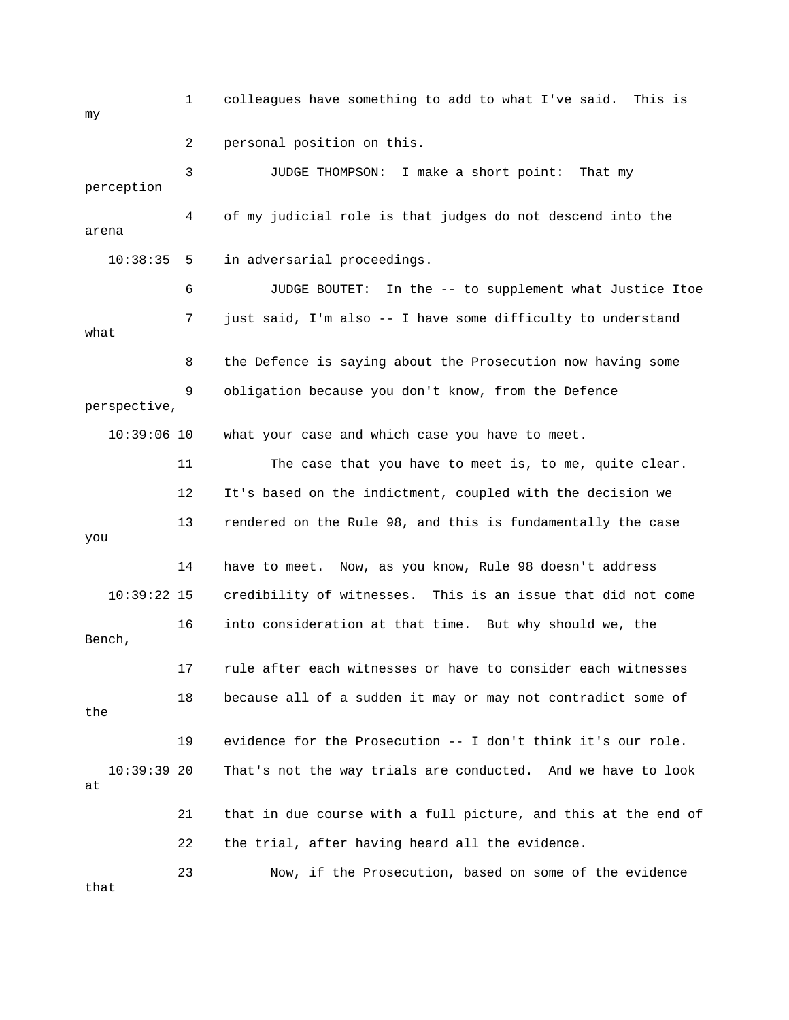1 colleagues have something to add to what I've said. This is 3 JUDGE THOMPSON: I make a short point: That my 4 of my judicial role is that judges do not descend into the 6 JUDGE BOUTET: In the -- to supplement what Justice Itoe 7 just said, I'm also -- I have some difficulty to understand 9 obligation because you don't know, from the Defence 11 The case that you have to meet is, to me, quite clear. 12 It's based on the indictment, coupled with the decision we 13 rendered on the Rule 98, and this is fundamentally the case credibility of witnesses. This is an issue that did not come 16 into consideration at that time. But why should we, the 17 rule after each witnesses or have to consider each witnesses 18 because all of a sudden it may or may not contradict some of That's not the way trials are conducted. And we have to look 22 the trial, after having heard all the evidence. 23 Now, if the Prosecution, based on some of the evidence my 2 personal position on this. perception arena 10:38:35 5 in adversarial proceedings. what 8 the Defence is saying about the Prosecution now having some perspective, 10:39:06 10 what your case and which case you have to meet. you 14 have to meet. Now, as you know, Rule 98 doesn't address  $10:39:22$  15 Bench, the 19 evidence for the Prosecution -- I don't think it's our role.  $10:39:39$  20 at 21 that in due course with a full picture, and this at the end of that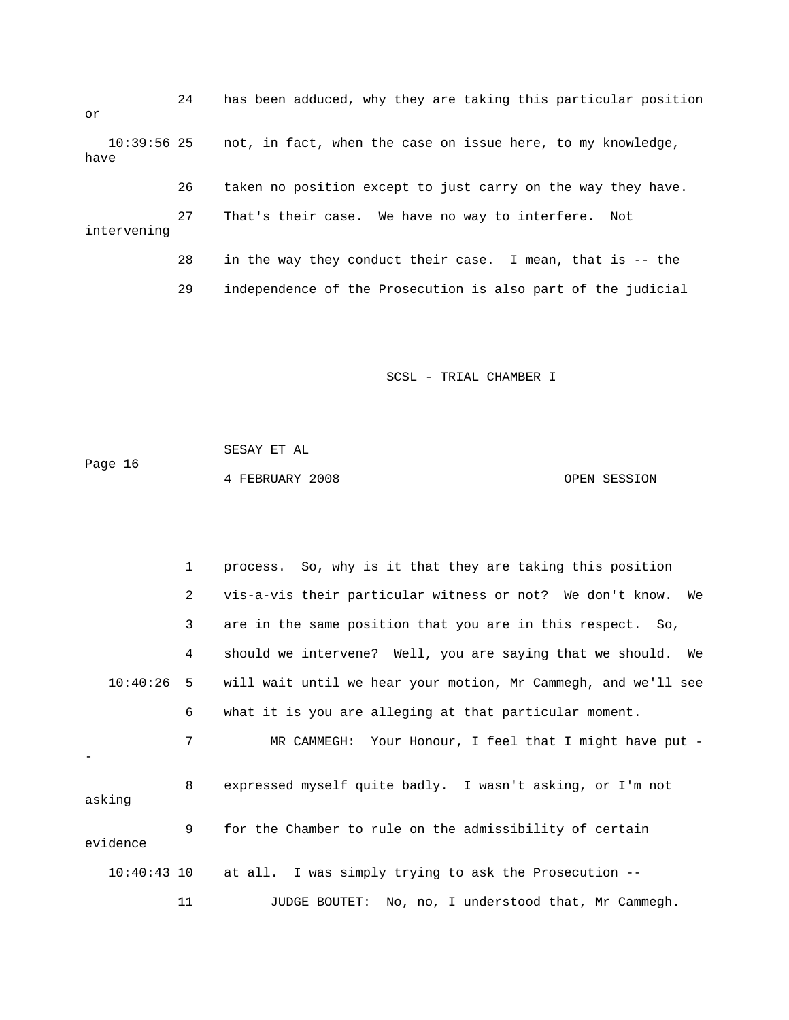24 has been adduced, why they are taking this particular position or 27 That's their case. We have no way to interfere. Not 28 in the way they conduct their case. I mean, that is -- the 10:39:56 25 not, in fact, when the case on issue here, to my knowledge, have 26 taken no position except to just carry on the way they have. intervening

29 independence of the Prosecution is also part of the judicial

SCSL - TRIAL CHAMBER I

 SESAY ET AL Page 16 4 FEBRUARY 2008 OPEN SESSION

 1 process. So, why is it that they are taking this position 2 vis-a-vis their particular witness or not? We don't know. We 3 are in the same position that you are in this respect. So, 4 should we intervene? Well, you are saying that we should. We ee 10:40:26 5 will wait until we hear your motion, Mr Cammegh, and we'll s 6 what it is you are alleging at that particular moment. 7 MR CAMMEGH: Your Honour, I feel that I might have put asking 11 JUDGE BOUTET: No, no, I understood that, Mr Cammegh. - 8 expressed myself quite badly. I wasn't asking, or I'm not 9 for the Chamber to rule on the admissibility of certain evidence 10:40:43 10 at all. I was simply trying to ask the Prosecution --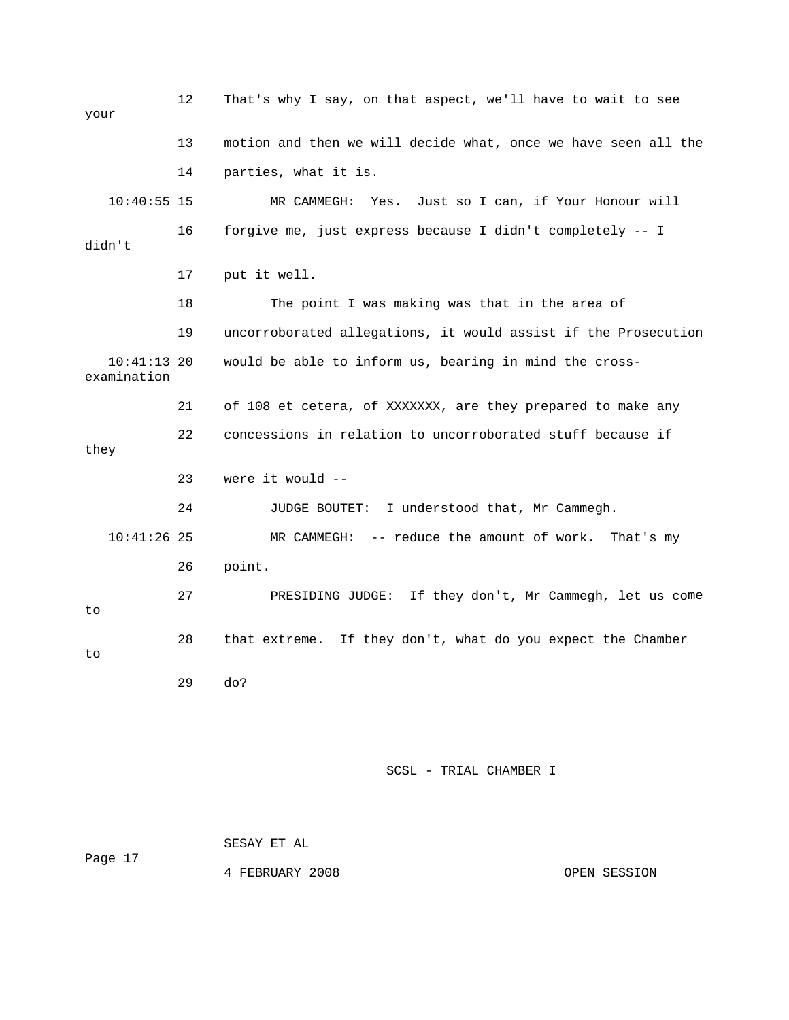12 That's why I say, on that aspect, we'll have to wait to see 13 motion and then we will decide what, once we have seen all the 14 parties, what it is. 10:40:55 15 MR CAMMEGH: Yes. Just so I can, if Your Honour will 16 forgive me, just express because I didn't completely -- I 18 The point I was making was that in the area of 19 uncorroborated allegations, it would assist if the Prosecution 10:41:13 20 would be able to inform us, bearing in mind the cross- 21 of 108 et cetera, of XXXXXXX, are they prepared to make any 22 concessions in relation to uncorroborated stuff because if 24 JUDGE BOUTET: I understood that, Mr Cammegh. 10:41:26 25 MR CAMMEGH: -- reduce the amount of work. That's my 26 point. 27 PRESIDING JUDGE: If they don't, Mr Cammegh, let us come your didn't 17 put it well. examination they 23 were it would - to 28 that extreme. If they don't, what do you expect the Chamber to 29 do?

SCSL - TRIAL CHAMBER I

|         | SESAY ET AL     |
|---------|-----------------|
| Page 17 |                 |
|         | 4 FEBRUARY 2008 |

OPEN SESSION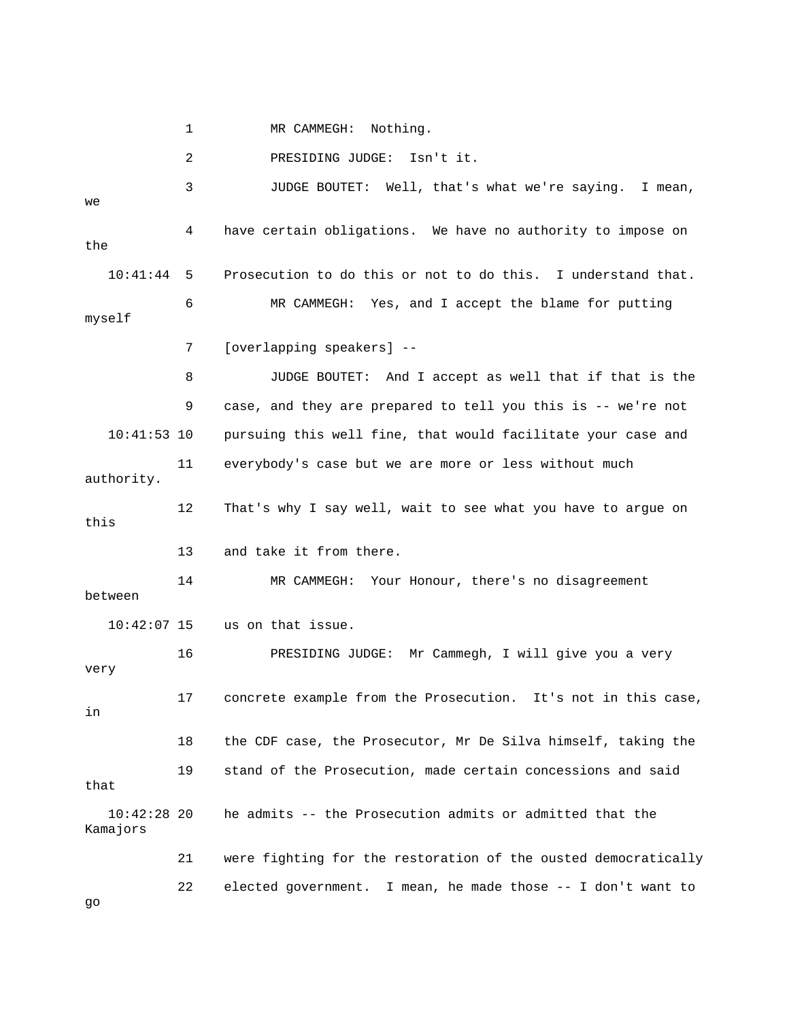1 MR CAMMEGH: Nothing.

2 PRESIDING JUDGE: Isn't it.

 3 JUDGE BOUTET: Well, that's what we're saying. I mean, 6 MR CAMMEGH: Yes, and I accept the blame for putting 8 JUDGE BOUTET: And I accept as well that if that is the 9 case, and they are prepared to tell you this is -- we're not 10:41:53 10 pursuing this well fine, that would facilitate your case and 12 That's why I say well, wait to see what you have to argue on 14 MR CAMMEGH: Your Honour, there's no disagreement 16 PRESIDING JUDGE: Mr Cammegh, I will give you a very 17 concrete example from the Prosecution. It's not in this case, 19 stand of the Prosecution, made certain concessions and said Kamajors 21 were fighting for the restoration of the ousted democratically 22 elected government. I mean, he made those -- I don't want to we 4 have certain obligations. We have no authority to impose on the 10:41:44 5 Prosecution to do this or not to do this. I understand that. myself 7 [overlapping speakers] -- 11 everybody's case but we are more or less without much authority. this 13 and take it from there. between 10:42:07 15 us on that issue. very in 18 the CDF case, the Prosecutor, Mr De Silva himself, taking the that 10:42:28 20 he admits -- the Prosecution admits or admitted that the

go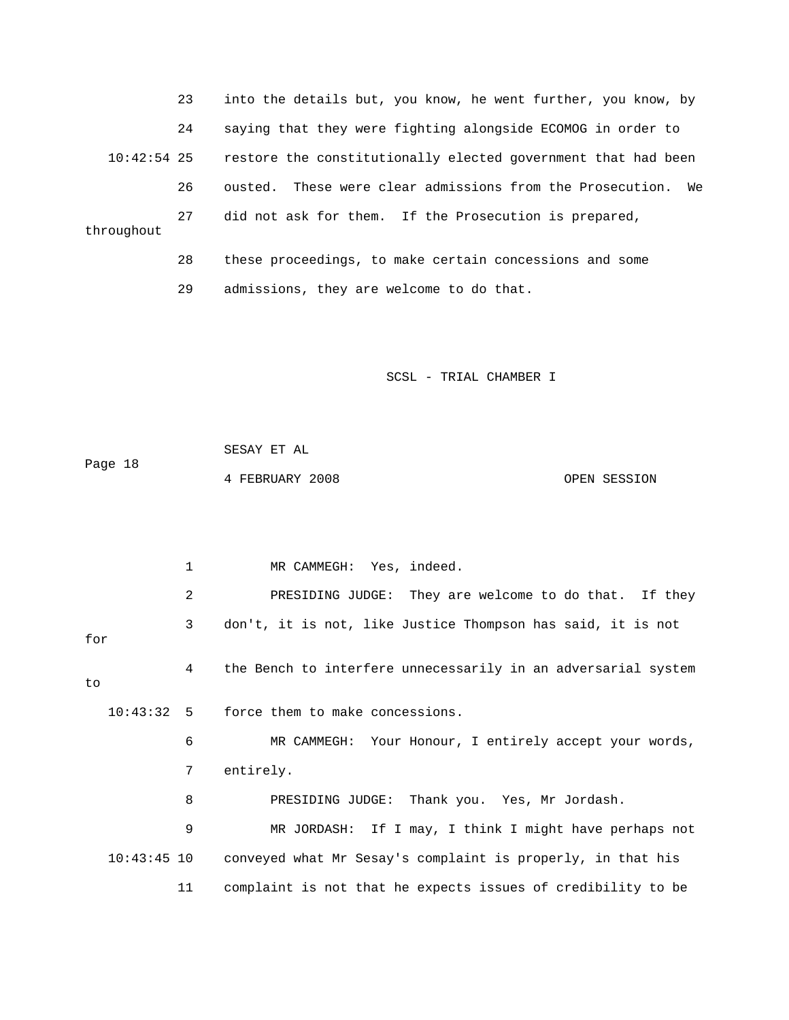23 into the details but, you know, he went further, you know, by 24 saying that they were fighting alongside ECOMOG in order to 10:42:54 25 restore the constitutionally elected government that had been 26 ousted. These were clear admissions from the Prosecution. We 27 did not ask for them. If the Prosecution is prepared, throughout 28 these proceedings, to make certain concessions and some

29 admissions, they are welcome to do that.

SCSL - TRIAL CHAMBER I

 SESAY ET AL Page 18 4 FEBRUARY 2008 OPEN SESSION

1 MR CAMMEGH: Yes, indeed. 2 PRESIDING JUDGE: They are welcome to do that. If they 3 don't, it is not, like Justice Thompson has said, it is not 6 MR CAMMEGH: Your Honour, I entirely accept your words, 8 PRESIDING JUDGE: Thank you. Yes, Mr Jordash. 9 MR JORDASH: If I may, I think I might have perhaps not 10:43:45 10 conveyed what Mr Sesay's complaint is properly, in that his 11 complaint is not that he expects issues of credibility to be for 4 the Bench to interfere unnecessarily in an adversarial system to 10:43:32 5 force them to make concessions. 7 entirely.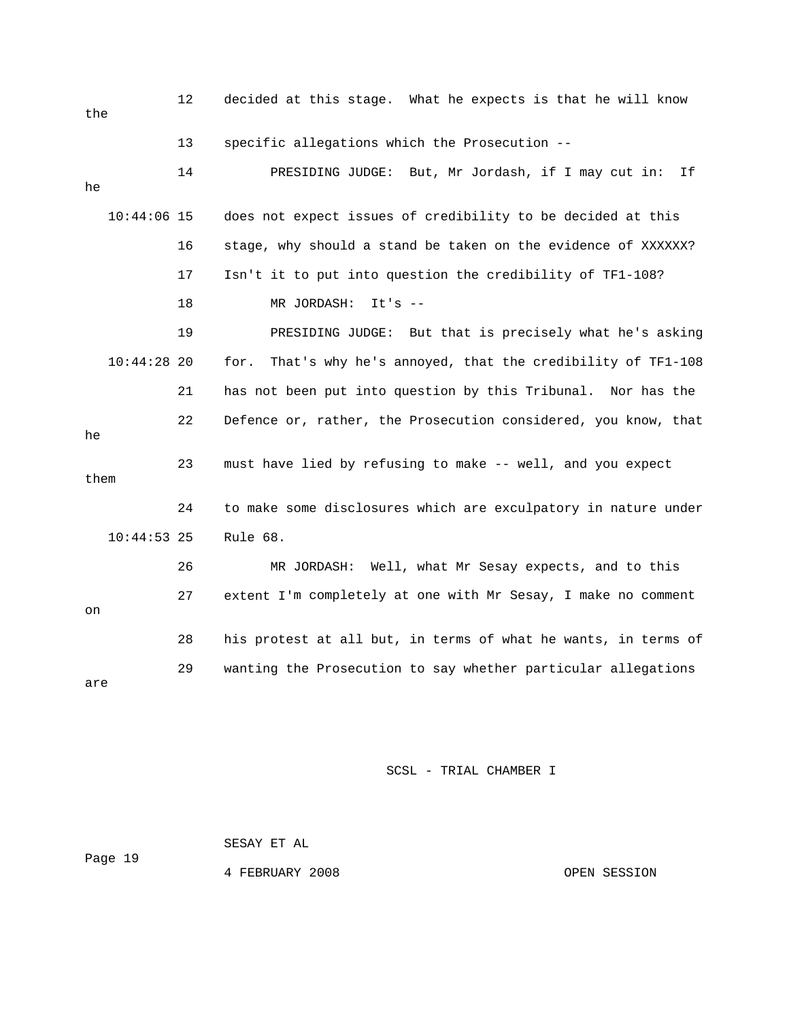| the  |               | 12 | decided at this stage. What he expects is that he will know      |
|------|---------------|----|------------------------------------------------------------------|
|      |               | 13 | specific allegations which the Prosecution --                    |
| he   |               | 14 | But, Mr Jordash, if I may cut in:<br>Ιf<br>PRESIDING JUDGE:      |
|      | $10:44:06$ 15 |    | does not expect issues of credibility to be decided at this      |
|      |               | 16 | stage, why should a stand be taken on the evidence of XXXXXX?    |
|      |               | 17 | Isn't it to put into question the credibility of TF1-108?        |
|      |               | 18 | MR JORDASH:<br>$It's --$                                         |
|      |               | 19 | PRESIDING JUDGE: But that is precisely what he's asking          |
|      | $10:44:28$ 20 |    | That's why he's annoyed, that the credibility of TF1-108<br>for. |
|      |               | 21 | has not been put into question by this Tribunal. Nor has the     |
| he   |               | 22 | Defence or, rather, the Prosecution considered, you know, that   |
| them |               | 23 | must have lied by refusing to make -- well, and you expect       |
|      |               | 24 | to make some disclosures which are exculpatory in nature under   |
|      | $10:44:53$ 25 |    | Rule 68.                                                         |
|      |               | 26 | MR JORDASH: Well, what Mr Sesay expects, and to this             |
| on   |               | 27 | extent I'm completely at one with Mr Sesay, I make no comment    |
|      |               | 28 | his protest at all but, in terms of what he wants, in terms of   |
| are  |               | 29 | wanting the Prosecution to say whether particular allegations    |

 SESAY ET AL ge 19 Pa 4 FEBRUARY 2008 CPEN SESSION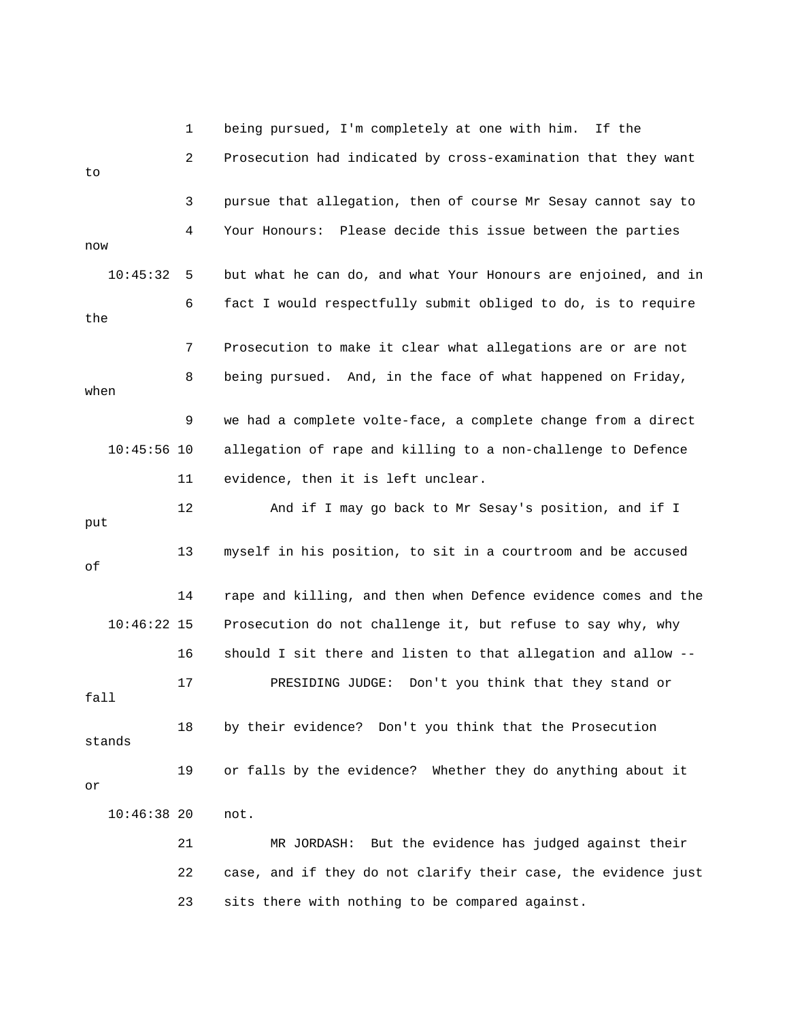1 being pursued, I'm completely at one with him. If the 2 Prosecution had indicated by cross-examination that they want 4 Your Honours: Please decide this issue between the parties n 10:45:32 5 but what he can do, and what Your Honours are enjoined, and i 6 fact I would respectfully submit obliged to do, is to require 10:45:56 10 allegation of rape and killing to a non-challenge to Defence 11 evidence, then it is left unclear. 10:46:22 15 Prosecution do not challenge it, but refuse to say why, why 16 should I sit there and listen to that allegation and allow -- 19 or falls by the evidence? Whether they do anything about it 21 MR JORDASH: But the evidence has judged against their 22 case, and if they do not clarify their case, the evidence just to 3 pursue that allegation, then of course Mr Sesay cannot say to now the 7 Prosecution to make it clear what allegations are or are not 8 being pursued. And, in the face of what happened on Friday, when 9 we had a complete volte-face, a complete change from a direct 12 And if I may go back to Mr Sesay's position, and if I put 13 myself in his position, to sit in a courtroom and be accused of 14 rape and killing, and then when Defence evidence comes and the 17 PRESIDING JUDGE: Don't you think that they stand or fall 18 by their evidence? Don't you think that the Prosecution stands or 10:46:38 20 not. 23 sits there with nothing to be compared against.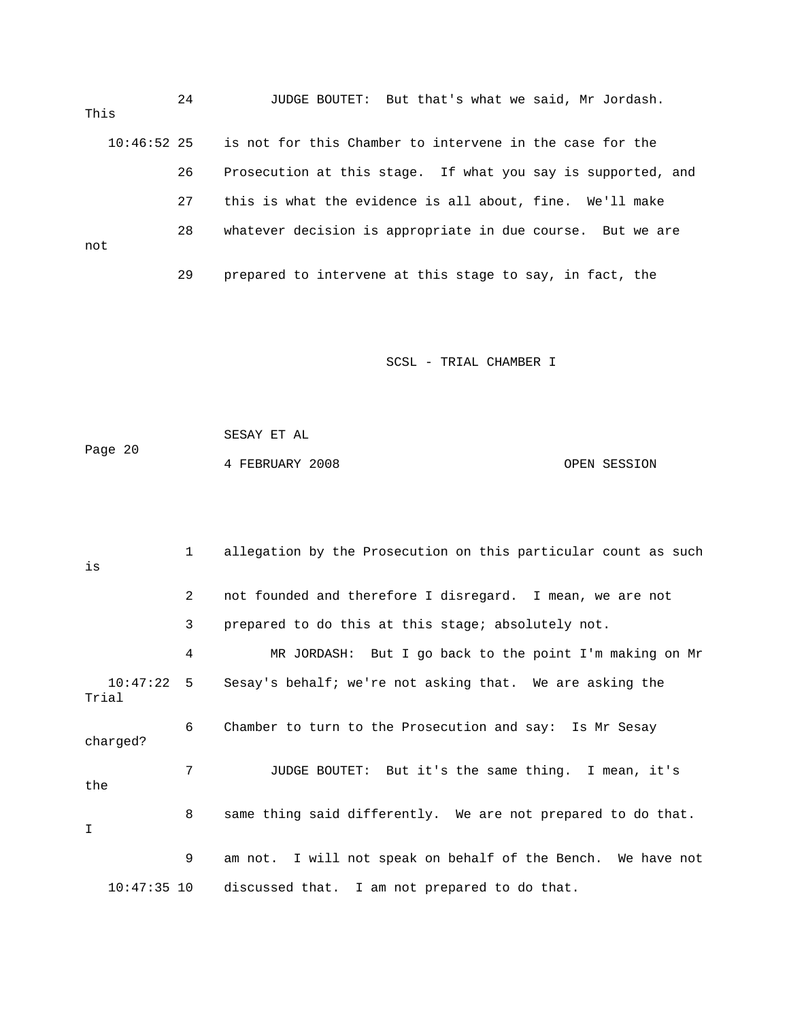24 JUDGE BOUTET: But that's what we said, Mr Jordash. 26 Prosecution at this stage. If what you say is supported, and 28 whatever decision is appropriate in due course. But we are This 10:46:52 25 is not for this Chamber to intervene in the case for the 27 this is what the evidence is all about, fine. We'll make not 29 prepared to intervene at this stage to say, in fact, the

SCSL - TRIAL CHAMBER I

 SESAY ET AL Page 20 4 FEBRUARY 2008 OPEN SESSION

 1 allegation by the Prosecution on this particular count as such 3 prepared to do this at this stage; absolutely not. 4 MR JORDASH: But I go back to the point I'm making on Mr  $10:47:22$  5 Sesay's behalf; we're not asking that. We are asking the ? charged 7 JUDGE BOUTET: But it's the same thing. I mean, it's 10:47:35 10 discussed that. I am not prepared to do that. is 2 not founded and therefore I disregard. I mean, we are not Trial 6 Chamber to turn to the Prosecution and say: Is Mr Sesay the 8 same thing said differently. We are not prepared to do that. I 9 am not. I will not speak on behalf of the Bench. We have not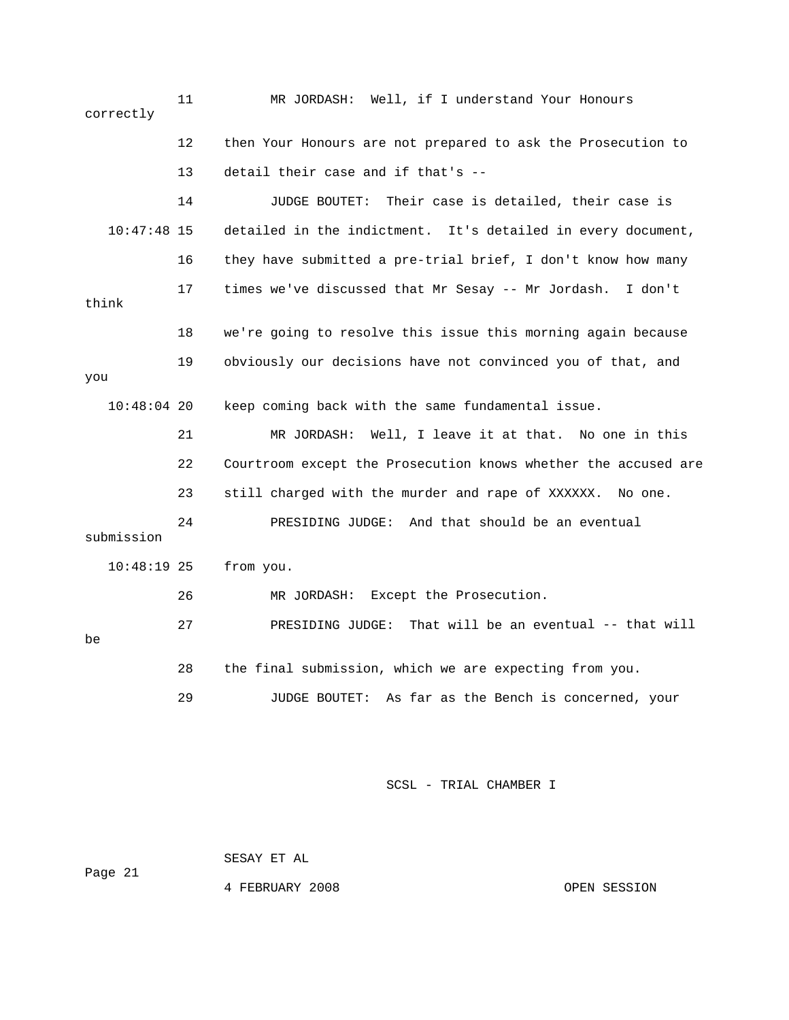11 MR JORDASH: Well, if I understand Your Honours 12 then Your Honours are not prepared to ask the Prosecution to 14 JUDGE BOUTET: Their case is detailed, their case is 10:47:48 15 detailed in the indictment. It's detailed in every document, think 18 we're going to resolve this issue this morning again because keep coming back with the same fundamental issue. 21 MR JORDASH: Well, I leave it at that. No one in this submission from you. 26 MR JORDASH: Except the Prosecution. tual -- that will 27 PRESIDING JUDGE: That will be an even 28 the final submission, which we are expecting from you. 29 JUDGE BOUTET: As far as the Bench is concerned, your correctly 13 detail their case and if that's -- 16 they have submitted a pre-trial brief, I don't know how many 17 times we've discussed that Mr Sesay -- Mr Jordash. I don't 19 obviously our decisions have not convinced you of that, and you  $10:48:04$  20 22 Courtroom except the Prosecution knows whether the accused are 23 still charged with the murder and rape of XXXXXX. No one. 24 PRESIDING JUDGE: And that should be an eventual 10:48:19 be

SCSL - TRIAL CHAMBER I

 SESAY ET AL Page 21

4 FEBRUARY 2008 OPEN SESSION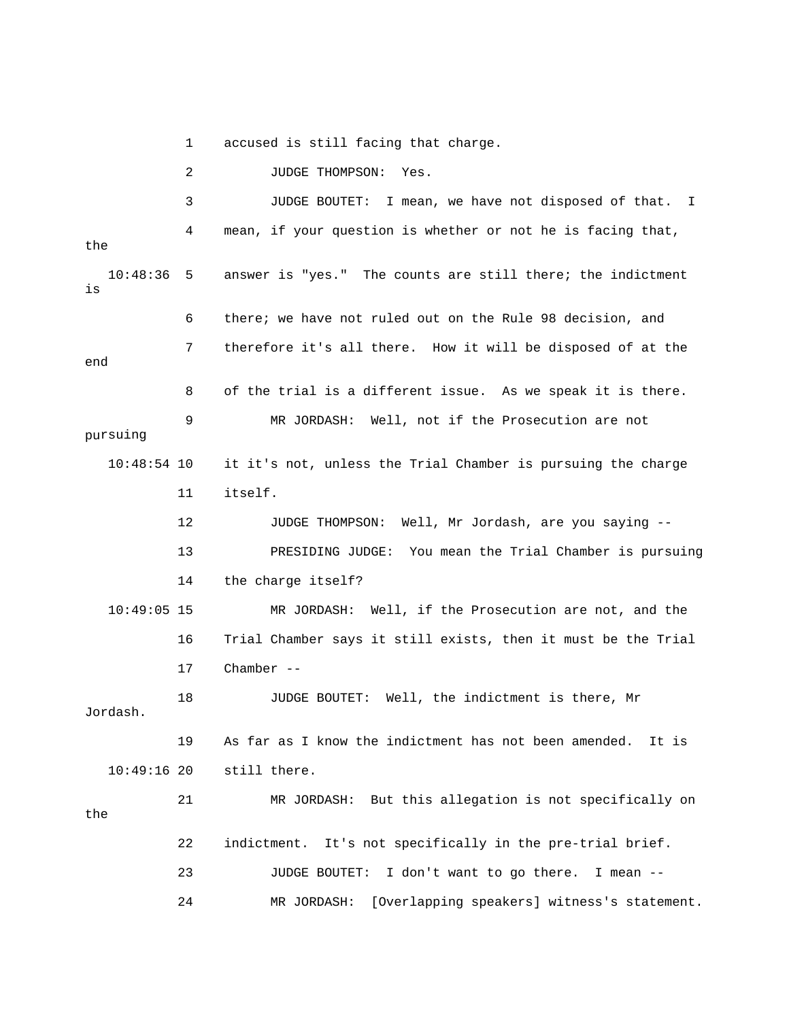1 accused is still facing that charge.

3 JUDGE BOUTET: I mean, we have not disposed of that. I answer is "yes." The counts are still there; the indictment 6 there; we have not ruled out on the Rule 98 decision, and 7 therefore it's all there. How it will be disposed of at the end 8 of the trial is a different issue. As we speak it is there. pursuing it it's not, unless the Trial Chamber is pursuing the charge 12 JUDGE THOMPSON: Well, Mr Jordash, are you saying --13 PRESIDING JUDGE: You mean the Trial Chamber is pursuing 10:49:05 15 MR JORDASH: Well, if the Prosecution are not, and the 18 JUDGE BOUTET: Well, the indictment is there, Mr Jordash. 19 As far as I know the indictment has not been amended. It is 21 MR JORDASH: But this allegation is not specifically on 22 indictment. It's not specifically in the pre-trial brief. 24 MR JORDASH: [Overlapping speakers] witness's statement. 2 JUDGE THOMPSON: Yes. 4 mean, if your question is whether or not he is facing that, the  $10:48:36$  5 is 9 MR JORDASH: Well, not if the Prosecution are not 10:48:5 11 itself. 14 the charge itself? 16 Trial Chamber says it still exists, then it must be the Trial 17 Chamber -- 10:49:16 20 still there. the 23 JUDGE BOUTET: I don't want to go there. I mean --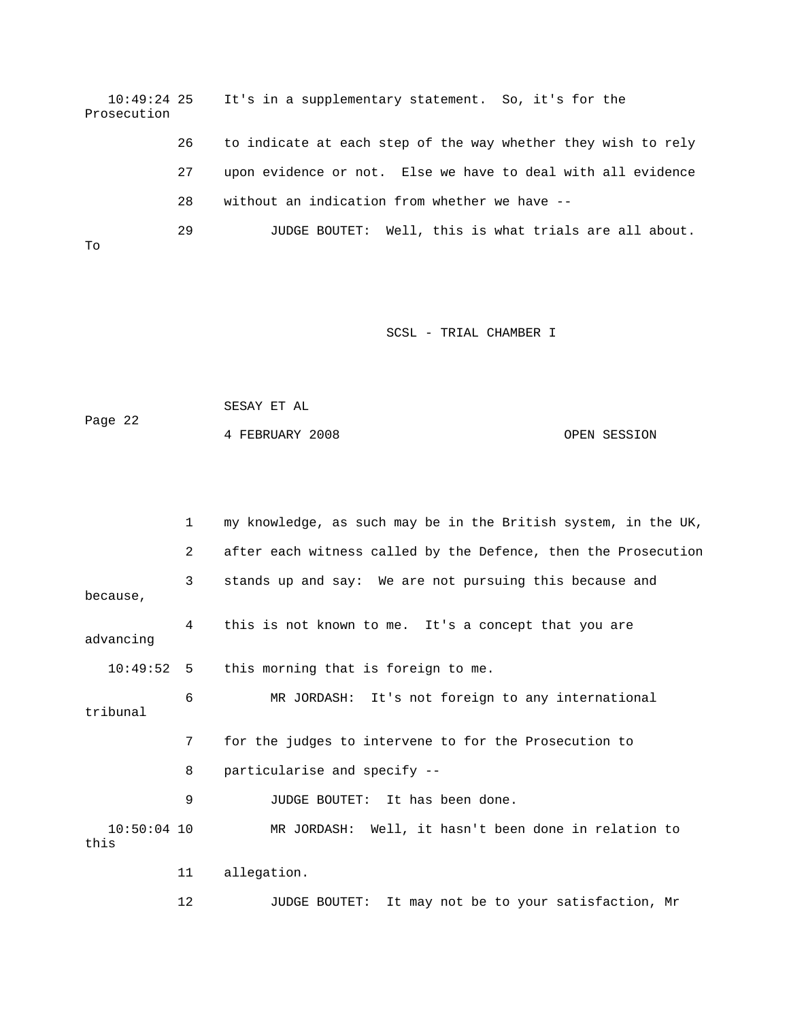10:49:24 25 It's in a supplementary statement. So, it's for the Prosecution 26 to indicate at each step of the way whether they wish to rely

> 27 upon evidence or not. Else we have to deal with all evidence 28 without an indication from whether we have --

29 JUDGE BOUTET: Well, this is what trials are all about. To

## SCSL - TRIAL CHAMBER I

 SESAY ET AL Page 22

4 FEBRUARY 2008 OPEN SESSION

 1 my knowledge, as such may be in the British system, in the UK, 2 after each witness called by the Defence, then the Prosecution 3 stands up and say: We are not pursuing this because and 6 MR JORDASH: It's not foreign to any international 8 particularise and specify -- 9 JUDGE BOUTET: It has been done. 10:50:04 10 MR JORDASH: Well, it hasn't been done in relation to because, 4 this is not known to me. It's a concept that you are advancing 10:49:52 5 this morning that is foreign to me. tribunal 7 for the judges to intervene to for the Prosecution to this 11 allegation.

12 JUDGE BOUTET: It may not be to your satisfaction, Mr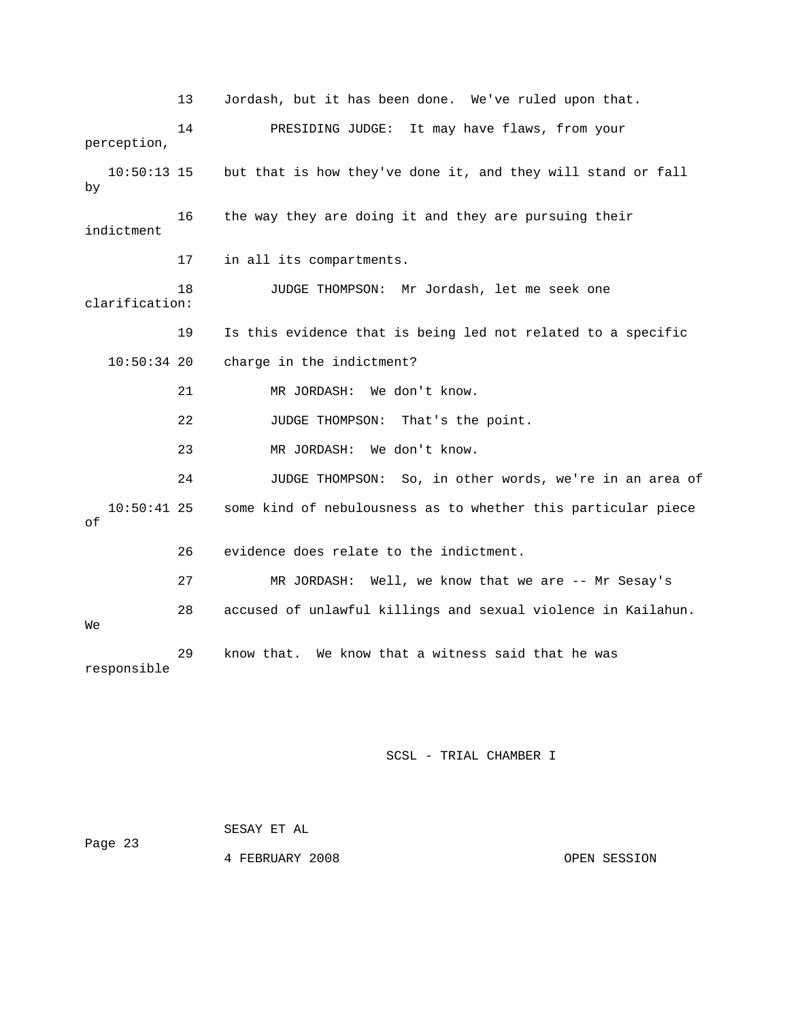13 Jordash, but it has been done. We've ruled upon that. 14 PRESIDING JUDGE: It may have flaws, from your  $10:50:13$  15 but that is how they've done it, and they will stand or fall indictment 18 JUDGE THOMPSON: Mr Jordash, let me seek one 19 Is this evidence that is being led not related to a specific 10:50:34 20 charge in the indictment? 21 MR JORDASH: We don't know. 22 JUDGE THOMPSON: That's the point. 23 MR JORDASH: We don't know. 24 JUDGE THOMPSON: So, in other words, we're in an area of 10:50:41 25 some kind of nebulousness as to whether this particular piece 27 MR JORDASH: Well, we know that we are -- Mr Sesay's 28 accused of unlawful killings and sexual violence in Kailahun. responsible perception, by 16 the way they are doing it and they are pursuing their 17 in all its compartments. clarification: of 26 evidence does relate to the indictment. We 29 know that. We know that a witness said that he was

## SCSL - TRIAL CHAMBER I

|         | SESAY ET AL     |              |
|---------|-----------------|--------------|
| Page 23 |                 |              |
|         | 4 FEBRUARY 2008 | OPEN SESSION |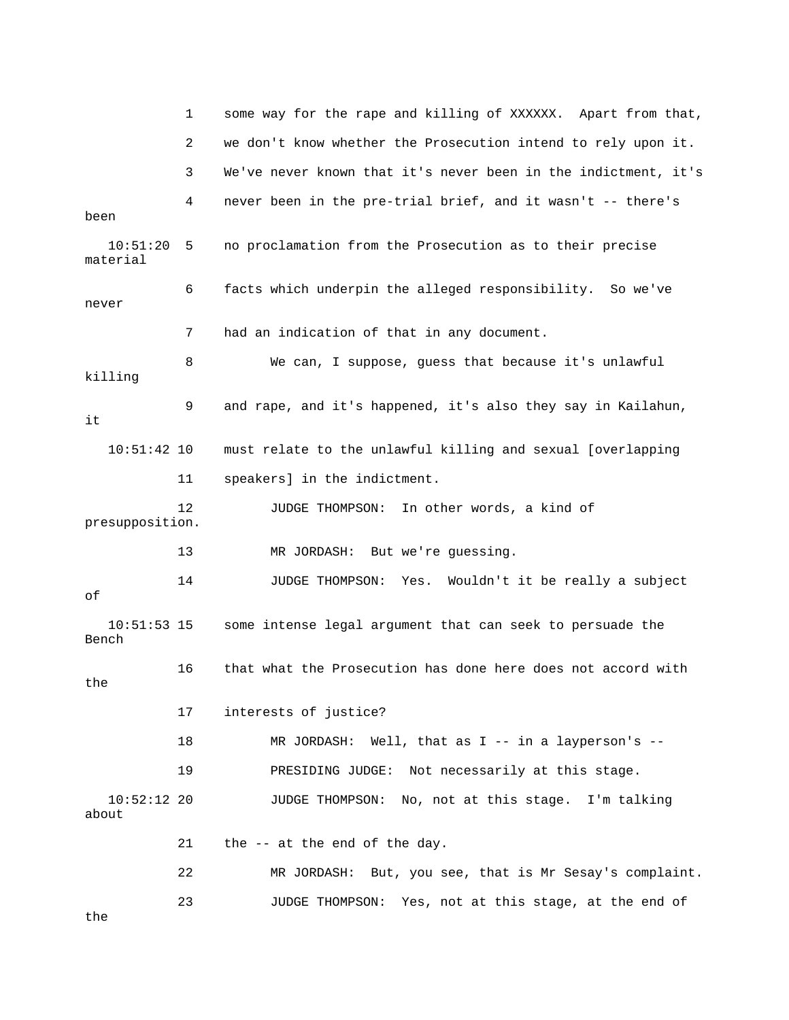|                        | 1  | some way for the rape and killing of XXXXXX. Apart from that,  |
|------------------------|----|----------------------------------------------------------------|
|                        | 2  | we don't know whether the Prosecution intend to rely upon it.  |
|                        | 3  | We've never known that it's never been in the indictment, it's |
| been                   | 4  | never been in the pre-trial brief, and it wasn't -- there's    |
| 10:51:20<br>material   | 5  | no proclamation from the Prosecution as to their precise       |
| never                  | 6  | facts which underpin the alleged responsibility. So we've      |
|                        | 7  | had an indication of that in any document.                     |
| killing                | 8  | We can, I suppose, guess that because it's unlawful            |
| it                     | 9  | and rape, and it's happened, it's also they say in Kailahun,   |
| $10:51:42$ 10          |    | must relate to the unlawful killing and sexual [overlapping    |
|                        | 11 | speakers] in the indictment.                                   |
| presupposition.        | 12 | JUDGE THOMPSON:<br>In other words, a kind of                   |
|                        | 13 | MR JORDASH: But we're guessing.                                |
| οf                     | 14 | JUDGE THOMPSON:<br>Yes.<br>Wouldn't it be really a subject     |
| $10:51:53$ 15<br>Bench |    | some intense legal argument that can seek to persuade the      |
| the                    | 16 | that what the Prosecution has done here does not accord with   |
|                        | 17 | interests of justice?                                          |
|                        | 18 | MR JORDASH: Well, that as $I$ -- in a layperson's --           |
|                        | 19 | PRESIDING JUDGE: Not necessarily at this stage.                |
| $10:52:12$ 20<br>about |    | JUDGE THOMPSON: No, not at this stage. I'm talking             |
|                        | 21 | the -- at the end of the day.                                  |
|                        | 22 | MR JORDASH: But, you see, that is Mr Sesay's complaint.        |
| the                    | 23 | Yes, not at this stage, at the end of<br>JUDGE THOMPSON:       |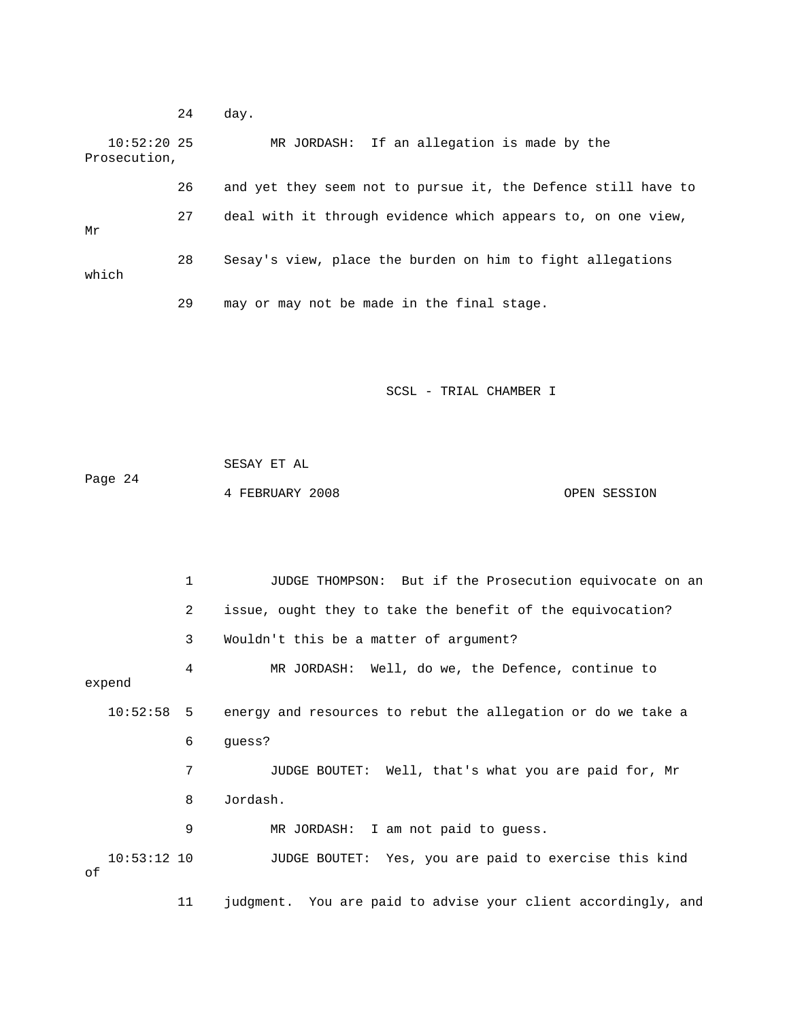24 day. 10:52:20 25 MR JORDASH: If an allegation is made by the 26 and yet they seem not to pursue it, the Defence still have to 27 deal with it through evidence which appears to, on one view, which Prosecution, Mr 28 Sesay's view, place the burden on him to fight allegations 29 may or may not be made in the final stage.

SCSL - TRIAL CHAMBER I

 SESAY ET AL Page 24 4 FEBRUARY 2008 OPEN SESSION

 1 JUDGE THOMPSON: But if the Prosecution equivocate on an 2 issue, ought they to take the benefit of the equivocation? 4 MR JORDASH: Well, do we, the Defence, continue to 10:52:58 5 energy and resources to rebut the allegation or do we take a 6 guess? 8 Jordash. 9 MR JORDASH: I am not paid to guess. JUDGE BOUTET: Yes, you are paid to exercise this kind 3 Wouldn't this be a matter of argument? expend 7 JUDGE BOUTET: Well, that's what you are paid for, Mr  $10:53:12$  10 of 11 judgment. You are paid to advise your client accordingly, and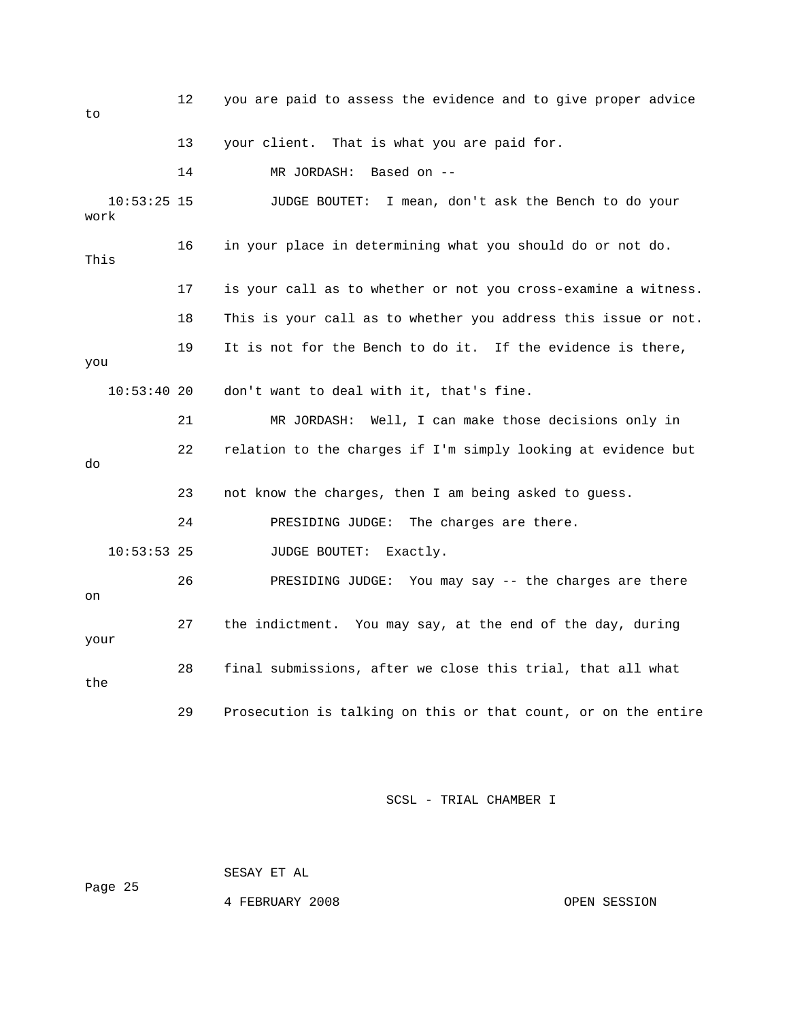12 you are paid to assess the evidence and to give proper advice 14 MR JORDASH: Based on -- 10:53:25 15 JUDGE BOUTET: I mean, don't ask the Bench to do your . 17 is your call as to whether or not you cross-examine a witness 18 This is your call as to whether you address this issue or not. 19 It is not for the Bench to do it. If the evidence is there, 21 MR JORDASH: Well, I can make those decisions only in 22 relation to the charges if I'm simply looking at evidence but 24 PRESIDING JUDGE: The charges are there. 26 PRESIDING JUDGE: You may say -- the charges are there 27 the indictment. You may say, at the end of the day, during 28 final submissions, after we close this trial, that all what 29 Prosecution is talking on this or that count, or on the entire to 13 your client. That is what you are paid for. work 16 in your place in determining what you should do or not do. This you 10:53:40 20 don't want to deal with it, that's fine. do 23 not know the charges, then I am being asked to guess. 10:53:53 25 JUDGE BOUTET: Exactly. on your the

SCSL - TRIAL CHAMBER I

Page 25

4 FEBRUARY 2008 OPEN SESSION

SESAY ET AL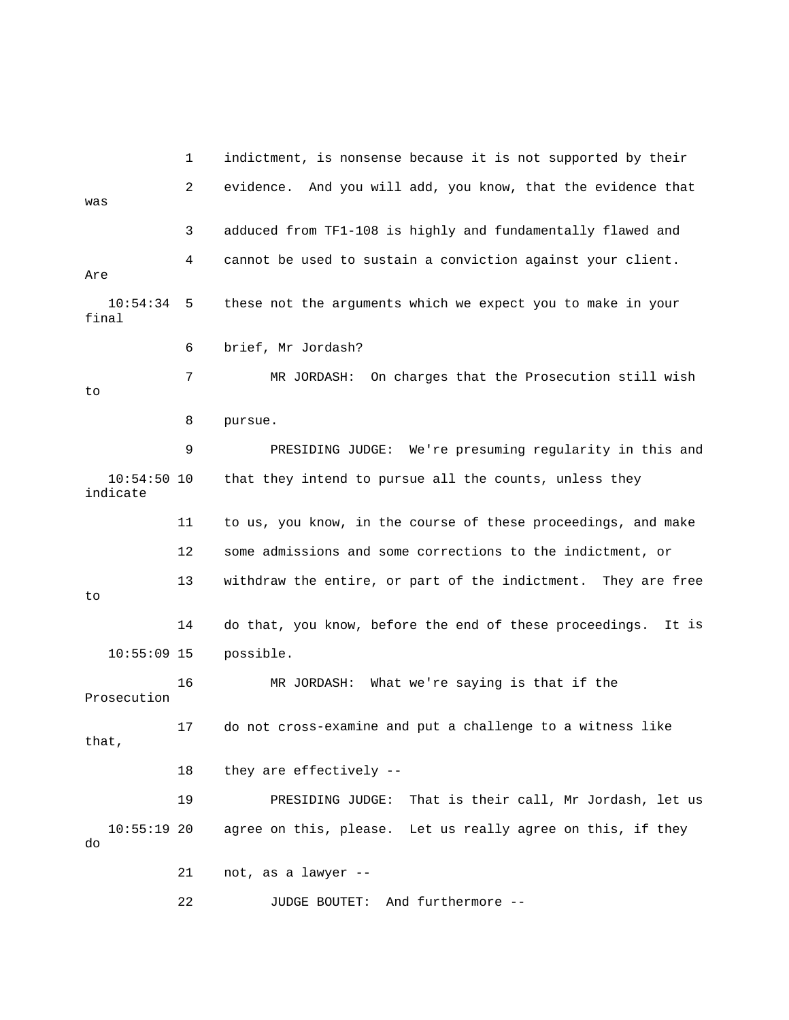1 indictment, is nonsense because it is not supported by their 2 evidence. And you will add, you know, that the evidence that was final 6 brief, Mr Jordash? 10:54:50 10 that they intend to pursue all the counts, unless they 12 some admissions and some corrections to the indictment, or 13 withdraw the entire, or part of the indictment. They are free 14 do that, you know, before the end of these proceedings. It is 16 MR JORDASH: What we're saying is that if the 17 do not cross-examine and put a challenge to a witness like that, us 19 PRESIDING JUDGE: That is their call, Mr Jordash, let 10:55:19 20 agree on this, please. Let us really agree on this, if they 3 adduced from TF1-108 is highly and fundamentally flawed and 4 cannot be used to sustain a conviction against your client. Are 10:54:34 5 these not the arguments which we expect you to make in your 7 MR JORDASH: On charges that the Prosecution still wish to 8 pursue. 9 PRESIDING JUDGE: We're presuming regularity in this and indicate 11 to us, you know, in the course of these proceedings, and make to 10:55:09 15 possible. Prosecution 18 they are effectively - do 21 not, as a lawyer -- 22 JUDGE BOUTET: And furthermore --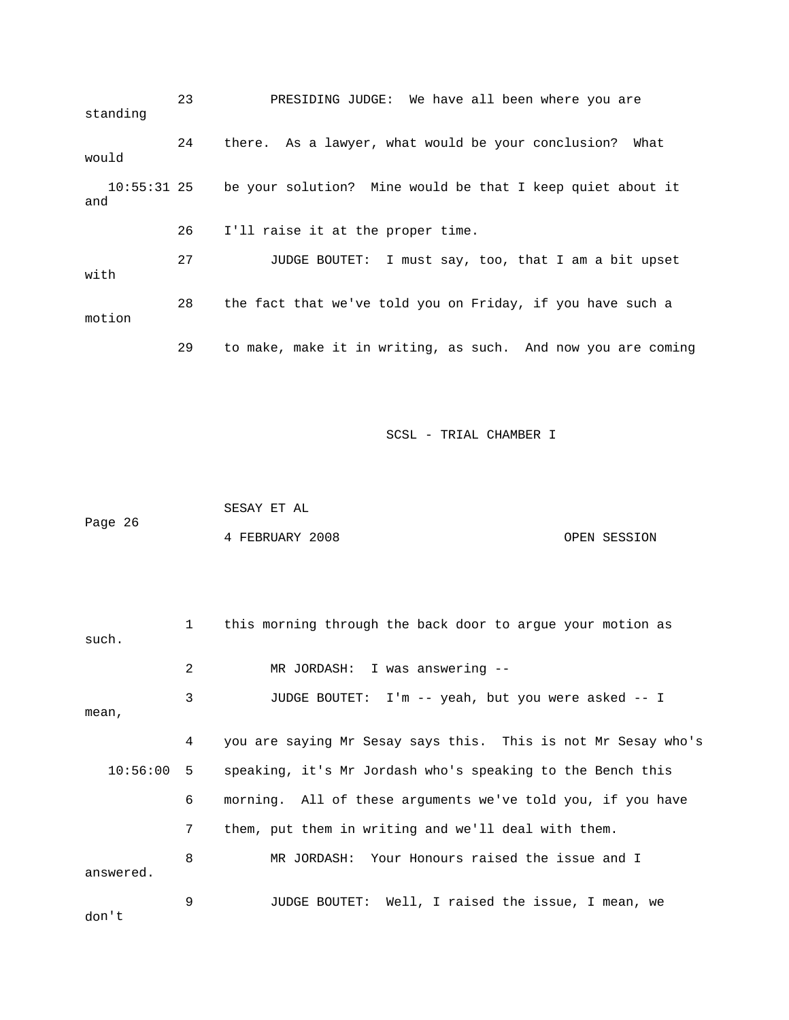23 PRESIDING JUDGE: We have all been where you are 24 there. As a lawyer, what would be your conclusion? What be your solution? Mine would be that I keep quiet about it 26 I'll raise it at the proper time. 28 the fact that we've told you on Friday, if you have such a motion 29 to make, make it in writing, as such. And now you are coming standing would 10:55:3 and 27 JUDGE BOUTET: I must say, too, that I am a bit upset with

SCSL - TRIAL CHAMBER I

Page 26 4 FEBRUARY 2008 OPEN SESSION SESAY ET AL

| such.        | 1 | this morning through the back door to arque your motion as    |
|--------------|---|---------------------------------------------------------------|
|              | 2 | MR JORDASH: I was answering --                                |
| mean,        | 3 | JUDGE BOUTET: I'm -- yeah, but you were asked -- I            |
|              | 4 | you are saying Mr Sesay says this. This is not Mr Sesay who's |
| $10:56:00$ 5 |   | speaking, it's Mr Jordash who's speaking to the Bench this    |
|              | 6 | morning. All of these arguments we've told you, if you have   |
|              | 7 | them, put them in writing and we'll deal with them.           |
| answered.    | 8 | MR JORDASH: Your Honours raised the issue and I               |
| don't        | 9 | JUDGE BOUTET: Well, I raised the issue, I mean, we            |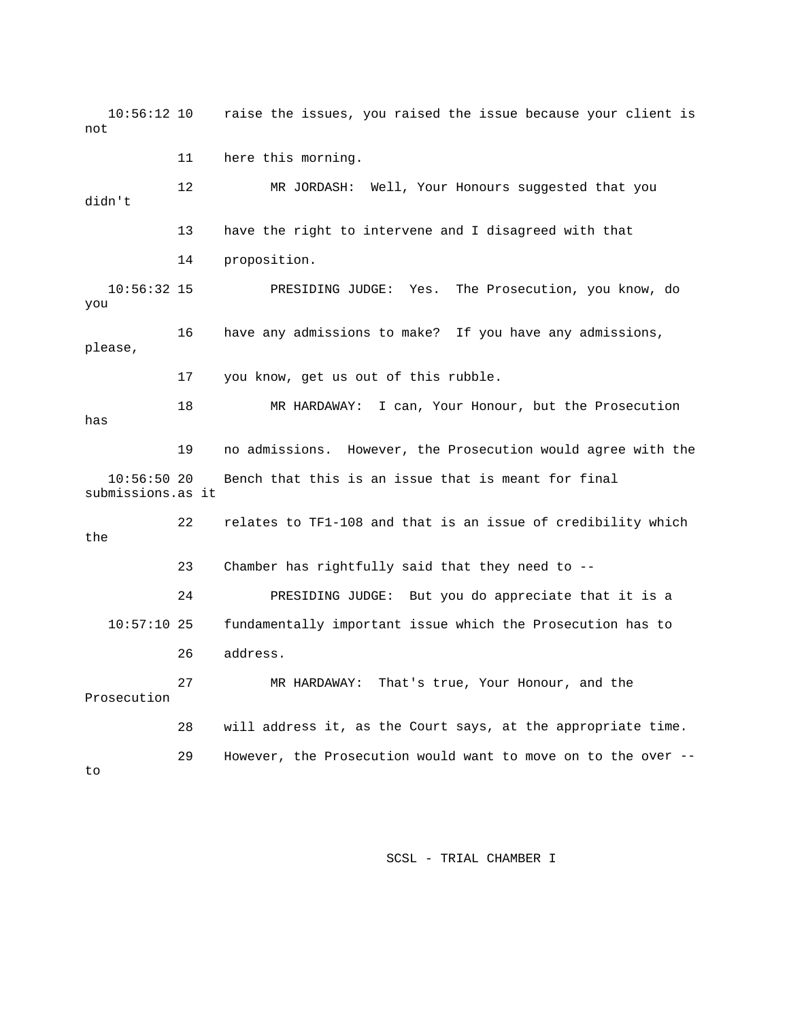10:56:12 10 raise the issues, you raised the issue because your client is not

11 here this morning.

didn't 13 have the right to intervene and I disagreed with that 10:56:32 15 PRESIDING JUDGE: Yes. The Prosecution, you know, do 16 have any admissions to make? If you have any admissions, please, 17 you know, get us out of this rubble. 19 no admissions. However, the Prosecution would agree with the submissions.as it the Chamber has rightfully said that they need to -- 10:57:10 25 fundamentally important issue which the Prosecution has to 26 address. 28 will address it, as the Court says, at the appropriate time. 29 However, the Prosecution would want to move on to the over -- 12 MR JORDASH: Well, Your Honours suggested that you 14 proposition. you 18 MR HARDAWAY: I can, Your Honour, but the Prosecution has 10:56:50 20 Bench that this is an issue that is meant for final 22 relates to TF1-108 and that is an issue of credibility which 23 24 PRESIDING JUDGE: But you do appreciate that it is a 27 MR HARDAWAY: That's true, Your Honour, and the Prosecution to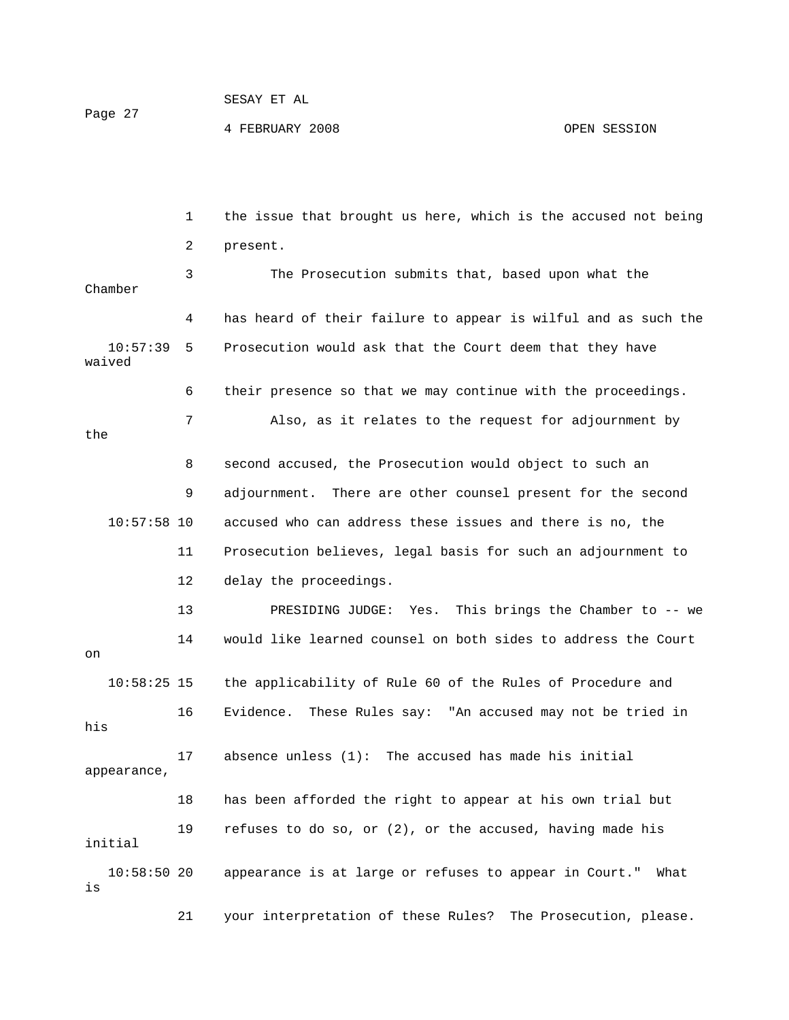| Page 27 | SESAY ET AL     |              |
|---------|-----------------|--------------|
|         | 4 FEBRUARY 2008 | OPEN SESSION |

 1 the issue that brought us here, which is the accused not being 2 present. 3 The Prosecution submits that, based upon what the 4 has heard of their failure to appear is wilful and as such the y 7 Also, as it relates to the request for adjournment b 10:57:58 10 accused who can address these issues and there is no, the 11 Prosecution believes, legal basis for such an adjournment to 12 delay the proceedings. 13 PRESIDING JUDGE: Yes. This brings the Chamber to -- we 18 has been afforded the right to appear at his own trial but 19 refuses to do so, or (2), or the accused, having made his 21 your interpretation of these Rules? The Prosecution, please. Chamber 10:57:39 5 Prosecution would ask that the Court deem that they have waived 6 their presence so that we may continue with the proceedings. the 8 second accused, the Prosecution would object to such an 9 adjournment. There are other counsel present for the second 14 would like learned counsel on both sides to address the Court on 10:58:25 15 the applicability of Rule 60 of the Rules of Procedure and 16 Evidence. These Rules say: "An accused may not be tried in his 17 absence unless (1): The accused has made his initial appearance, initial 10:58:50 20 appearance is at large or refuses to appear in Court." What is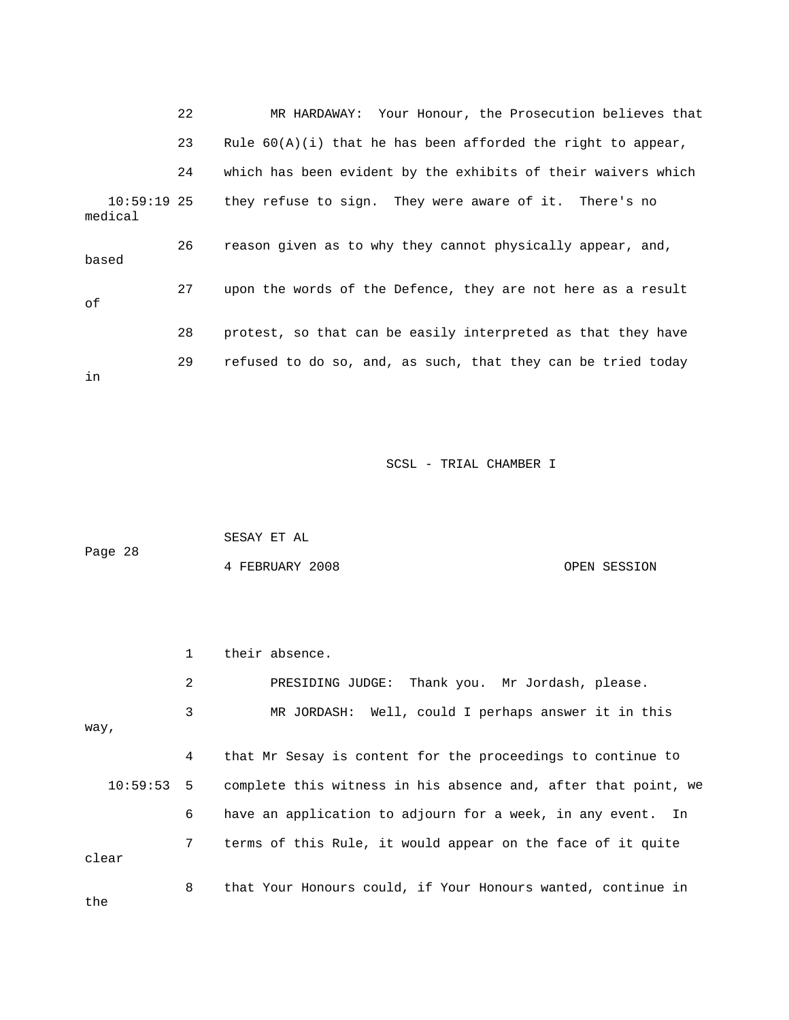|                          | 22 | MR HARDAWAY: Your Honour, the Prosecution believes that        |
|--------------------------|----|----------------------------------------------------------------|
|                          | 23 | Rule $60(A)(i)$ that he has been afforded the right to appear, |
|                          | 24 | which has been evident by the exhibits of their waivers which  |
| $10:59:19$ 25<br>medical |    | they refuse to sign. They were aware of it. There's no         |
| based                    | 26 | reason given as to why they cannot physically appear, and,     |
| оf                       | 27 | upon the words of the Defence, they are not here as a result   |
|                          | 28 | protest, so that can be easily interpreted as that they have   |
| in                       | 29 | refused to do so, and, as such, that they can be tried today   |

| Page 28 | SESAY ET AL     |              |
|---------|-----------------|--------------|
|         | 4 FEBRUARY 2008 | OPEN SESSION |

|       |                | their absence.                                                            |
|-------|----------------|---------------------------------------------------------------------------|
|       | 2              | PRESIDING JUDGE: Thank you. Mr Jordash, please.                           |
| way,  | 3              | MR JORDASH: Well, could I perhaps answer it in this                       |
|       | 4              | that Mr Sesay is content for the proceedings to continue to               |
|       |                | 10:59:53 5 complete this witness in his absence and, after that point, we |
|       | 6              | have an application to adjourn for a week, in any event. In               |
| clear | 7 <sup>7</sup> | terms of this Rule, it would appear on the face of it quite               |
| the   | 8              | that Your Honours could, if Your Honours wanted, continue in              |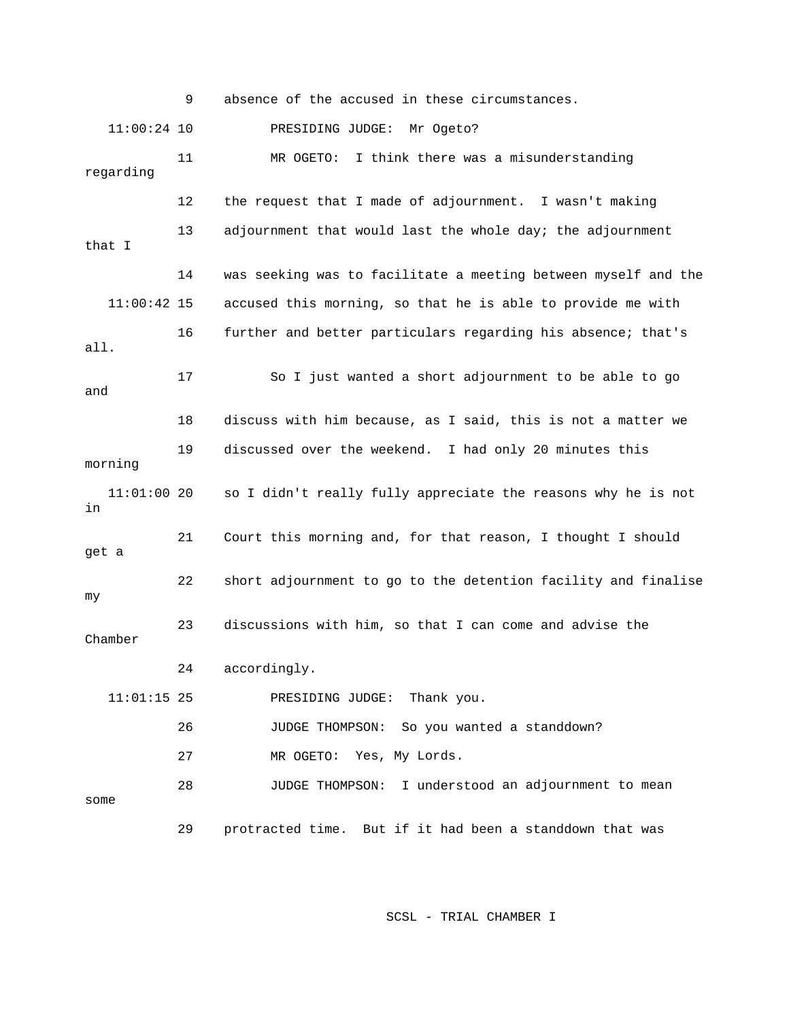9 absence of the accused in these circumstances. 11:00:24 10 PRESIDING JUDGE: Mr Ogeto? 11 MR OGETO: I think there was a misunderstanding regarding 12 the request that I made of adjournment. I wasn't making 13 adjournment that would last the whole day; the adjournment 14 was seeking was to facilitate a meeting between myself and the 11:00:42 15 accused this morning, so that he is able to provide me with 16 further and better particulars regarding his absence; that's all. 19 discussed over the weekend. I had only 20 minutes this 11:01:00 20 so I didn't really fully appreciate the reasons why he is not 21 Court this morning and, for that reason, I thought I should 11:01:15 25 PRESIDING JUDGE: Thank you. 27 MR OGETO: Yes, My Lords. 28 JUDGE THOMPSON: I understood an adjournment to mean some 29 protracted time. But if it had been a standdown that was that I 17 So I just wanted a short adjournment to be able to go and 18 discuss with him because, as I said, this is not a matter we morning in get a 22 short adjournment to go to the detention facility and finalise my 23 discussions with him, so that I can come and advise the Chamber 24 accordingly. 26 JUDGE THOMPSON: So you wanted a standdown?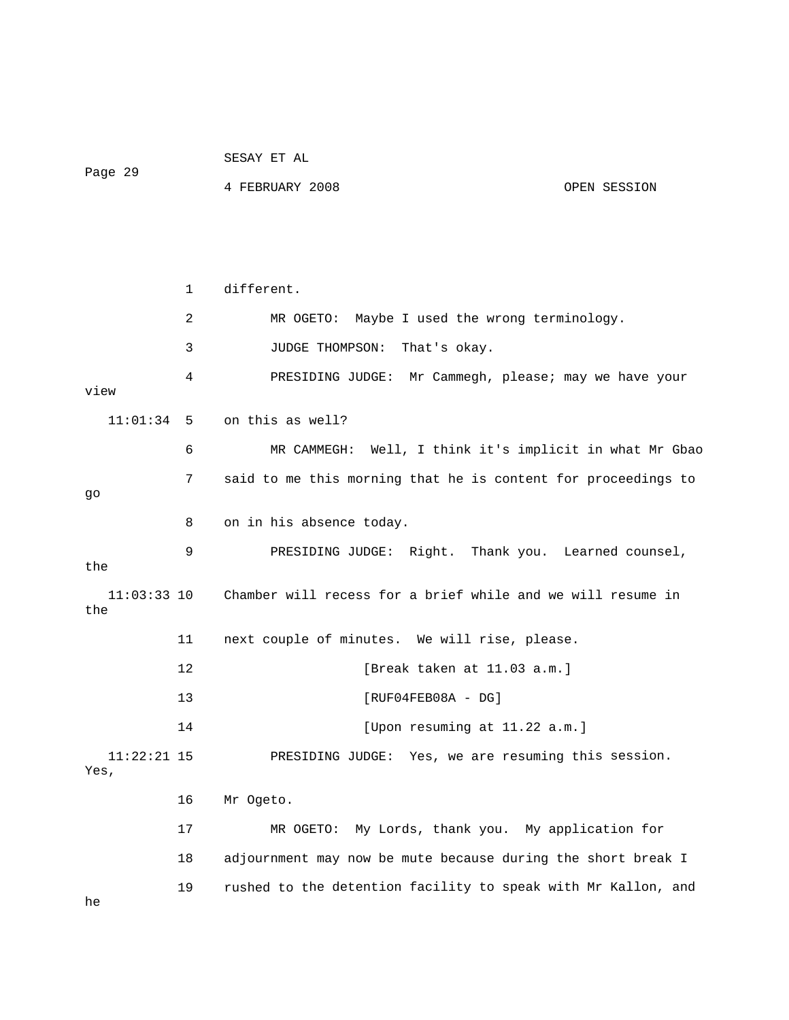|         | SESAY ET AL |  |
|---------|-------------|--|
| Page 29 |             |  |

4 FEBRUARY 2008 OPEN SESSION

 1 different. 2 MR OGETO: Maybe I used the wrong terminology. 3 JUDGE THOMPSON: That's okay. 4 PRESIDING JUDGE: Mr Cammegh, please; may we have your view 6 MR CAMMEGH: Well, I think it's implicit in what Mr Gbao 7 said to me this morning that he is content for proceedings to 8 on in his absence today. 11:03:33 10 Chamber will recess for a brief while and we will resume in 12 [Break taken at 11.03 a.m.] 13 [RUF04FEB08A - DG] 11:22:21 15 PRESIDING JUDGE: Yes, we are resuming this session. 16 Mr Ogeto. 17 MR OGETO: My Lords, thank you. My application for 19 rushed to the detention facility to speak with Mr Kallon, and 11:01:34 5 on this as well? go 9 PRESIDING JUDGE: Right. Thank you. Learned counsel, the the 11 next couple of minutes. We will rise, please. 14 [Upon resuming at 11.22 a.m.] Yes, 18 adjournment may now be mute because during the short break I

he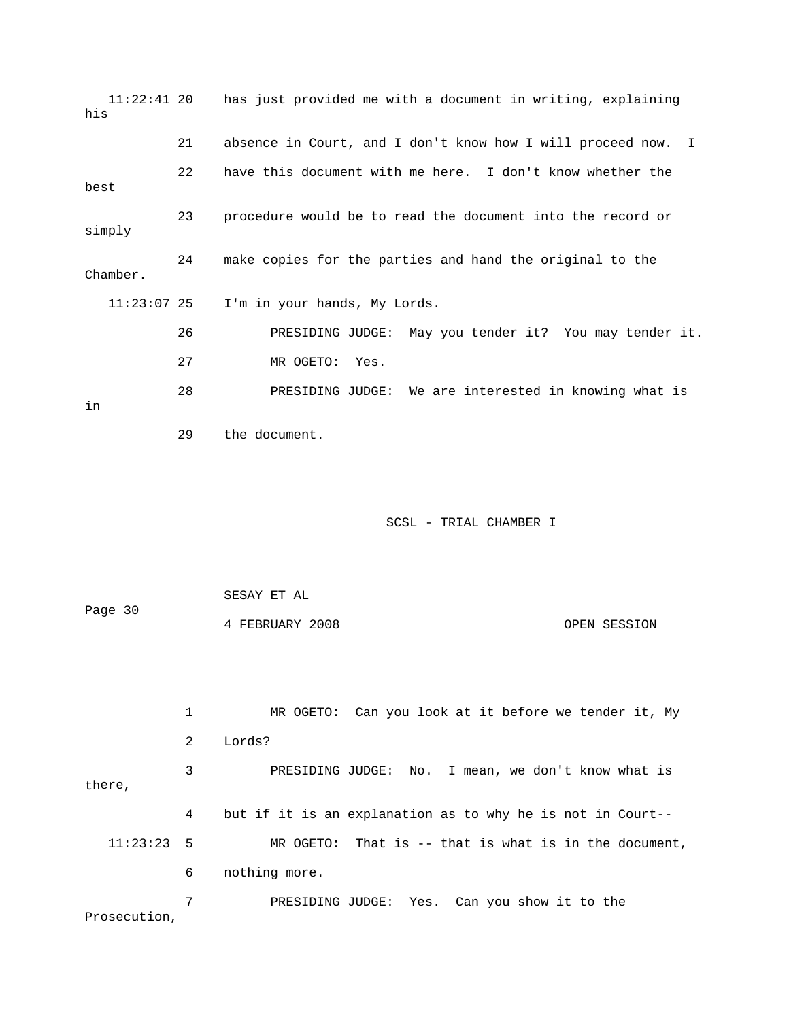| $11:22:41$ 20<br>his |                | has just provided me with a document in writing, explaining     |
|----------------------|----------------|-----------------------------------------------------------------|
|                      | 21             | absence in Court, and I don't know how I will proceed now.<br>I |
| best                 | 22             | have this document with me here. I don't know whether the       |
| simply               | 23             | procedure would be to read the document into the record or      |
| Chamber.             | 24             | make copies for the parties and hand the original to the        |
| $11:23:07$ 25        |                | I'm in your hands, My Lords.                                    |
|                      | 26             | May you tender it? You may tender it.<br>PRESIDING JUDGE:       |
|                      | 27             | MR OGETO:<br>Yes.                                               |
| in                   | 28             | PRESIDING JUDGE: We are interested in knowing what is           |
|                      | 29             | the document.                                                   |
|                      |                | SCSL - TRIAL CHAMBER I                                          |
|                      |                |                                                                 |
| Page 30              |                | SESAY ET AL                                                     |
|                      |                | 4 FEBRUARY 2008<br>OPEN SESSION                                 |
|                      |                |                                                                 |
|                      | $\mathbf{1}$   | MR OGETO: Can you look at it before we tender it, My            |
|                      | $\overline{a}$ | Lords?                                                          |
| there,               | 3              | PRESIDING JUDGE: No. I mean, we don't know what is              |
|                      | 4              | but if it is an explanation as to why he is not in Court--      |
| $11:23:23$ 5         |                | MR OGETO: That is -- that is what is in the document,           |
|                      | 6              | nothing more.                                                   |
|                      | 7              | Yes. Can you show it to the<br>PRESIDING JUDGE:                 |

Prosecution,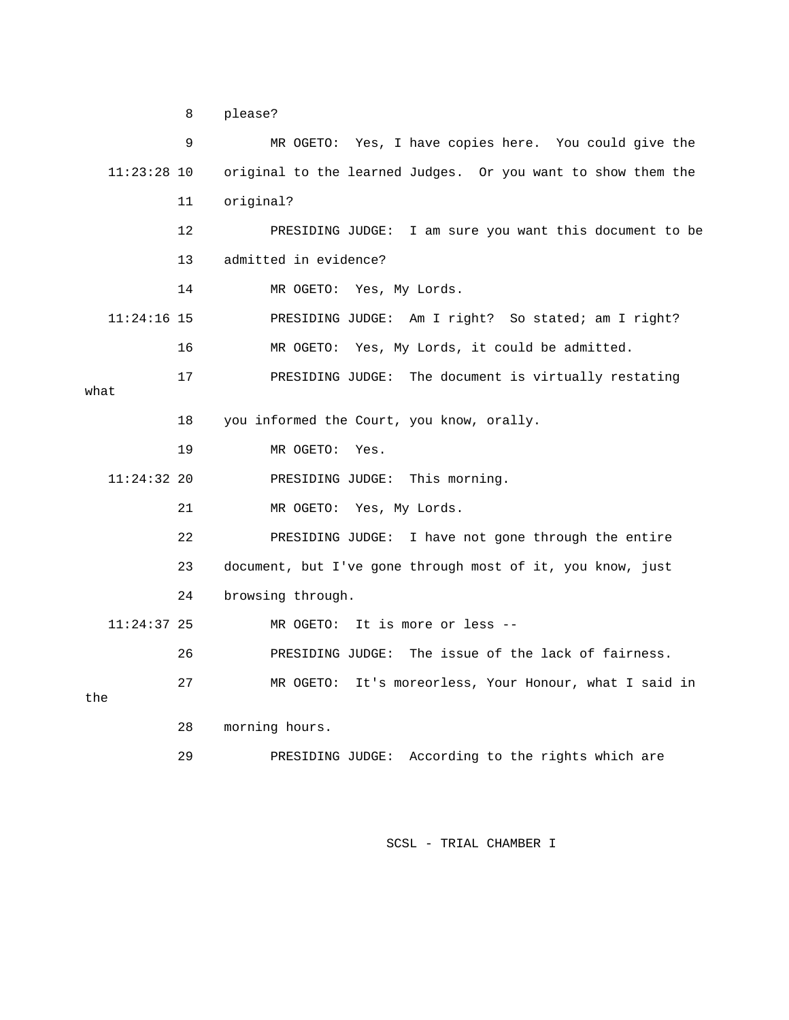8 please?

|               | 9       | MR OGETO: Yes, I have copies here. You could give the        |
|---------------|---------|--------------------------------------------------------------|
| $11:23:28$ 10 |         | original to the learned Judges. Or you want to show them the |
|               | 11      | original?                                                    |
|               | $12 \,$ | PRESIDING JUDGE: I am sure you want this document to be      |
|               | 13      | admitted in evidence?                                        |
|               | 14      | MR OGETO: Yes, My Lords.                                     |
| $11:24:16$ 15 |         | PRESIDING JUDGE: Am I right? So stated; am I right?          |
|               | 16      | MR OGETO: Yes, My Lords, it could be admitted.               |
|               | 17      | PRESIDING JUDGE: The document is virtually restating         |
| what          |         |                                                              |
|               | 18      | you informed the Court, you know, orally.                    |
|               | 19      | MR OGETO:<br>Yes.                                            |
| $11:24:32$ 20 |         | PRESIDING JUDGE:<br>This morning.                            |
|               | 21      | MR OGETO: Yes, My Lords.                                     |
|               | 22      | I have not gone through the entire<br>PRESIDING JUDGE:       |
|               | 23      | document, but I've gone through most of it, you know, just   |
|               | 24      | browsing through.                                            |
| $11:24:37$ 25 |         | MR OGETO: It is more or less --                              |
|               | 26      | PRESIDING JUDGE: The issue of the lack of fairness.          |
|               | 27      | MR OGETO: It's moreorless, Your Honour, what I said in       |
| the           |         |                                                              |
|               | 28      | morning hours.                                               |
|               | 29      | According to the rights which are<br>PRESIDING JUDGE:        |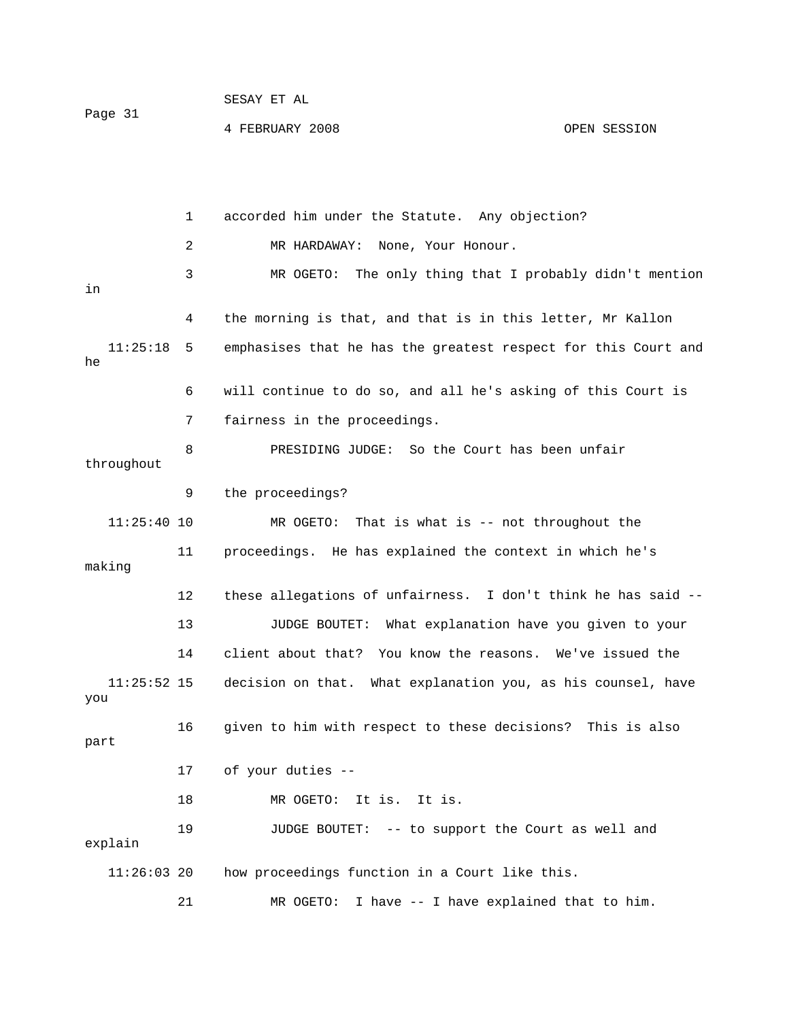| Page 31 | SESAY ET AL     |              |
|---------|-----------------|--------------|
|         | 4 FEBRUARY 2008 | OPEN SESSION |

 2 MR HARDAWAY: None, Your Honour. 3 MR OGETO: The only thing that I probably didn't mention 4 the morning is that, and that is in this letter, Mr Kallon 11:25:18 5 emphasises that he has the greatest respect for this Court and 6 will continue to do so, and all he's asking of this Court is 8 PRESIDING JUDGE: So the Court has been unfair 9 the proceedings? 11:25:40 10 MR OGETO: That is what is -- not throughout the 11 proceedings. He has explained the context in which he's making 12 these allegations of unfairness. I don't think he has said -- 13 JUDGE BOUTET: What explanation have you given to your 14 client about that? You know the reasons. We've issued the you 18 MR OGETO: It is. It is. 19 JUDGE BOUTET: -- to support the Court as well and explain  $11:26:03$  20 how proceedings function in a Court like this. 21 MR OGETO: I have -- I have explained that to him. 1 accorded him under the Statute. Any objection? in he 7 fairness in the proceedings. throughout 11:25:52 15 decision on that. What explanation you, as his counsel, have 16 given to him with respect to these decisions? This is also part 17 of your duties --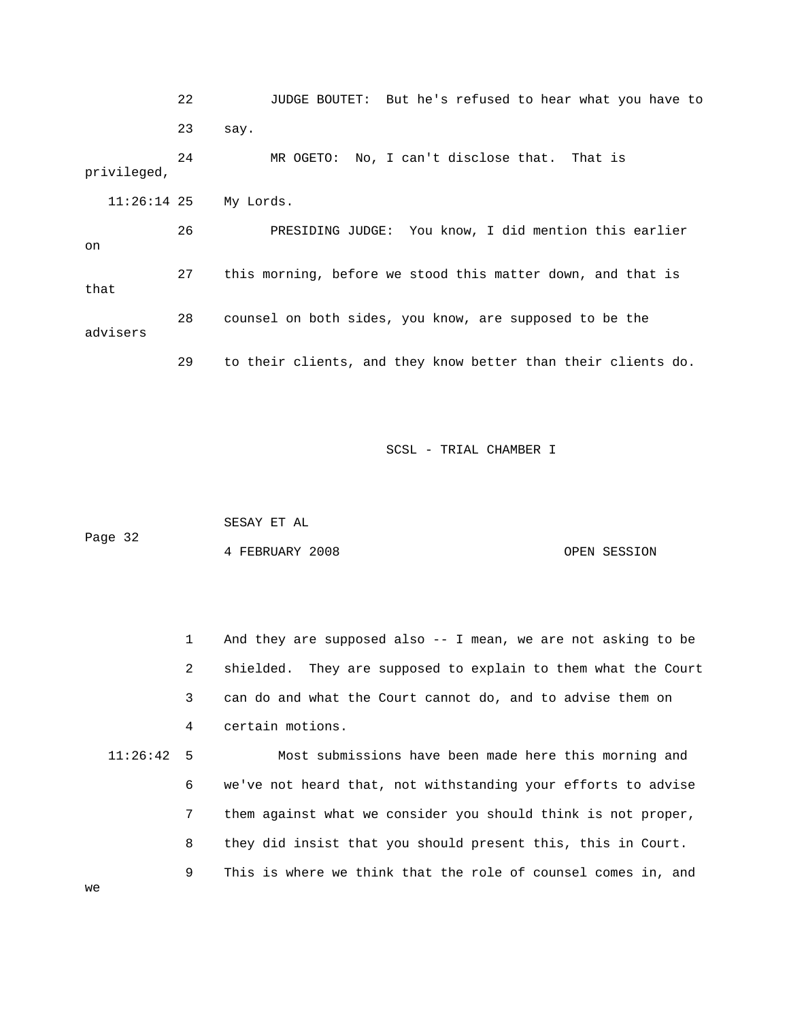22 JUDGE BOUTET: But he's refused to hear what you have to 23 say. PRESIDING JUDGE: You know, I did mention this earlier 7 this morning, before we stood this matter down, and that is 28 counsel on both sides, you know, are supposed to be the 29 to their clients, and they know better than their clients do. 24 MR OGETO: No, I can't disclose that. That is privileged, 11:26:14 25 My Lords. 26 on 2 that advisers

SCSL - TRIAL CHAMBER I

 SESAY ET AL Page 32 OPEN SESSION 4 FEBRUARY 2008

1 And they are supposed also -- I mean, we are not asking to be 2 shielded. They are supposed to explain to them what the Court 3 can do and what the Court cannot do, and to advise them on 4 certain motions. 11:26:42 5 Most submissions have been made here this morning and 6 we've not heard that, not withstanding your efforts to advise 7 them against what we consider you should think is not proper, 8 they did insist that you should present this, this in Court. 9 This is where we think that the role of counsel comes in, and

we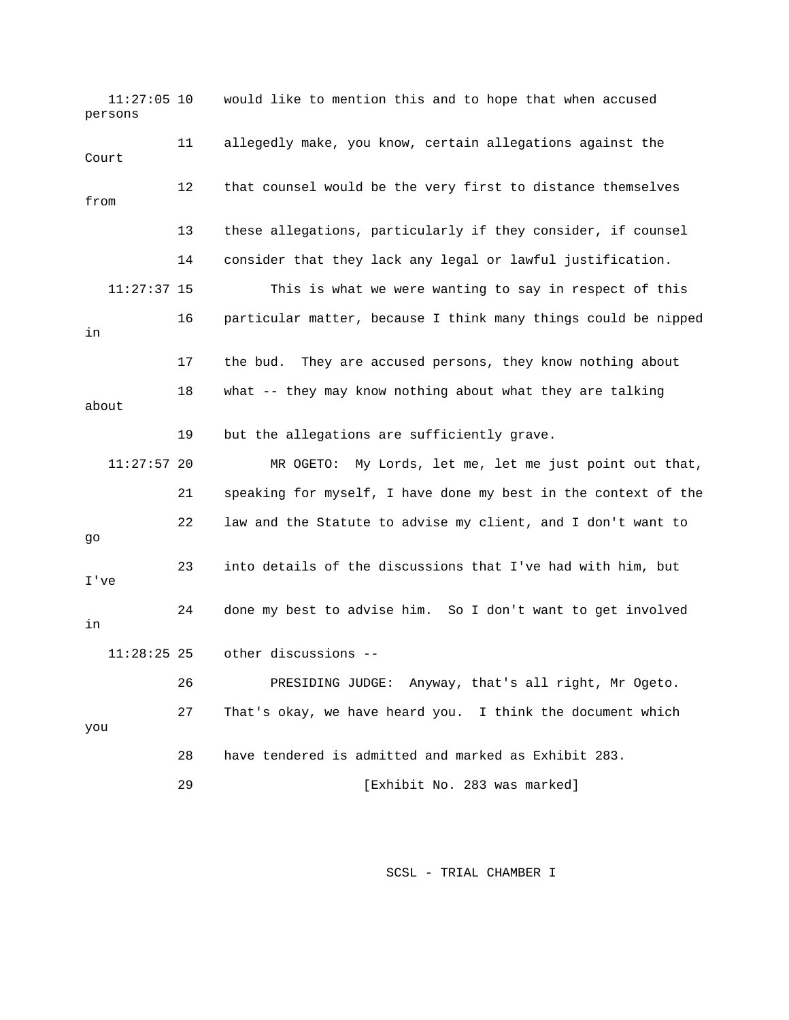11:27:05 10 would like to mention this and to hope that when accused Court 12 that counsel would be the very first to distance themselves 13 these allegations, particularly if they consider, if counsel 14 consider that they lack any legal or lawful justification. This is what we were wanting to say in respect of this 17 the bud. They are accused persons, they know nothing about 18 what -- they may know nothing about what they are talking 19 but the allegations are sufficiently grave. 11:27:57 20 MR OGETO: My Lords, let me, let me just point out that, 21 speaking for myself, I have done my best in the context of the 22 law and the Statute to advise my client, and I don't want to 23 into details of the discussions that I've had with him, but 26 PRESIDING JUDGE: Anyway, that's all right, Mr Ogeto. 27 That's okay, we have heard you. I think the document which 28 have tendered is admitted and marked as Exhibit 283. 29 [Exhibit No. 283 was marked] persons 11 allegedly make, you know, certain allegations against the from  $11:27:37$  15 16 particular matter, because I think many things could be nipped in about go I've 24 done my best to advise him. So I don't want to get involved in 11:28:25 25 other discussions - you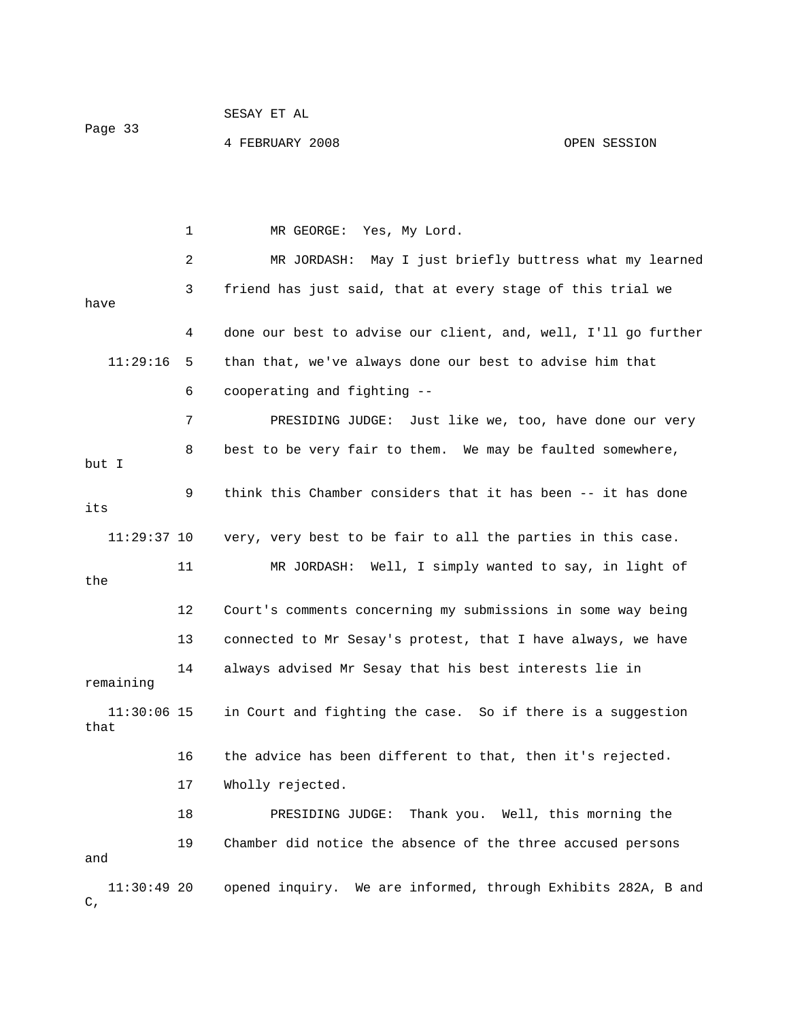SESAY ET AL

Page 33

4 FEBRUARY 2008

OPEN SESSION

 2 MR JORDASH: May I just briefly buttress what my learned 3 friend has just said, that at every stage of this trial we have 11:29:16 5 than that, we've always done our best to advise him that 6 cooperating and fighting -- 8 best to be very fair to them. We may be faulted somewhere, 9 think this Chamber considers that it has been -- it has done 11 MR JORDASH: Well, I simply wanted to say, in light of 12 Court's comments concerning my submissions in some way being 14 always advised Mr Sesay that his best interests lie in remaining 11:30:06 15 in Court and fighting the case. So if there is a suggestion 16 the advice has been different to that, then it's rejected. 17 Wholly rejected. 11:30:49 20 opened inquiry. We are informed, through Exhibits 282A, B and 1 MR GEORGE: Yes, My Lord. 4 done our best to advise our client, and, well, I'll go further 7 PRESIDING JUDGE: Just like we, too, have done our very but I its 11:29:37 10 very, very best to be fair to all the parties in this case. the 13 connected to Mr Sesay's protest, that I have always, we have that 18 PRESIDING JUDGE: Thank you. Well, this morning the 19 Chamber did notice the absence of the three accused persons and  $C$ .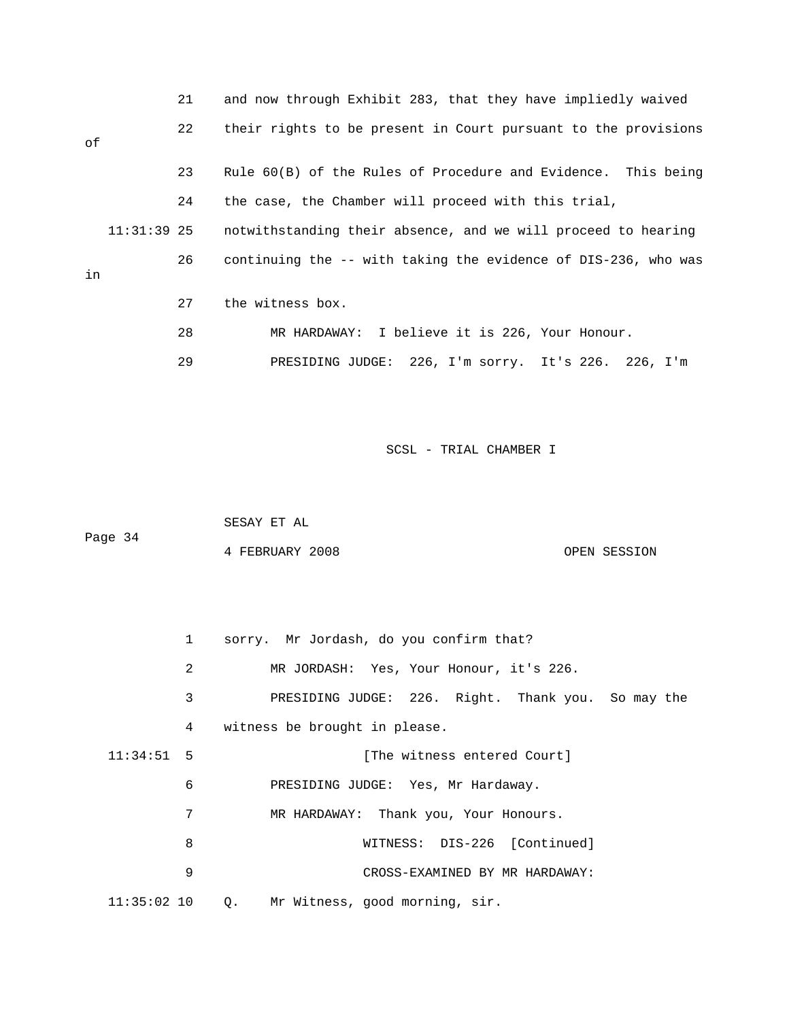|    |             | 21 | and now through Exhibit 283, that they have impliedly waived   |
|----|-------------|----|----------------------------------------------------------------|
| оf |             | 22 | their rights to be present in Court pursuant to the provisions |
|    |             | 23 | Rule 60(B) of the Rules of Procedure and Evidence. This being  |
|    |             | 24 | the case, the Chamber will proceed with this trial,            |
|    | 11:31:39 25 |    | notwithstanding their absence, and we will proceed to hearing  |
| in |             | 26 | continuing the -- with taking the evidence of DIS-236, who was |
|    |             | 27 | the witness box.                                               |
|    |             | 28 | MR HARDAWAY: I believe it is 226, Your Honour.                 |
|    |             | 29 | PRESIDING JUDGE: 226, I'm sorry. It's 226. 226, I'm            |

| Page 34 | SESAY ET AL     |              |
|---------|-----------------|--------------|
|         | 4 FEBRUARY 2008 | OPEN SESSION |

|               | $1 \quad$ | sorry. Mr Jordash, do you confirm that?            |
|---------------|-----------|----------------------------------------------------|
|               | 2         | MR JORDASH: Yes, Your Honour, it's 226.            |
|               | 3         | PRESIDING JUDGE: 226. Right. Thank you. So may the |
|               | 4         | witness be brought in please.                      |
| $11:34:51$ 5  |           | [The witness entered Court]                        |
|               | 6         | PRESIDING JUDGE: Yes, Mr Hardaway.                 |
|               | 7         | MR HARDAWAY: Thank you, Your Honours.              |
|               | 8         | WITNESS: DIS-226 [Continued]                       |
|               | 9         | CROSS-EXAMINED BY MR HARDAWAY:                     |
| $11:35:02$ 10 |           | Q. Mr Witness, good morning, sir.                  |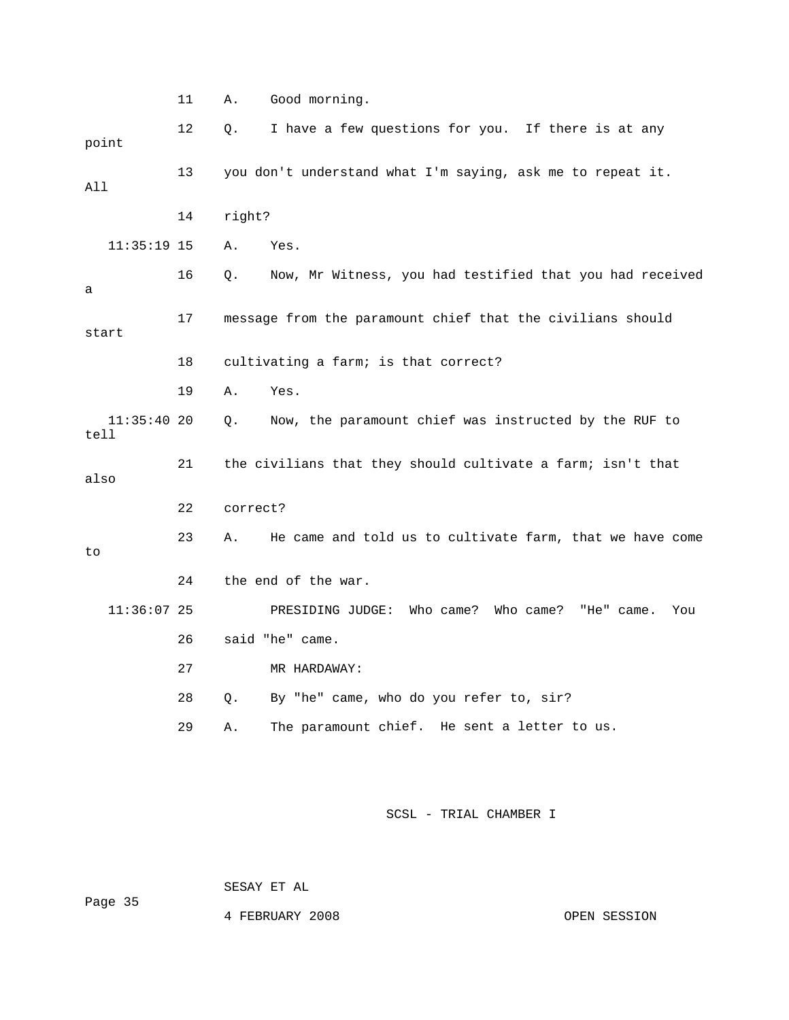|                       | 11 | Good morning.<br>Α.                                            |
|-----------------------|----|----------------------------------------------------------------|
| point                 | 12 | I have a few questions for you. If there is at any<br>Q.       |
| All                   | 13 | you don't understand what I'm saying, ask me to repeat it.     |
|                       | 14 | right?                                                         |
| $11:35:19$ 15         |    | Α.<br>Yes.                                                     |
| a                     | 16 | Now, Mr Witness, you had testified that you had received<br>Q. |
| start                 | 17 | message from the paramount chief that the civilians should     |
|                       | 18 | cultivating a farm; is that correct?                           |
|                       | 19 | Α.<br>Yes.                                                     |
| $11:35:40$ 20<br>tell |    | Now, the paramount chief was instructed by the RUF to<br>О.    |
| also                  | 21 | the civilians that they should cultivate a farm; isn't that    |
|                       | 22 | correct?                                                       |
| to                    | 23 | He came and told us to cultivate farm, that we have come<br>Α. |
|                       | 24 | the end of the war.                                            |
| $11:36:07$ 25         |    | PRESIDING JUDGE: Who came? Who came? "He" came.<br>You         |
|                       | 26 | said "he" came.                                                |
|                       | 27 | MR HARDAWAY:                                                   |
|                       | 28 | By "he" came, who do you refer to, sir?<br>О.                  |
|                       | 29 | The paramount chief. He sent a letter to us.<br>Α.             |
|                       |    |                                                                |

SESAY ET AL

4 FEBRUARY 2008 OPEN SESSION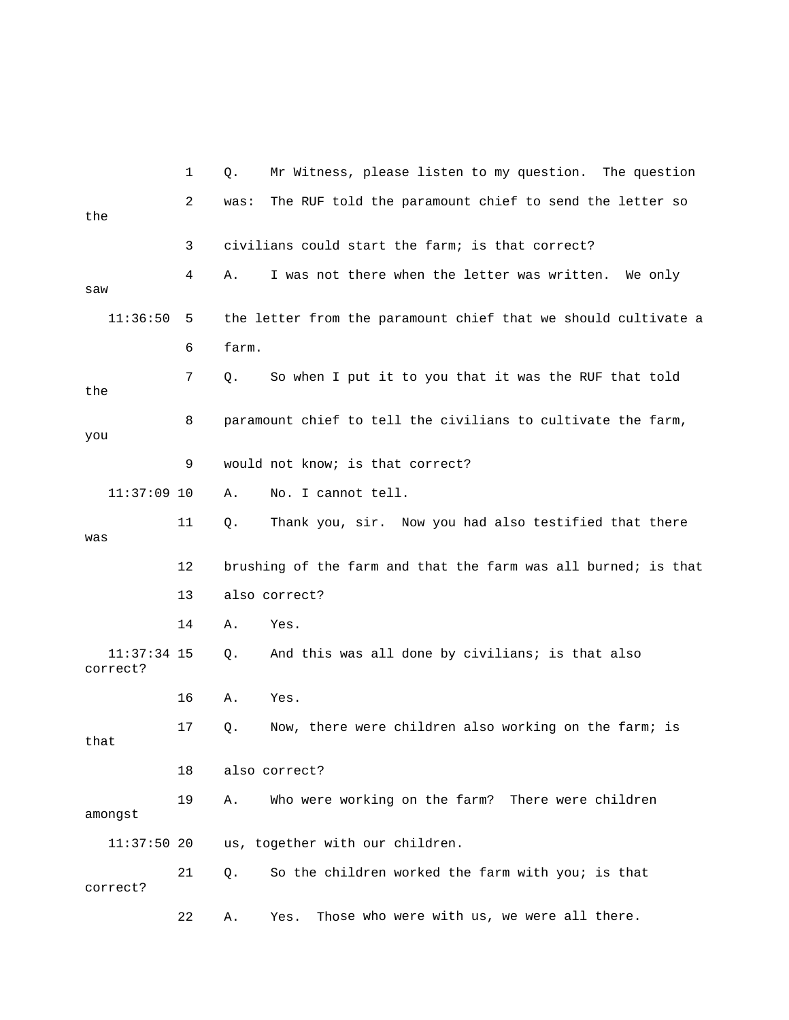|                           | 1  | Q.    | Mr Witness, please listen to my question. The question         |
|---------------------------|----|-------|----------------------------------------------------------------|
| the                       | 2  | was:  | The RUF told the paramount chief to send the letter so         |
|                           | 3  |       | civilians could start the farm; is that correct?               |
| saw                       | 4  | Α.    | I was not there when the letter was written. We only           |
| 11:36:50                  | 5  |       | the letter from the paramount chief that we should cultivate a |
|                           | 6  | farm. |                                                                |
| the                       | 7  | Q.    | So when I put it to you that it was the RUF that told          |
| you                       | 8  |       | paramount chief to tell the civilians to cultivate the farm,   |
|                           | 9  |       | would not know; is that correct?                               |
| $11:37:09$ 10             |    | Α.    | No. I cannot tell.                                             |
| was                       | 11 | Q.    | Thank you, sir. Now you had also testified that there          |
|                           | 12 |       | brushing of the farm and that the farm was all burned; is that |
|                           | 13 |       | also correct?                                                  |
|                           | 14 | Α.    | Yes.                                                           |
| $11:37:34$ 15<br>correct? |    | Q.    | And this was all done by civilians; is that also               |
|                           | 16 | Α.    | Yes.                                                           |
| that                      | 17 | Q.    | Now, there were children also working on the farm; is          |
|                           | 18 |       | also correct?                                                  |
| amongst                   | 19 | Α.    | Who were working on the farm? There were children              |
| $11:37:50$ 20             |    |       | us, together with our children.                                |
| correct?                  | 21 | Q.    | So the children worked the farm with you; is that              |
|                           | 22 | Α.    | Those who were with us, we were all there.<br>Yes.             |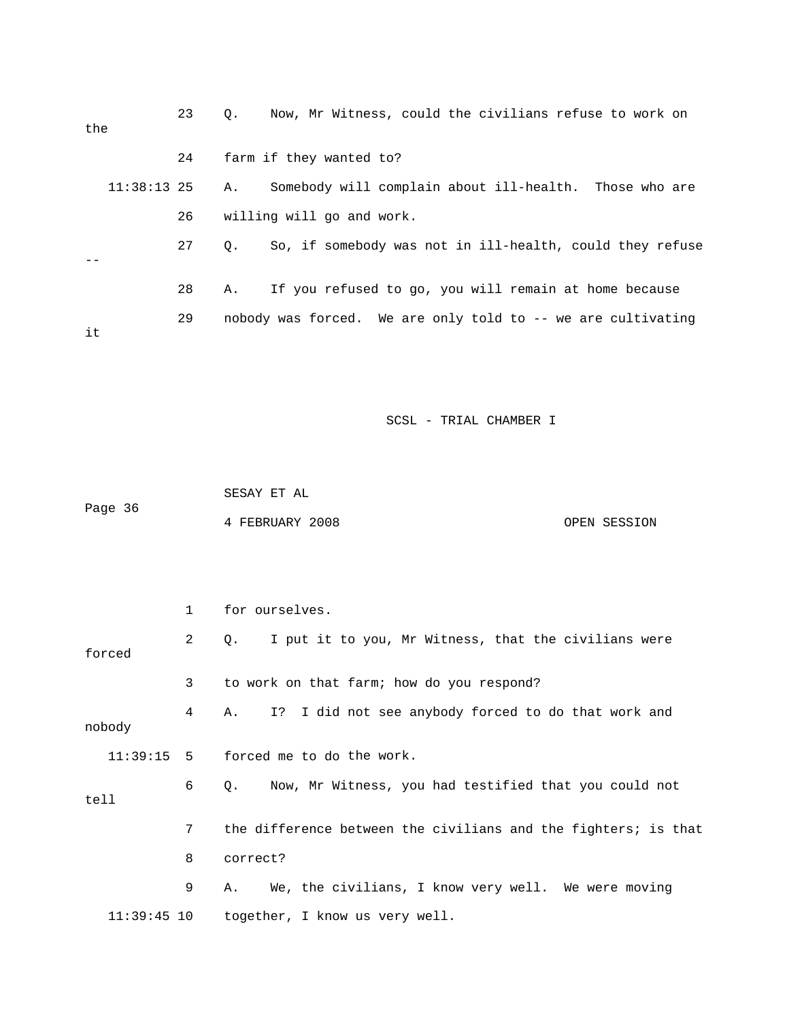| the |               | 23 | $\circ$ . | Now, Mr Witness, could the civilians refuse to work on       |
|-----|---------------|----|-----------|--------------------------------------------------------------|
|     |               | 24 |           | farm if they wanted to?                                      |
|     | $11:38:13$ 25 |    | А.        | Somebody will complain about ill-health. Those who are       |
|     |               | 26 |           | willing will go and work.                                    |
|     |               | 27 | 0.        | So, if somebody was not in ill-health, could they refuse     |
|     |               | 28 | А.        | If you refused to go, you will remain at home because        |
| it  |               | 29 |           | nobody was forced. We are only told to -- we are cultivating |

 SESAY ET AL ge 36 4 FEBRUARY 2008 OPEN SESSION Pa

|               | 1 | for ourselves.                                                     |
|---------------|---|--------------------------------------------------------------------|
| forced        | 2 | I put it to you, Mr Witness, that the civilians were<br>Q.         |
|               | 3 | to work on that farm; how do you respond?                          |
| nobody        | 4 | I? I did not see anybody forced to do that work and<br>A.          |
|               |   | $11:39:15$ 5 forced me to do the work.                             |
| tell          | 6 | Now, Mr Witness, you had testified that you could not<br>$\circ$ . |
|               | 7 | the difference between the civilians and the fighters; is that     |
|               | 8 | correct?                                                           |
|               | 9 | We, the civilians, I know very well. We were moving<br>Α.          |
| $11:39:45$ 10 |   | together, I know us very well.                                     |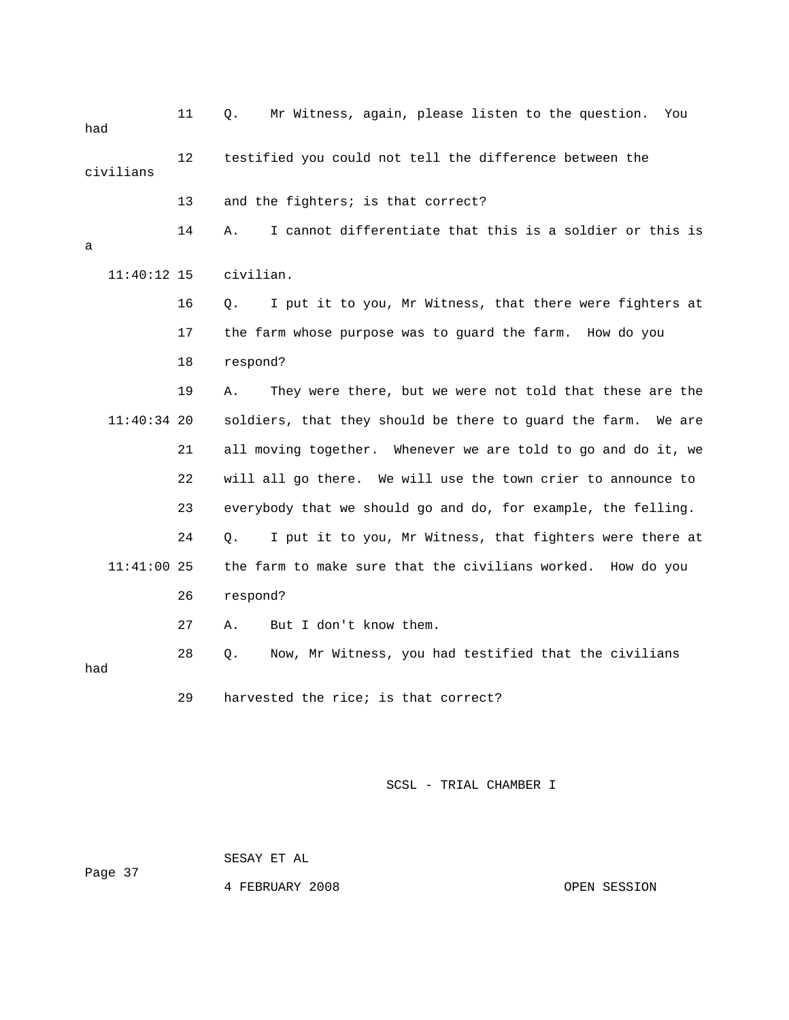| had       |               | 11 | Mr Witness, again, please listen to the question.<br>Q.<br>You   |
|-----------|---------------|----|------------------------------------------------------------------|
| civilians |               | 12 | testified you could not tell the difference between the          |
|           |               | 13 | and the fighters; is that correct?                               |
| a         |               | 14 | I cannot differentiate that this is a soldier or this is<br>Α.   |
|           | $11:40:12$ 15 |    | civilian.                                                        |
|           |               | 16 | I put it to you, Mr Witness, that there were fighters at<br>Q.   |
|           |               | 17 | the farm whose purpose was to guard the farm. How do you         |
|           |               | 18 | respond?                                                         |
|           |               | 19 | They were there, but we were not told that these are the<br>Α.   |
|           | $11:40:34$ 20 |    | soldiers, that they should be there to guard the farm.<br>We are |
|           |               | 21 | all moving together. Whenever we are told to go and do it, we    |
|           |               | 22 | will all go there. We will use the town crier to announce to     |
|           |               | 23 | everybody that we should go and do, for example, the felling.    |
|           |               | 24 | I put it to you, Mr Witness, that fighters were there at<br>О.   |
|           | $11:41:00$ 25 |    | the farm to make sure that the civilians worked. How do you      |
|           |               | 26 | respond?                                                         |
|           |               | 27 | But I don't know them.<br>Α.                                     |
| had       |               | 28 | Now, Mr Witness, you had testified that the civilians<br>Q.      |
|           |               | 29 | harvested the rice; is that correct?                             |

SESAY ET AL

Page 37

4 FEBRUARY 2008 OPEN SESSION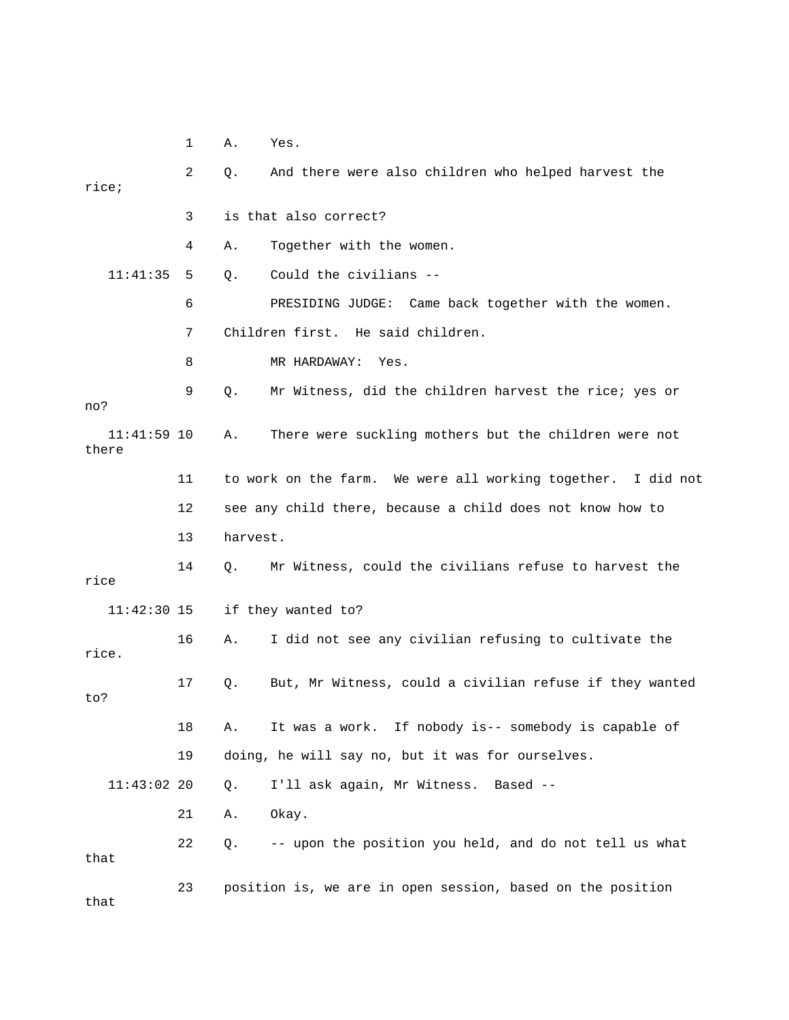1 A. Yes.

| rice;                  | 2  | Q.       | And there were also children who helped harvest the             |
|------------------------|----|----------|-----------------------------------------------------------------|
|                        | 3  |          | is that also correct?                                           |
|                        | 4  | Α.       | Together with the women.                                        |
| 11:41:35               | 5  | Q.       | Could the civilians --                                          |
|                        | 6  |          | PRESIDING JUDGE: Came back together with the women.             |
|                        | 7  |          | Children first. He said children.                               |
|                        | 8  |          | MR HARDAWAY:<br>Yes.                                            |
| no?                    | 9  | Q.       | Mr Witness, did the children harvest the rice; yes or           |
| $11:41:59$ 10<br>there |    | Α.       | There were suckling mothers but the children were not           |
|                        | 11 |          | to work on the farm. We were all working together.<br>I did not |
|                        | 12 |          | see any child there, because a child does not know how to       |
|                        | 13 | harvest. |                                                                 |
| rice                   | 14 | Q.       | Mr Witness, could the civilians refuse to harvest the           |
| $11:42:30$ 15          |    |          | if they wanted to?                                              |
| rice.                  | 16 | Α.       | I did not see any civilian refusing to cultivate the            |
| to?                    | 17 | Q.       | But, Mr Witness, could a civilian refuse if they wanted         |
|                        | 18 | Α.       | If nobody is-- somebody is capable of<br>It was a work.         |
|                        | 19 |          | doing, he will say no, but it was for ourselves.                |
| $11:43:02$ 20          |    | Q.       | I'll ask again, Mr Witness. Based --                            |
|                        | 21 | Α.       | Okay.                                                           |
| that                   | 22 | Q.       | -- upon the position you held, and do not tell us what          |
| that                   | 23 |          | position is, we are in open session, based on the position      |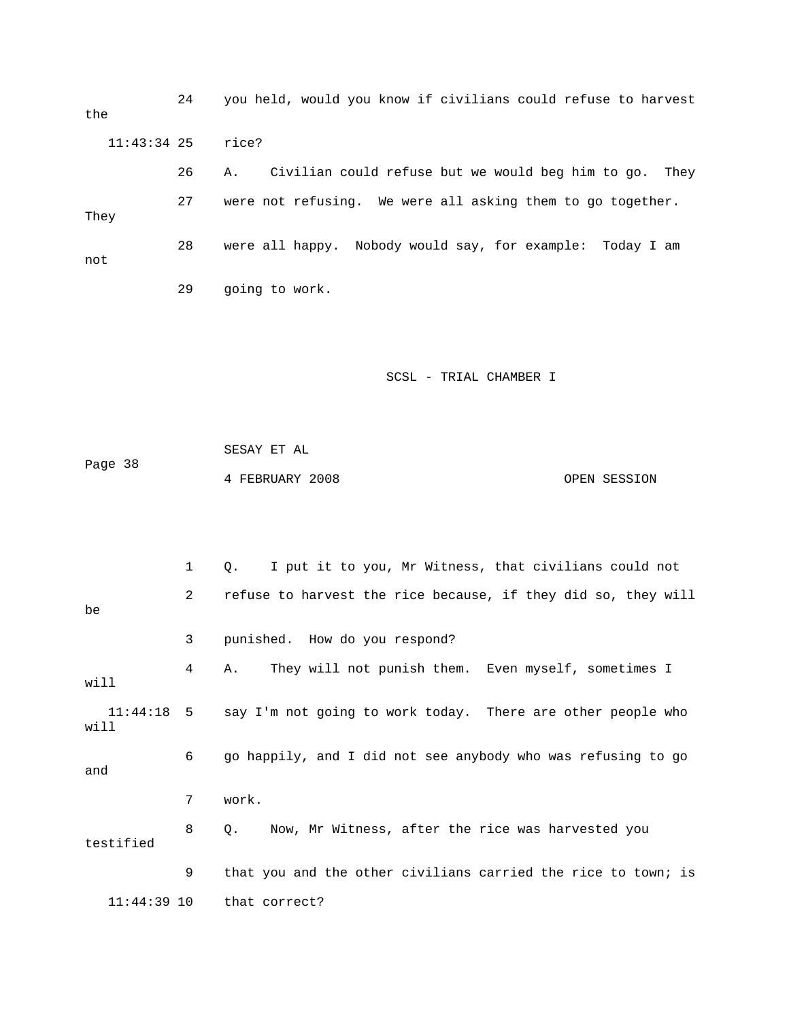24 you held, would you know if civilians could refuse to harvest the 11:43:34 25 rice? 26 A. Civilian could refuse but we would beg him to go. They 27 were not refusing. We were all asking them to go together. They 28 were all happy. Nobody would say, for example: Today I am not

29 going to work.

### SCSL - TRIAL CHAMBER I

Page 38 4 FEBRUARY 2008 OPEN SESSION SESAY ET AL

 1 Q. I put it to you, Mr Witness, that civilians could not 2 refuse to harvest the rice because, if they did so, they will 4 A. They will not punish them. Even myself, sometimes I will 11:44:18 5 say I'm not going to work today. There are other people who testified :44:39 10 that correct? 11be 3 punished. How do you respond? will 6 go happily, and I did not see anybody who was refusing to go and 7 work. 8 Q. Now, Mr Witness, after the rice was harvested you 9 that you and the other civilians carried the rice to town; is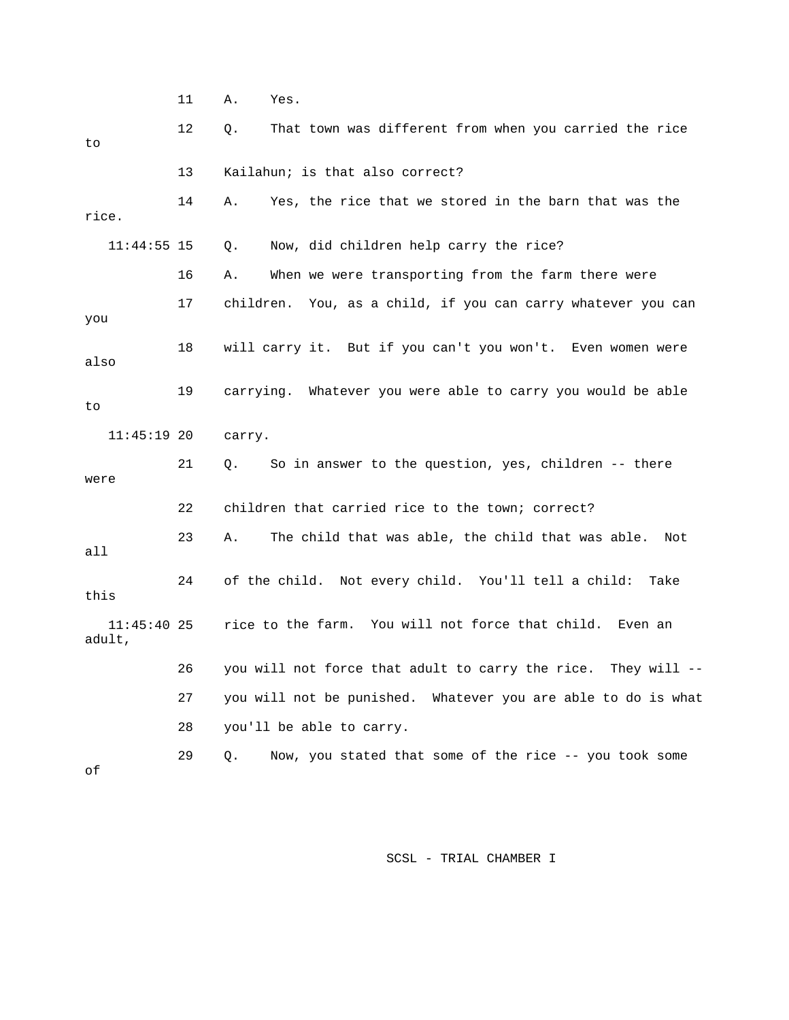11 A. Yes. 12 Q. That town was different from when you carried the rice Now, did children help carry the rice? 16 A. When we were transporting from the farm there were 18 will carry it. But if you can't you won't. Even women were also 19 carrying. Whatever you were able to carry you would be able were rice to the farm. You will not force that child. Even an 26 you will not force that adult to carry the rice. They will -- 27 you will not be punished. Whatever you are able to do is what 29 Q. Now, you stated that some of the rice -- you took some to 13 Kailahun; is that also correct? 14 A. Yes, the rice that we stored in the barn that was the rice.  $11:44:55$  15 0. 17 children. You, as a child, if you can carry whatever you can you to 11:45:19 20 carry. 21 Q. So in answer to the question, yes, children -- there 22 children that carried rice to the town; correct? 23 A. The child that was able, the child that was able. Not all 24 of the child. Not every child. You'll tell a child: Take this  $11:45:40$  25 adult, 28 you'll be able to carry. of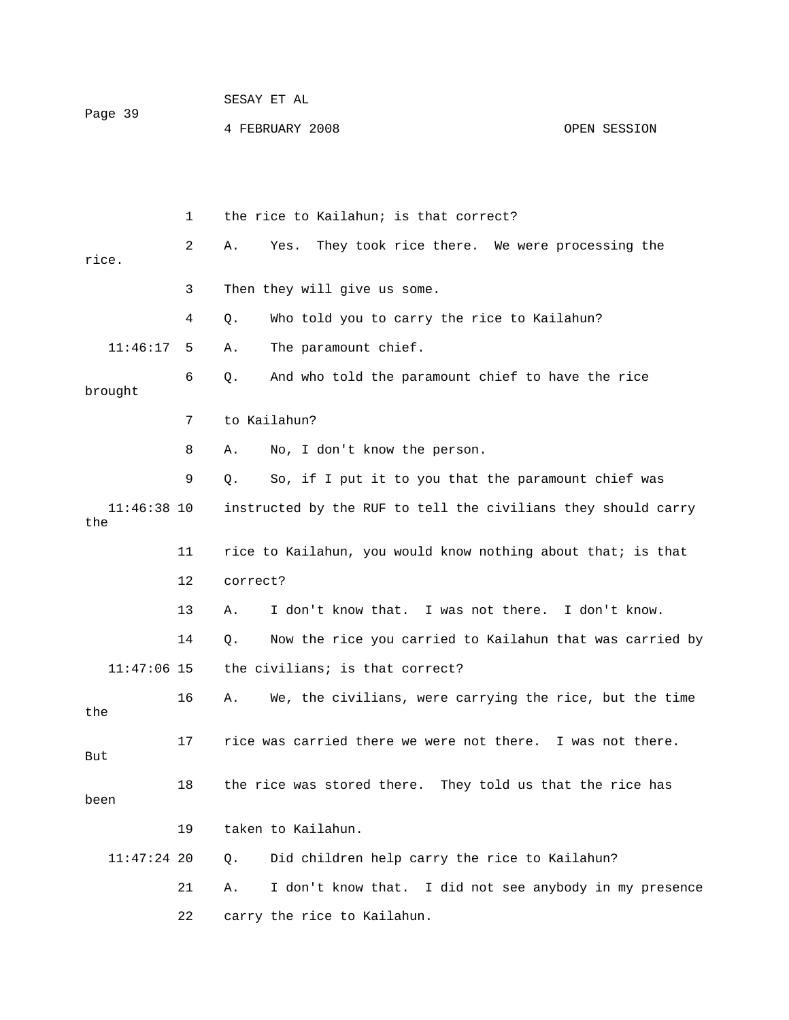| Page 39 | SESAY ET AL     |              |
|---------|-----------------|--------------|
|         | 4 FEBRUARY 2008 | OPEN SESSION |

|                      | 1  | the rice to Kailahun; is that correct?                           |
|----------------------|----|------------------------------------------------------------------|
| rice.                | 2  | They took rice there. We were processing the<br>Α.<br>Yes.       |
|                      | 3  | Then they will give us some.                                     |
|                      | 4  | Who told you to carry the rice to Kailahun?<br>Q.                |
| 11:46:17             | 5  | The paramount chief.<br>Α.                                       |
| brought              | 6  | $Q$ .<br>And who told the paramount chief to have the rice       |
|                      | 7  | to Kailahun?                                                     |
|                      | 8  | No, I don't know the person.<br>Α.                               |
|                      | 9  | So, if I put it to you that the paramount chief was<br>Q.        |
| $11:46:38$ 10<br>the |    | instructed by the RUF to tell the civilians they should carry    |
|                      | 11 | rice to Kailahun, you would know nothing about that; is that     |
|                      | 12 | correct?                                                         |
|                      | 13 | I don't know that. I was not there. I don't know.<br>Α.          |
|                      | 14 | Now the rice you carried to Kailahun that was carried by<br>О.   |
| $11:47:06$ 15        |    | the civilians; is that correct?                                  |
| the                  | 16 | We, the civilians, were carrying the rice, but the time<br>Α.    |
| But                  | 17 | rice was carried there we were not there. I was not there.       |
| been                 | 18 | the rice was stored there. They told us that the rice has        |
|                      | 19 | taken to Kailahun.                                               |
| $11:47:24$ 20        |    | Did children help carry the rice to Kailahun?<br>Q.              |
|                      | 21 | I don't know that.<br>I did not see anybody in my presence<br>Α. |
|                      | 22 | carry the rice to Kailahun.                                      |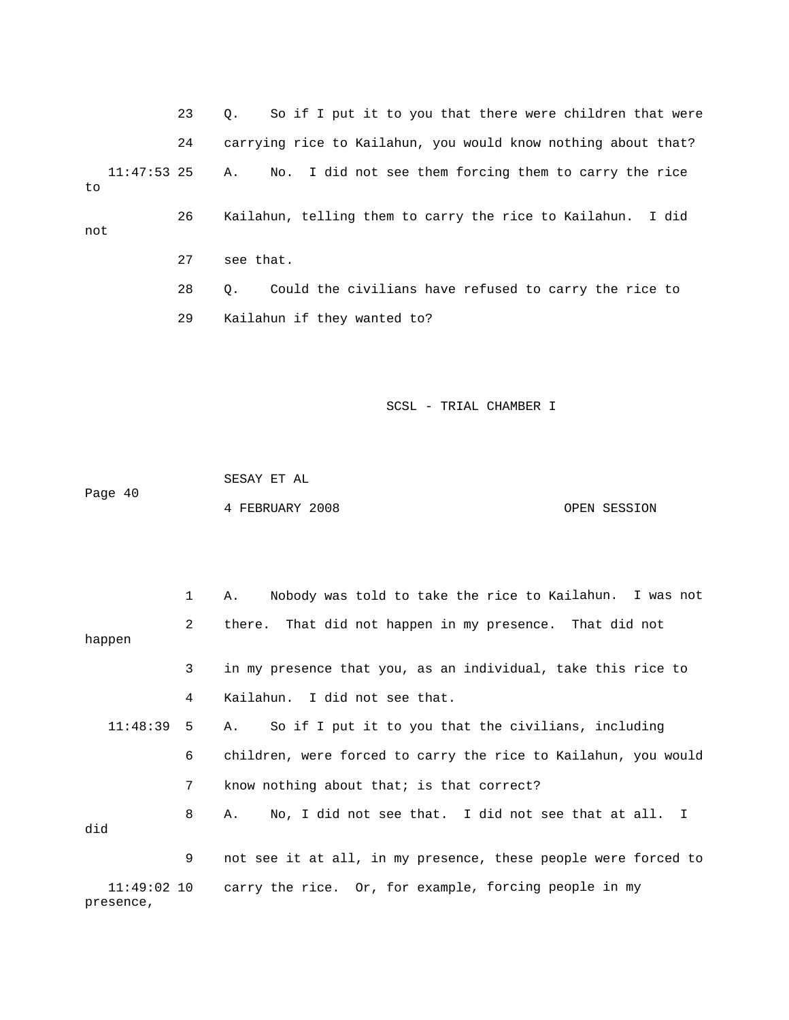23 Q. So if I put it to you that there were children that were ? 24 carrying rice to Kailahun, you would know nothing about that 11:47:53 25 A. No. I did not see them forcing them to carry the rice 26 Kailahun, telling them to carry the rice to Kailahun. I did not 27 see that. 29 Kailahun if they wanted to? to 28 Q. Could the civilians have refused to carry the rice to

SCSL - TRIAL CHAMBER I

Page 40 OPEN SESSION SESAY ET AL 4 FEBRUARY 2008

|           | 1            | Nobody was told to take the rice to Kailahun. I was not<br>Α.     |
|-----------|--------------|-------------------------------------------------------------------|
| happen    | $\mathbf{2}$ | there. That did not happen in my presence. That did not           |
|           | 3            | in my presence that you, as an individual, take this rice to      |
|           | 4            | Kailahun. I did not see that.                                     |
| 11:48:39  | 5            | So if I put it to you that the civilians, including<br>A.,        |
|           | 6            | children, were forced to carry the rice to Kailahun, you would    |
|           | 7            | know nothing about that; is that correct?                         |
| did       | 8            | No, I did not see that. I did not see that at all. I<br>A.,       |
|           | 9            | not see it at all, in my presence, these people were forced to    |
| presence, |              | 11:49:02 10 carry the rice. Or, for example, forcing people in my |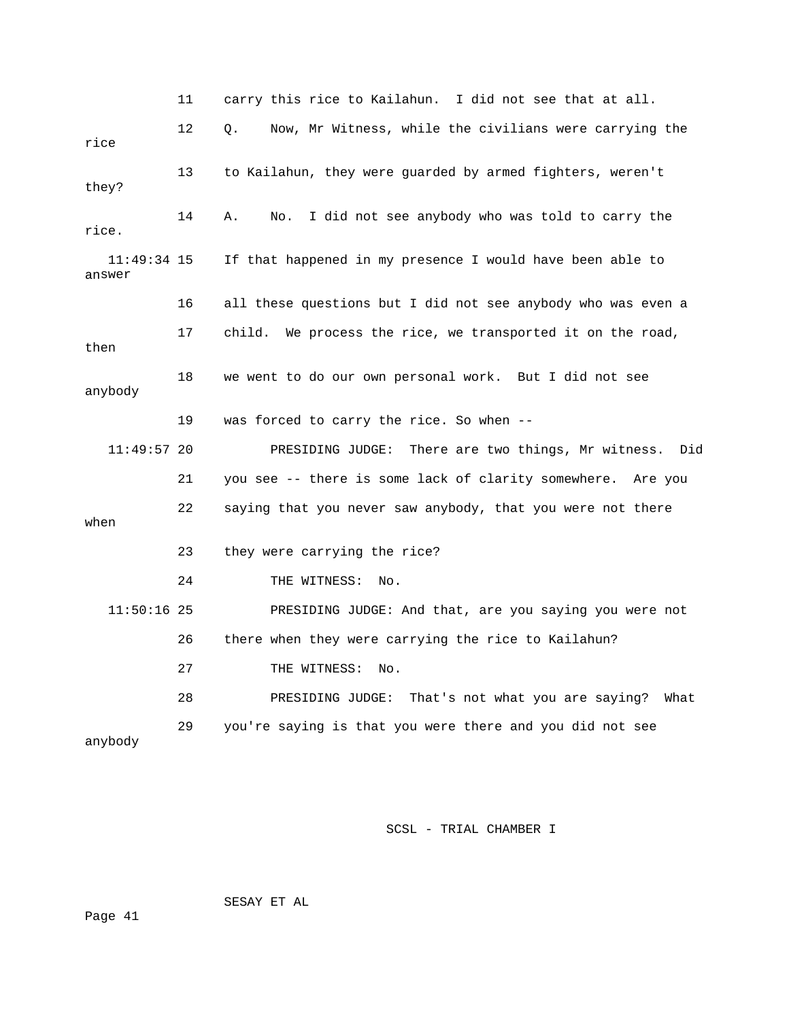11 carry this rice to Kailahun. I did not see that at all. 12 Q. Now, Mr Witness, while the civilians were carrying the rice. 15 If that happened in my presence I would have been able to answer 16 all these questions but I did not see anybody who was even a 17 child. We process the rice, we transported it on the road, then 18 we went to do our own personal work. But I did not see anybody 19 was forced to carry the rice. So when -- 11:49:57 20 PRESIDING JUDGE: There are two things, Mr witness. Did 21 you see -- there is some lack of clarity somewhere. Are you 23 they were carrying the rice? 24 THE WITNESS: No. 11:50:16 25 PRESIDING JUDGE: And that, are you saying you were not 28 PRESIDING JUDGE: That's not what you are saying? What 29 you're saying is that you were there and you did not see rice 13 to Kailahun, they were guarded by armed fighters, weren't they? 14 A. No. I did not see anybody who was told to carry the 11:49:34 22 saying that you never saw anybody, that you were not there when 26 there when they were carrying the rice to Kailahun? 27 THE WITNESS: No. anybody

SCSL - TRIAL CHAMBER I

SESAY ET AL

Page 41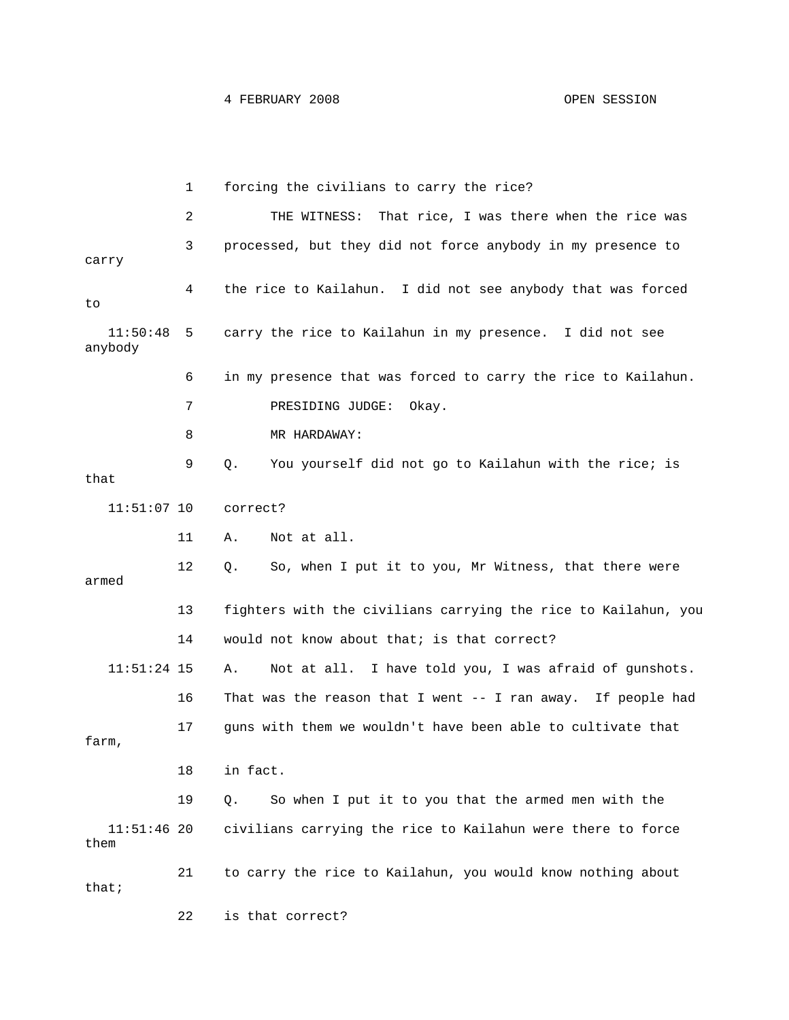1 forcing the civilians to carry the rice? 2 THE WITNESS: That rice, I was there when the rice was 3 processed, but they did not force anybody in my presence to carry 4 the rice to Kailahun. I did not see anybody that was forced 11:50:48 5 carry the rice to Kailahun in my presence. I did not see anybody 6 in my presence that was forced to carry the rice to Kailahun. 7 PRESIDING JUDGE: Okay. 8 MR HARDAWAY: 9 Q. You yourself did not go to Kailahun with the rice; is that 12 Q. So, when I put it to you, Mr Witness, that there were 13 fighters with the civilians carrying the rice to Kailahun, you 14 would not know about that; is that correct? 16 That was the reason that I went -- I ran away. If people had 17 guns with them we wouldn't have been able to cultivate that 19 Q. So when I put it to you that the armed men with the 11:51:46 20 civilians carrying the rice to Kailahun were there to force that; 22 is that correct? to 11:51:07 10 correct? 11 A. Not at all. armed 11:51:24 15 A. Not at all. I have told you, I was afraid of gunshots. farm, 18 in fact. them 21 to carry the rice to Kailahun, you would know nothing about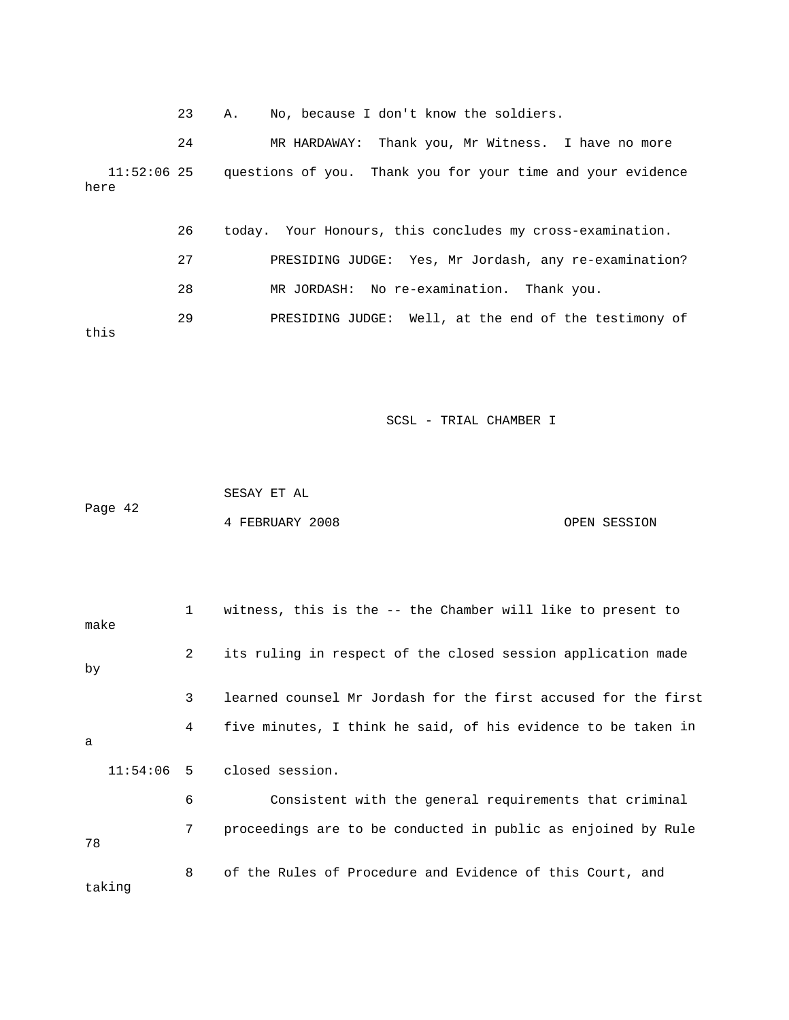23 A. No, because I don't know the soldiers.

24 MR HARDAWAY: Thank you, Mr Witness. I have no more e 11:52:06 25 questions of you. Thank you for your time and your evidenc here

 26 today. Your Honours, this concludes my cross-examination. 27 PRESIDING JUDGE: Yes, Mr Jordash, any re-examination? 28 MR JORDASH: No re-examination. Thank you. 29 PRESIDING JUDGE: Well, at the end of the testimony of this

SCSL - TRIAL CHAMBER I

 SESAY ET AL Page 42 4 FEBRUARY 2008 OPEN SESSION

| make   | 1               | witness, this is the -- the Chamber will like to present to    |
|--------|-----------------|----------------------------------------------------------------|
| by     | 2               | its ruling in respect of the closed session application made   |
|        | 3               | learned counsel Mr Jordash for the first accused for the first |
| a      | 4               | five minutes, I think he said, of his evidence to be taken in  |
|        |                 | $11:54:06$ 5 closed session.                                   |
|        | 6               | Consistent with the general requirements that criminal         |
| 78     | $7\overline{ }$ | proceedings are to be conducted in public as enjoined by Rule  |
| taking | 8               | of the Rules of Procedure and Evidence of this Court, and      |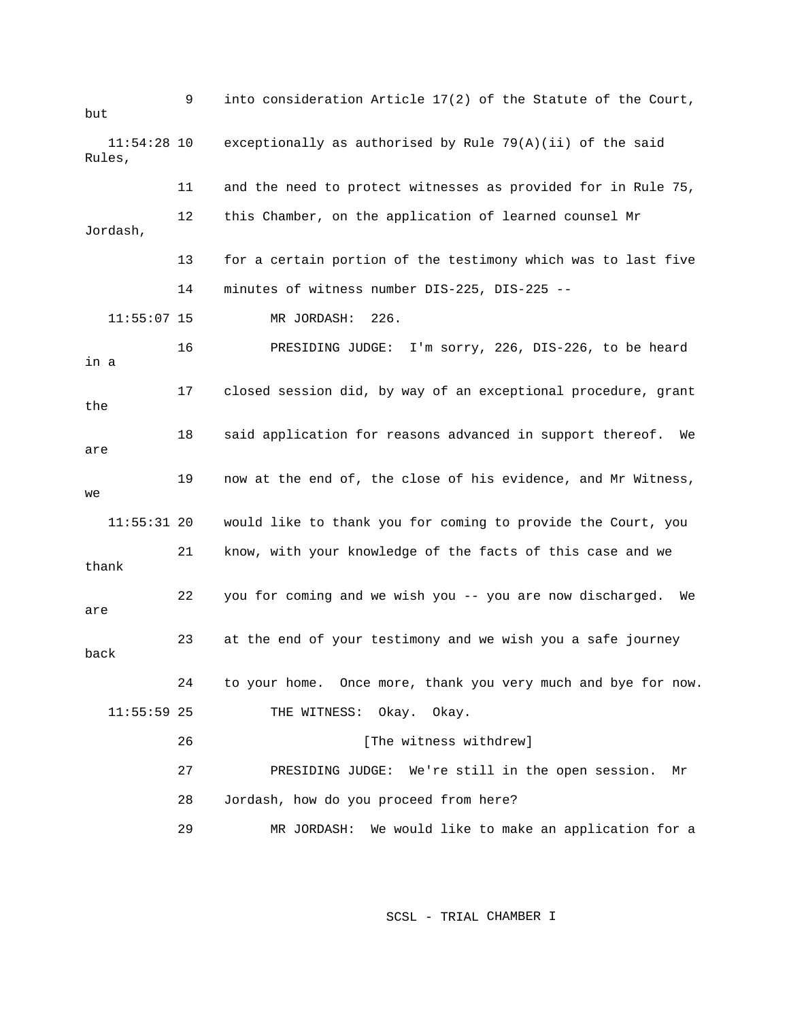9 into consideration Article 17(2) of the Statute of the Court, but 11:54:28 10 exceptionally as authorised by Rule 79(A)(ii) of the said 11 and the need to protect witnesses as provided for in Rule 75, 12 this Chamber, on the application of learned counsel Mr Jordash, 13 for a certain portion of the testimony which was to last five 11:55:07 15 MR JORDASH: 226. 16 PRESIDING JUDGE: I'm sorry, 226, DIS-226, to be heard a in 17 closed session did, by way of an exceptional procedure, grant 18 said application for reasons advanced in support thereof. We 19 now at the end of, the close of his evidence, and Mr Witness, 11:55:31 20 would like to thank you for coming to provide the Court, you thank are back 11:55:59 25 THE WITNESS: Okay. Okay. 26 **[The witness withdrew]** 27 PRESIDING JUDGE: We're still in the open session. Mr 29 MR JORDASH: We would like to make an application for a Rules, 14 minutes of witness number DIS-225, DIS-225 - the are  $W \ominus$  21 know, with your knowledge of the facts of this case and we 22 you for coming and we wish you -- you are now discharged. We 23 at the end of your testimony and we wish you a safe journey 24 to your home. Once more, thank you very much and bye for now. 28 Jordash, how do you proceed from here?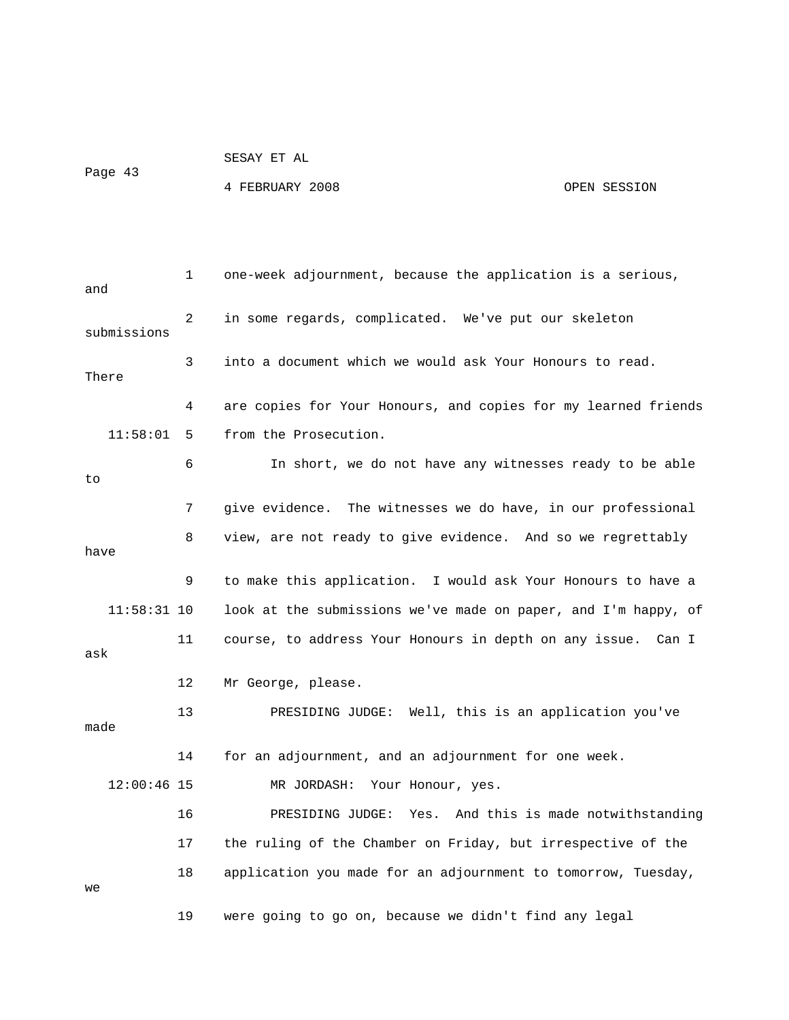Page 43

SESAY ET AL

4 FEBRUARY 2008 OPEN SESSION

| and           | 1  | one-week adjournment, because the application is a serious,     |
|---------------|----|-----------------------------------------------------------------|
| submissions   | 2  | in some regards, complicated. We've put our skeleton            |
| There         | 3  | into a document which we would ask Your Honours to read.        |
|               | 4  | are copies for Your Honours, and copies for my learned friends  |
| 11:58:01      | 5  | from the Prosecution.                                           |
| to            | 6  | In short, we do not have any witnesses ready to be able         |
|               | 7  | give evidence.<br>The witnesses we do have, in our professional |
| have          | 8  | view, are not ready to give evidence. And so we regrettably     |
|               | 9  | to make this application.<br>I would ask Your Honours to have a |
| $11:58:31$ 10 |    | look at the submissions we've made on paper, and I'm happy, of  |
| ask           | 11 | course, to address Your Honours in depth on any issue. Can I    |
|               | 12 | Mr George, please.                                              |
| made          | 13 | PRESIDING JUDGE: Well, this is an application you've            |
|               | 14 | for an adjournment, and an adjournment for one week.            |
| $12:00:46$ 15 |    | MR JORDASH: Your Honour, yes.                                   |
|               | 16 | PRESIDING JUDGE:<br>Yes. And this is made notwithstanding       |
|               | 17 | the ruling of the Chamber on Friday, but irrespective of the    |
| we            | 18 | application you made for an adjournment to tomorrow, Tuesday,   |
|               | 19 | were going to go on, because we didn't find any legal           |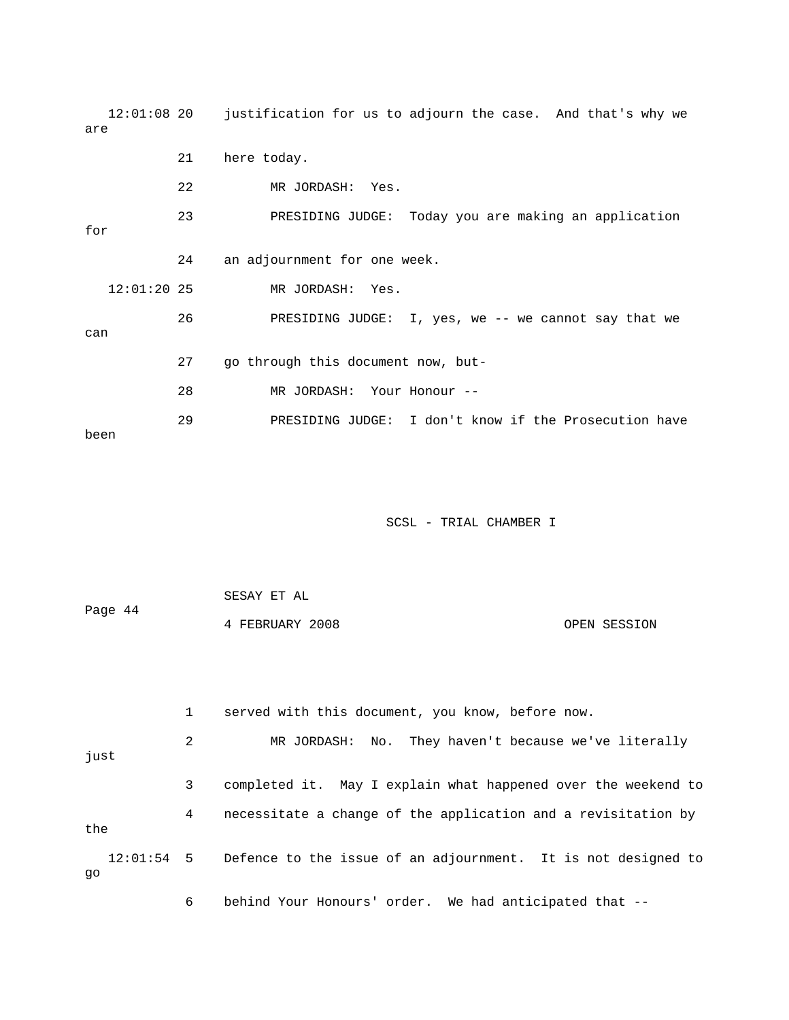12:01:08 20 justification for us to adjourn the case. And that's why we are 22 MR JORDASH: Yes. 23 PRESIDING JUDGE: Today you are making an application 26 PRESIDING JUDGE: I, yes, we -- we cannot say that we 27 go through this document now, but- 28 MR JORDASH: Your Honour -- 21 here today. for 24 an adjournment for one week. 12:01:20 25 MR JORDASH: Yes. can 29 PRESIDING JUDGE: I don't know if the Prosecution have been

| Page 44 | SESAY ET AL     |              |  |  |  |
|---------|-----------------|--------------|--|--|--|
|         | 4 FEBRUARY 2008 | OPEN SESSION |  |  |  |

|      |   | served with this document, you know, before now.                         |
|------|---|--------------------------------------------------------------------------|
| just | 2 | MR JORDASH: No. They haven't because we've literally                     |
|      | 3 | completed it. May I explain what happened over the weekend to            |
| the  | 4 | necessitate a change of the application and a revisitation by            |
| qo   |   | 12:01:54 5 Defence to the issue of an adjournment. It is not designed to |
|      | 6 | behind Your Honours' order. We had anticipated that --                   |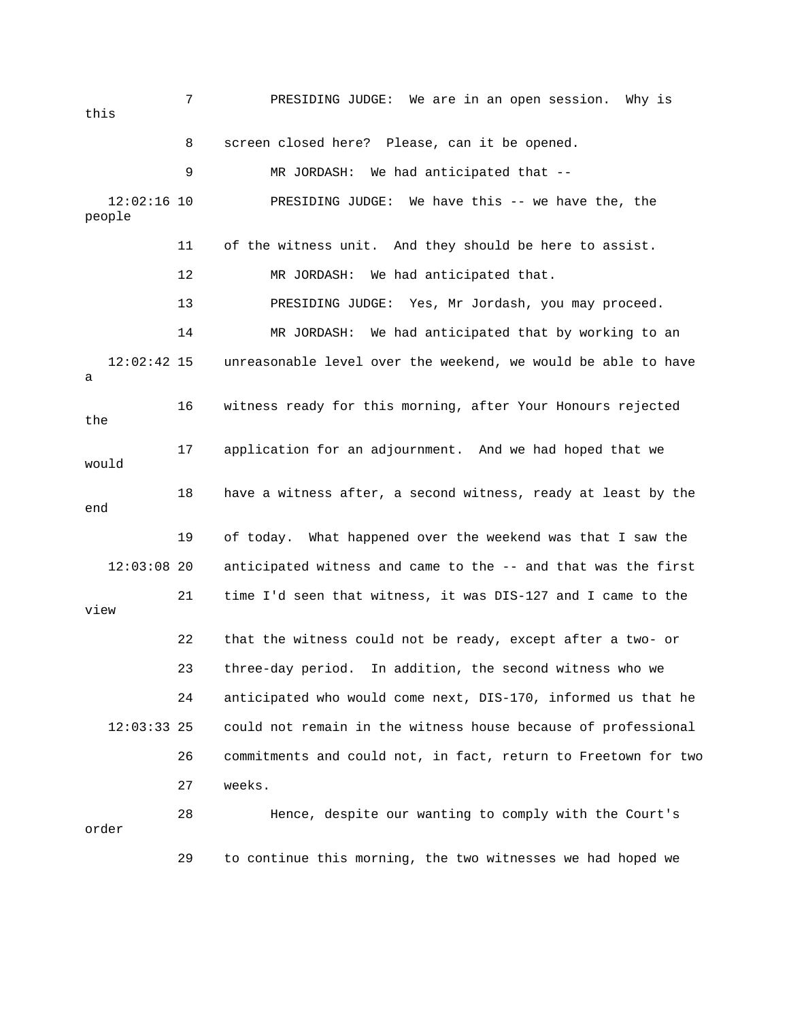7 PRESIDING JUDGE: We are in an open session. Why is people 12 MR JORDASH: We had anticipated that. 13 PRESIDING JUDGE: Yes, Mr Jordash, you may proceed. 14 MR JORDASH: We had anticipated that by working to an 12:02:42 15 unreasonable level over the weekend, we would be able to have 16 witness ready for this morning, after Your Honours rejected 17 application for an adjournment. And we had hoped that we 18 have a witness after, a second witness, ready at least by the 19 of today. What happened over the weekend was that I saw the 12:03:08 20 anticipated witness and came to the -- and that was the first view 24 anticipated who would come next, DIS-170, informed us that he this 8 screen closed here? Please, can it be opened. 9 MR JORDASH: We had anticipated that -- 12:02:16 10 PRESIDING JUDGE: We have this -- we have the, the 11 of the witness unit. And they should be here to assist. a the would end 21 time I'd seen that witness, it was DIS-127 and I came to the 22 that the witness could not be ready, except after a two- or 23 three-day period. In addition, the second witness who we 12:03:33 25 could not remain in the witness house because of professional 26 commitments and could not, in fact, return to Freetown for two 27 weeks. 28 Hence, despite our wanting to comply with the Court's order 29 to continue this morning, the two witnesses we had hoped we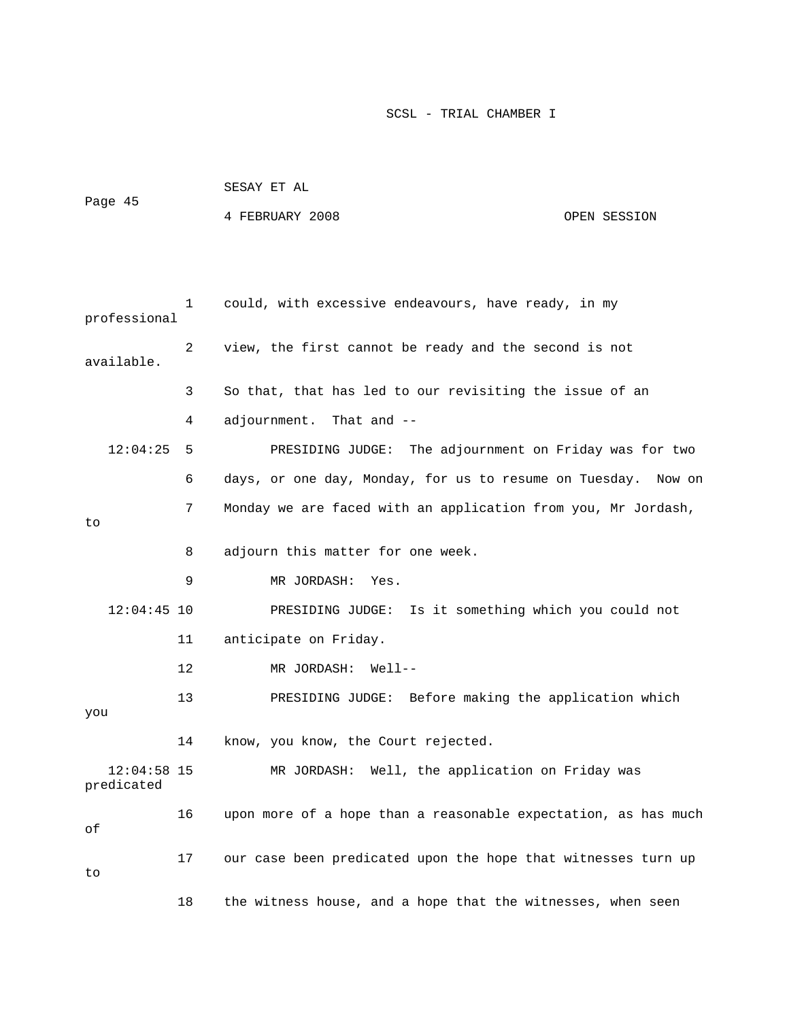| Page 45                     |    | 4 FEBRUARY 2008                                                | OPEN SESSION |
|-----------------------------|----|----------------------------------------------------------------|--------------|
|                             |    |                                                                |              |
| professional                | 1  | could, with excessive endeavours, have ready, in my            |              |
| available.                  | 2  | view, the first cannot be ready and the second is not          |              |
|                             | 3  | So that, that has led to our revisiting the issue of an        |              |
|                             | 4  | That and $-$<br>adjournment.                                   |              |
| 12:04:25                    | 5  | PRESIDING JUDGE: The adjournment on Friday was for two         |              |
|                             | 6  | days, or one day, Monday, for us to resume on Tuesday.         | Now on       |
| to                          | 7  | Monday we are faced with an application from you, Mr Jordash,  |              |
|                             | 8  | adjourn this matter for one week.                              |              |
|                             | 9  | MR JORDASH:<br>Yes.                                            |              |
| $12:04:45$ 10               |    | PRESIDING JUDGE: Is it something which you could not           |              |
|                             | 11 | anticipate on Friday.                                          |              |
|                             | 12 | MR JORDASH:<br>Well--                                          |              |
| you                         | 13 | PRESIDING JUDGE: Before making the application which           |              |
|                             | 14 | know, you know, the Court rejected.                            |              |
| $12:04:58$ 15<br>predicated |    | Well, the application on Friday was<br>MR JORDASH:             |              |
| оf                          | 16 | upon more of a hope than a reasonable expectation, as has much |              |
| to                          | 17 | our case been predicated upon the hope that witnesses turn up  |              |
|                             | 18 | the witness house, and a hope that the witnesses, when seen    |              |

SESAY ET AL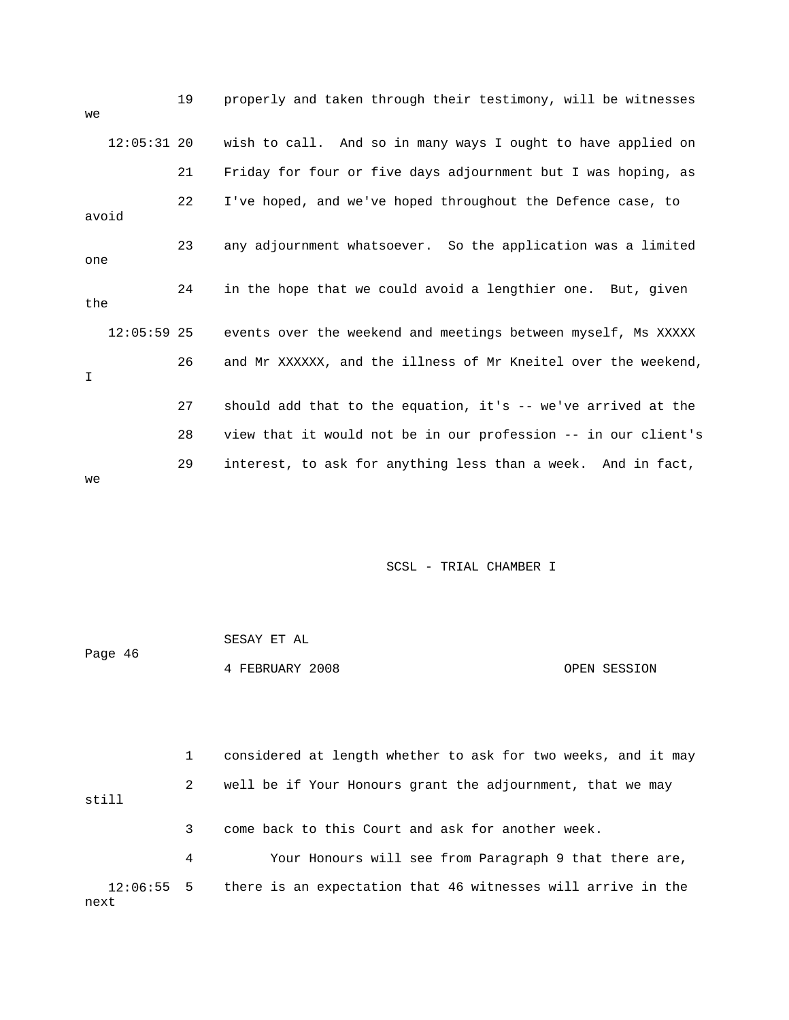| we          |               | 19 | properly and taken through their testimony, will be witnesses  |
|-------------|---------------|----|----------------------------------------------------------------|
|             | $12:05:31$ 20 |    | wish to call. And so in many ways I ought to have applied on   |
|             |               | 21 | Friday for four or five days adjournment but I was hoping, as  |
|             | avoid         | 22 | I've hoped, and we've hoped throughout the Defence case, to    |
| one         |               | 23 | any adjournment whatsoever. So the application was a limited   |
| the         |               | 24 | in the hope that we could avoid a lengthier one. But, given    |
|             | $12:05:59$ 25 |    | events over the weekend and meetings between myself, Ms XXXXX  |
| $\mathbf I$ |               | 26 | and Mr XXXXXX, and the illness of Mr Kneitel over the weekend, |
|             |               | 27 | should add that to the equation, it's -- we've arrived at the  |
|             |               | 28 | view that it would not be in our profession -- in our client's |
| we          |               | 29 | interest, to ask for anything less than a week. And in fact,   |

|         | SESAY ET AL     |              |
|---------|-----------------|--------------|
| Page 46 |                 |              |
|         | 4 FEBRUARY 2008 | OPEN SESSION |

 1 considered at length whether to ask for two weeks, and it may 2 well be if Your Honours grant the adjournment, that we may 3 come back to this Court and ask for another week. 4 Your Honours will see from Paragraph 9 that there are, 12:06:55 5 there is an expectation that 46 witnesses will arrive in the still next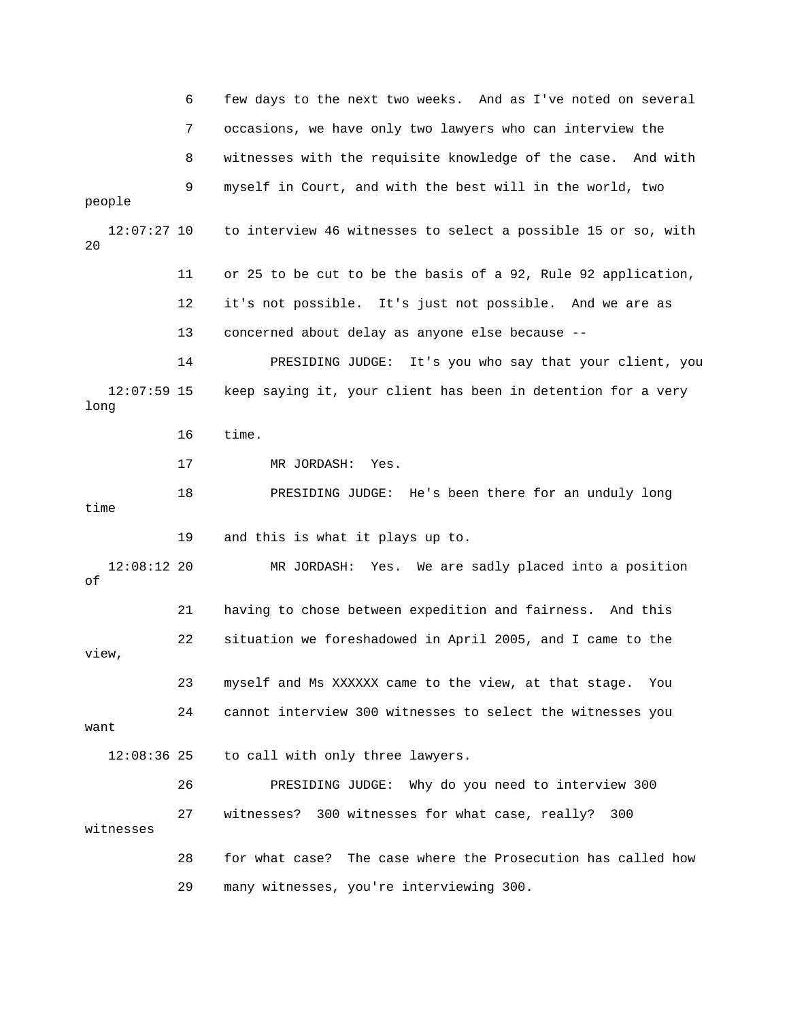|                       | 6  | few days to the next two weeks. And as I've noted on several  |
|-----------------------|----|---------------------------------------------------------------|
|                       | 7  | occasions, we have only two lawyers who can interview the     |
|                       | 8  | witnesses with the requisite knowledge of the case. And with  |
| people                | 9  | myself in Court, and with the best will in the world, two     |
| $12:07:27$ 10<br>20   |    | to interview 46 witnesses to select a possible 15 or so, with |
|                       | 11 | or 25 to be cut to be the basis of a 92, Rule 92 application, |
|                       | 12 | it's not possible. It's just not possible. And we are as      |
|                       | 13 | concerned about delay as anyone else because --               |
|                       | 14 | It's you who say that your client, you<br>PRESIDING JUDGE:    |
| $12:07:59$ 15<br>long |    | keep saying it, your client has been in detention for a very  |
|                       | 16 | time.                                                         |
|                       | 17 | MR JORDASH:<br>Yes.                                           |
| time                  | 18 | PRESIDING JUDGE: He's been there for an unduly long           |
|                       | 19 | and this is what it plays up to.                              |
| $12:08:12$ 20<br>οf   |    | MR JORDASH: Yes. We are sadly placed into a position          |
|                       | 21 | having to chose between expedition and fairness. And this     |
| view,                 | 22 | situation we foreshadowed in April 2005, and I came to the    |
|                       | 23 | myself and Ms XXXXXX came to the view, at that stage.<br>You  |
| want                  | 24 | cannot interview 300 witnesses to select the witnesses you    |
| $12:08:36$ 25         |    | to call with only three lawyers.                              |
|                       | 26 | PRESIDING JUDGE: Why do you need to interview 300             |
| witnesses             | 27 | witnesses? 300 witnesses for what case, really?<br>300        |
|                       | 28 | for what case? The case where the Prosecution has called how  |
|                       | 29 | many witnesses, you're interviewing 300.                      |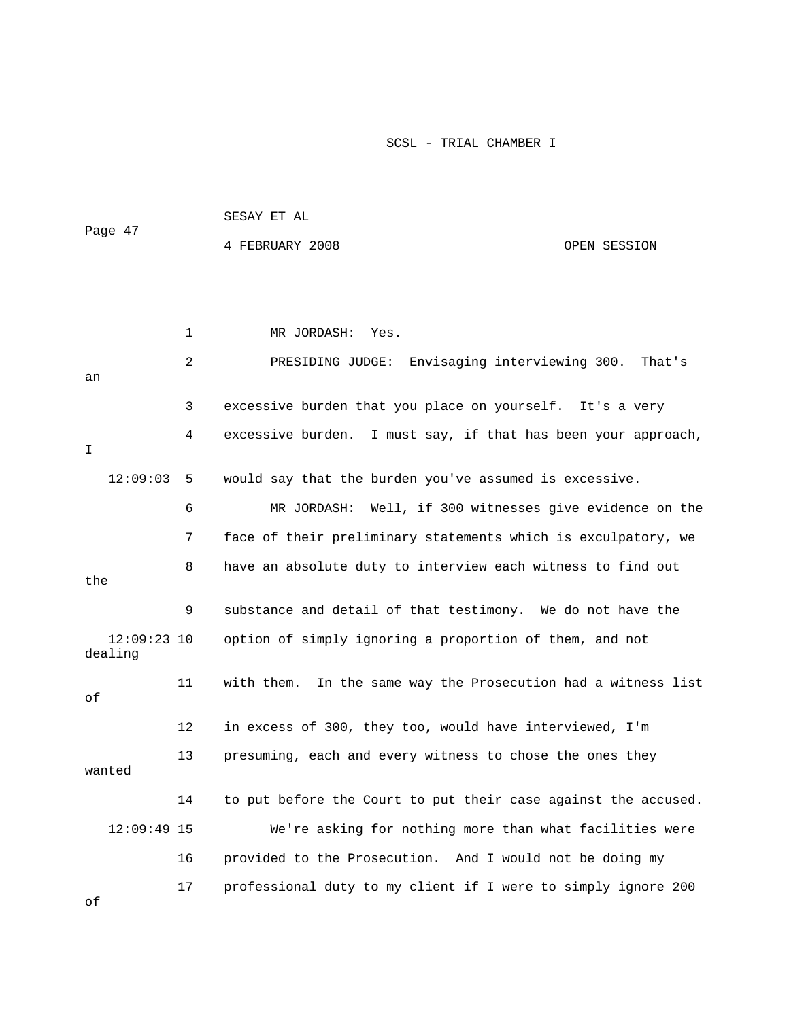|                          |    | سم ⊥ت یماندن                                                   |              |  |
|--------------------------|----|----------------------------------------------------------------|--------------|--|
| Page 47                  |    | 4 FEBRUARY 2008                                                | OPEN SESSION |  |
|                          |    |                                                                |              |  |
|                          | 1  | MR JORDASH: Yes.                                               |              |  |
| an                       | 2  | PRESIDING JUDGE: Envisaging interviewing 300. That's           |              |  |
|                          | 3  | excessive burden that you place on yourself. It's a very       |              |  |
| I.                       | 4  | excessive burden. I must say, if that has been your approach,  |              |  |
| 12:09:03                 | 5  | would say that the burden you've assumed is excessive.         |              |  |
|                          | 6  | Well, if 300 witnesses give evidence on the<br>MR JORDASH:     |              |  |
|                          | 7  | face of their preliminary statements which is exculpatory, we  |              |  |
| the                      | 8  | have an absolute duty to interview each witness to find out    |              |  |
|                          | 9  | substance and detail of that testimony. We do not have the     |              |  |
| $12:09:23$ 10<br>dealing |    | option of simply ignoring a proportion of them, and not        |              |  |
| оf                       | 11 | with them. In the same way the Prosecution had a witness list  |              |  |
|                          | 12 | in excess of 300, they too, would have interviewed, I'm        |              |  |
| wanted                   | 13 | presuming, each and every witness to chose the ones they       |              |  |
|                          | 14 | to put before the Court to put their case against the accused. |              |  |
| $12:09:49$ 15            |    | We're asking for nothing more than what facilities were        |              |  |
|                          | 16 | provided to the Prosecution. And I would not be doing my       |              |  |
|                          | 17 | professional duty to my client if I were to simply ignore 200  |              |  |

SESAY ET AL

of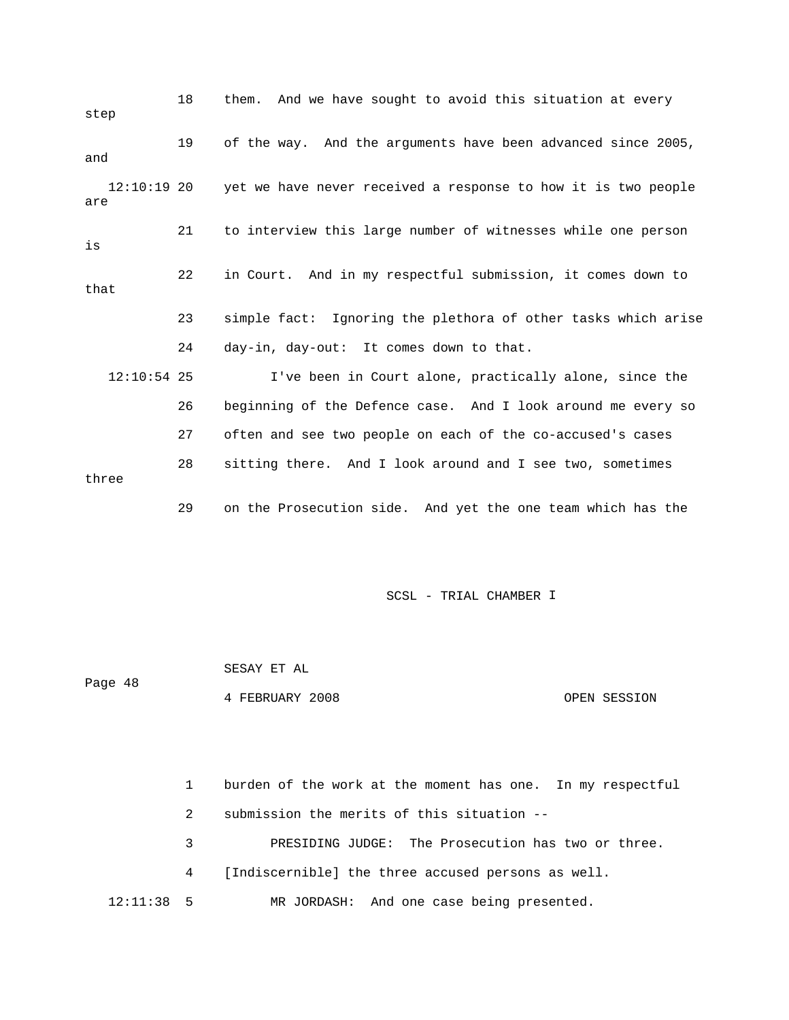| step                 | 18 | them. And we have sought to avoid this situation at every     |
|----------------------|----|---------------------------------------------------------------|
| and                  | 19 | of the way. And the arguments have been advanced since 2005,  |
| $12:10:19$ 20<br>are |    | yet we have never received a response to how it is two people |
| is                   | 21 | to interview this large number of witnesses while one person  |
| that                 | 22 | in Court. And in my respectful submission, it comes down to   |
|                      | 23 | simple fact: Ignoring the plethora of other tasks which arise |
|                      | 24 | day-in, day-out: It comes down to that.                       |
| $12:10:54$ 25        |    | I've been in Court alone, practically alone, since the        |
|                      | 26 | beginning of the Defence case. And I look around me every so  |
|                      | 27 | often and see two people on each of the co-accused's cases    |
| three                | 28 | sitting there. And I look around and I see two, sometimes     |
|                      | 29 | on the Prosecution side. And yet the one team which has the   |

 SESAY ET AL 4 FEBRUARY 2008 OPEN SESSION Page 48

 1 burden of the work at the moment has one. In my respectful 2 submission the merits of this situation -- 3 BRESIDING JUDGE: The Prosecution has two or three. 4 [Indiscernible] the three accused persons as well. 12:11:38 5 MR JORDASH: And one case being presented.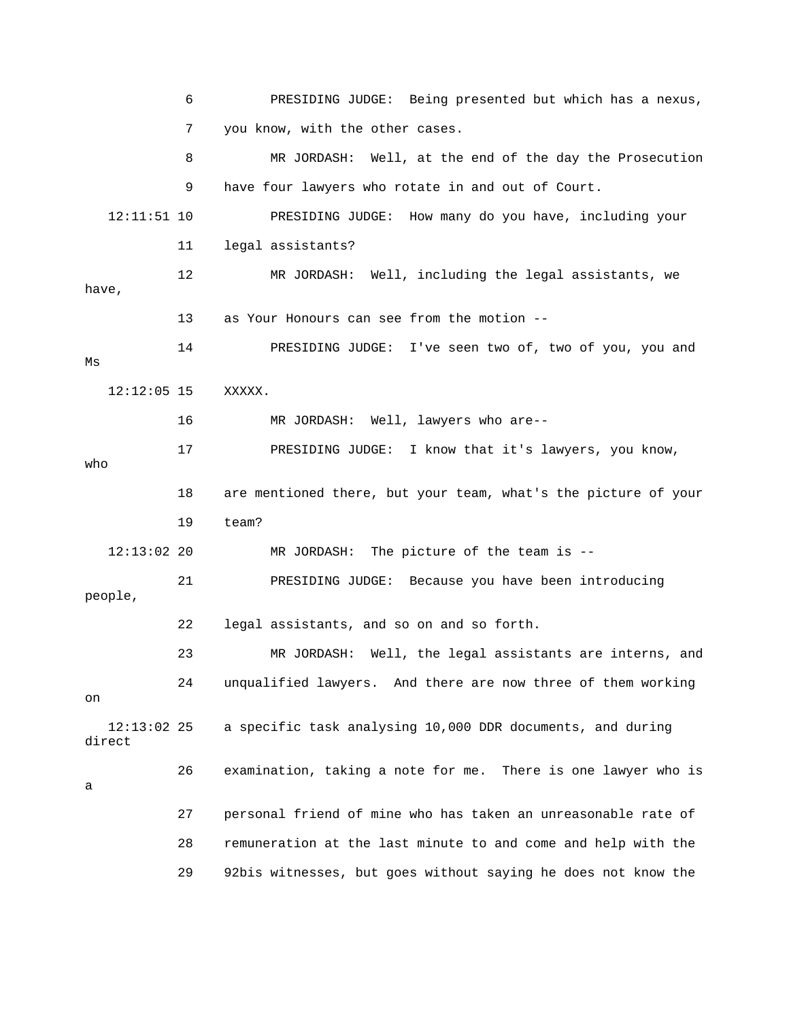6 PRESIDING JUDGE: Being presented but which has a nexus, 8 MR JORDASH: Well, at the end of the day the Prosecution 9 have four lawyers who rotate in and out of Court. 13 as Your Honours can see from the motion -- 14 PRESIDING JUDGE: I've seen two of, two of you, you and 17 PRESIDING JUDGE: I know that it's lawyers, you know, 18 are mentioned there, but your team, what's the picture of your 19 team? 21 PRESIDING JUDGE: Because you have been introducing 22 legal assistants, and so on and so forth. MR JORDASH: Well, the legal assistants are interns, and 24 unqualified lawyers. And there are now three of them working direct 27 personal friend of mine who has taken an unreasonable rate of 28 remuneration at the last minute to and come and help with the 29 92bis witnesses, but goes without saying he does not know the 7 you know, with the other cases. 12:11:51 10 PRESIDING JUDGE: How many do you have, including your 11 legal assistants? 12 MR JORDASH: Well, including the legal assistants, we have, Ms 12:12:05 15 XXXXX. 16 MR JORDASH: Well, lawyers who are- who 12:13:02 20 MR JORDASH: The picture of the team is - people, 23 MR on 12:13:02 25 a specific task analysing 10,000 DDR documents, and during 26 examination, taking a note for me. There is one lawyer who is a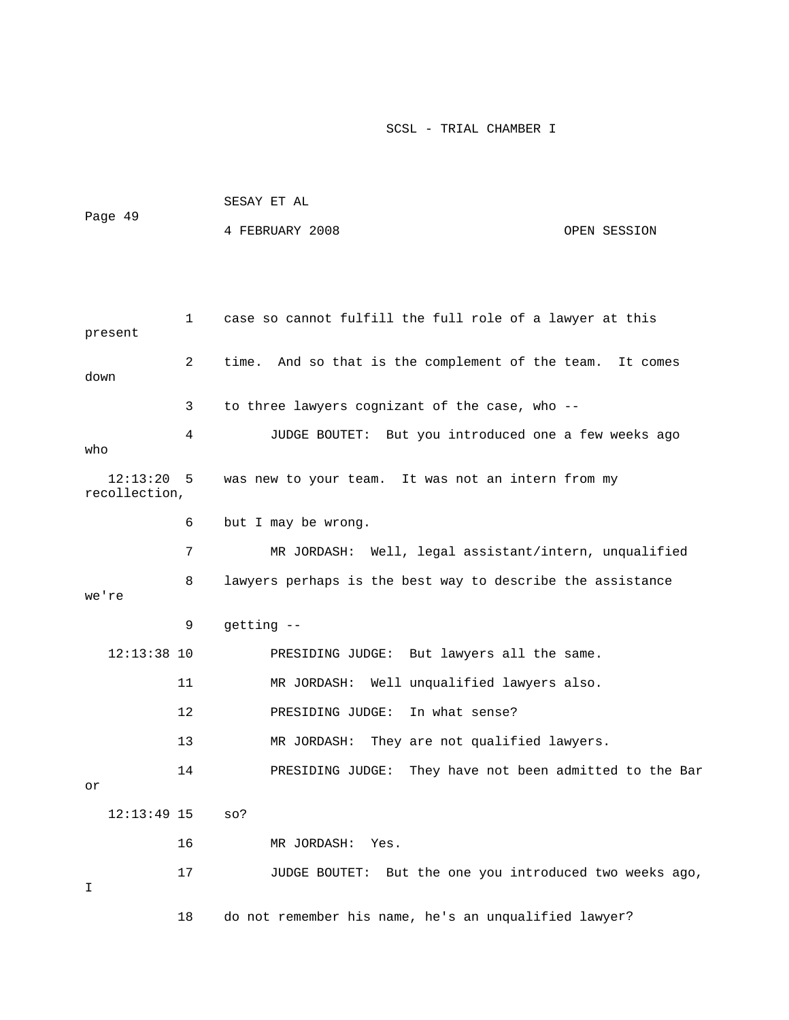|                               |              | SESAY ET AL                                                |              |  |  |
|-------------------------------|--------------|------------------------------------------------------------|--------------|--|--|
| Page 49                       |              | 4 FEBRUARY 2008                                            | OPEN SESSION |  |  |
|                               |              |                                                            |              |  |  |
|                               |              |                                                            |              |  |  |
| present                       | $\mathbf{1}$ | case so cannot fulfill the full role of a lawyer at this   |              |  |  |
| down                          | 2            | time. And so that is the complement of the team.           | It comes     |  |  |
|                               | 3            | to three lawyers cognizant of the case, who --             |              |  |  |
| who                           | 4            | JUDGE BOUTET: But you introduced one a few weeks ago       |              |  |  |
| $12:13:20$ 5<br>recollection, |              | was new to your team. It was not an intern from my         |              |  |  |
|                               | 6            | but I may be wrong.                                        |              |  |  |
|                               | 7            | MR JORDASH: Well, legal assistant/intern, unqualified      |              |  |  |
| we're                         | 8            | lawyers perhaps is the best way to describe the assistance |              |  |  |
|                               | 9            | getting --                                                 |              |  |  |
| $12:13:38$ 10                 |              | PRESIDING JUDGE: But lawyers all the same.                 |              |  |  |
|                               | 11           | MR JORDASH: Well unqualified lawyers also.                 |              |  |  |
|                               | 12           | PRESIDING JUDGE: In what sense?                            |              |  |  |
|                               | 13           | MR JORDASH:<br>They are not qualified lawyers.             |              |  |  |
| or                            | 14           | PRESIDING JUDGE: They have not been admitted to the Bar    |              |  |  |
| $12:13:49$ 15                 |              | SO?                                                        |              |  |  |
|                               | 16           | MR JORDASH:<br>Yes.                                        |              |  |  |
| I                             | 17           | But the one you introduced two weeks ago,<br>JUDGE BOUTET: |              |  |  |
|                               | 18           | do not remember his name, he's an unqualified lawyer?      |              |  |  |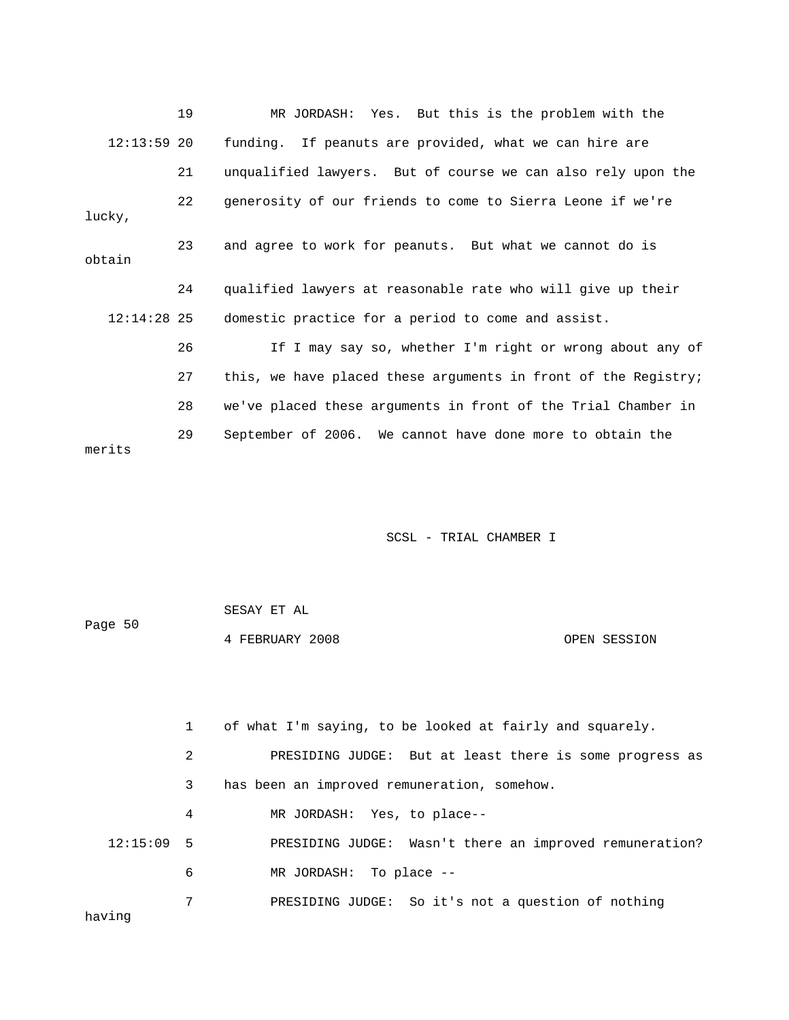|               | 19 | MR JORDASH: Yes. But this is the problem with the              |  |  |  |
|---------------|----|----------------------------------------------------------------|--|--|--|
| $12:13:59$ 20 |    | funding. If peanuts are provided, what we can hire are         |  |  |  |
|               | 21 | unqualified lawyers. But of course we can also rely upon the   |  |  |  |
| lucky,        | 22 | generosity of our friends to come to Sierra Leone if we're     |  |  |  |
| obtain        | 23 | and agree to work for peanuts. But what we cannot do is        |  |  |  |
|               | 24 | qualified lawyers at reasonable rate who will give up their    |  |  |  |
| $12:14:28$ 25 |    | domestic practice for a period to come and assist.             |  |  |  |
|               | 26 | If I may say so, whether I'm right or wrong about any of       |  |  |  |
|               | 27 | this, we have placed these arguments in front of the Registry; |  |  |  |
|               | 28 | we've placed these arguments in front of the Trial Chamber in  |  |  |  |
| merits        | 29 | September of 2006. We cannot have done more to obtain the      |  |  |  |

| Page 50 | SESAY ET AL     |              |
|---------|-----------------|--------------|
|         | 4 FEBRUARY 2008 | OPEN SESSION |

|              | $\mathbf{1}$ | of what I'm saying, to be looked at fairly and squarely. |
|--------------|--------------|----------------------------------------------------------|
|              | 2            | PRESIDING JUDGE: But at least there is some progress as  |
|              | 3            | has been an improved remuneration, somehow.              |
|              | 4            | MR JORDASH: Yes, to place--                              |
| $12:15:09$ 5 |              | PRESIDING JUDGE: Wasn't there an improved remuneration?  |
|              | 6            | MR JORDASH: To place --                                  |
| having       | 7            | PRESIDING JUDGE: So it's not a question of nothing       |
|              |              |                                                          |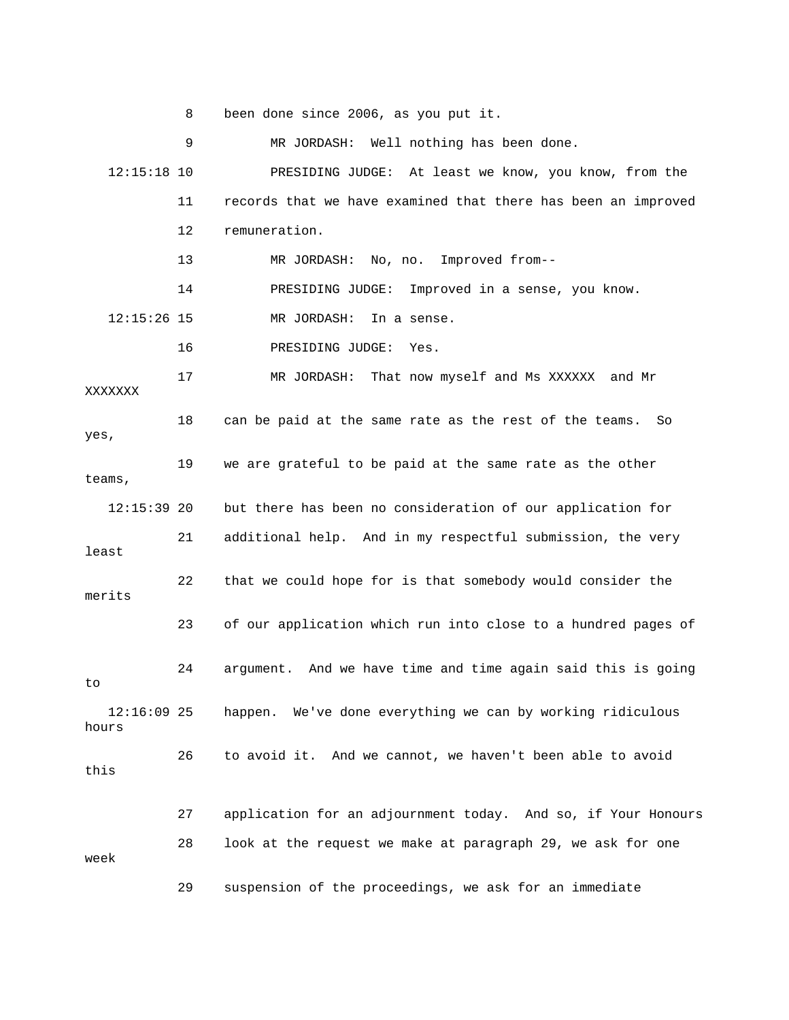8 been done since 2006, as you put it.

 9 MR JORDASH: Well nothing has been done. 12:15:18 10 PRESIDING JUDGE: At least we know, you know, from the 11 records that we have examined that there has been an improved 12 remuneration. 13 MR JORDASH: No, no. Improved from-- 14 PRESIDING JUDGE: Improved in a sense, you know. 12:15:26 15 MR JORDASH: In a sense. 16 PRESIDING JUDGE: Yes. 17 MR JORDASH: That now myself and Ms XXXXXX and Mr XXXXX XX teams, 12:15:39 20 but there has been no consideration of our application for 21 additional help. And in my respectful submission, the very 22 that we could hope for is that somebody would consider the 23 of our application which run into close to a hundred pages of 24 argument. And we have time and time again said this is going 12:16:09 25 happen. We've done everything we can by working ridiculous 26 to avoid it. And we cannot, we haven't been able to avoid 27 application for an adjournment today. And so, if Your Honours 18 can be paid at the same rate as the rest of the teams. So yes, 19 we are grateful to be paid at the same rate as the other least merits to hours this 28 look at the request we make at paragraph 29, we ask for one week 29 suspension of the proceedings, we ask for an immediate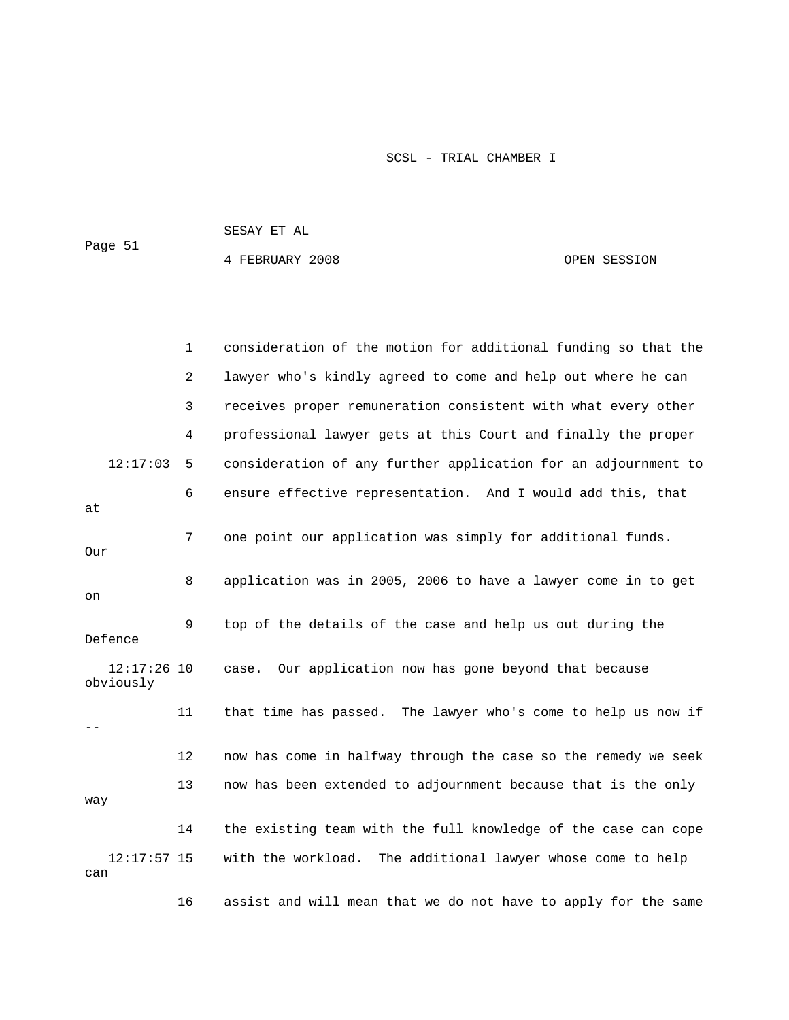SESAY ET AL 4 FEBRUARY 2008 OPEN SESSION Page 51

|                            | 1              | consideration of the motion for additional funding so that the |
|----------------------------|----------------|----------------------------------------------------------------|
|                            | $\overline{a}$ | lawyer who's kindly agreed to come and help out where he can   |
|                            | 3              | receives proper remuneration consistent with what every other  |
|                            | 4              | professional lawyer gets at this Court and finally the proper  |
| 12:17:03                   | 5              | consideration of any further application for an adjournment to |
| at                         | 6              | ensure effective representation. And I would add this, that    |
| Our                        | 7              | one point our application was simply for additional funds.     |
| on                         | 8              | application was in 2005, 2006 to have a lawyer come in to get  |
| Defence                    | 9              | top of the details of the case and help us out during the      |
| $12:17:26$ 10<br>obviously |                | Our application now has gone beyond that because<br>case.      |
|                            | 11             | that time has passed. The lawyer who's come to help us now if  |
|                            | 12             | now has come in halfway through the case so the remedy we seek |
| way                        | 13             | now has been extended to adjournment because that is the only  |
|                            | 14             | the existing team with the full knowledge of the case can cope |
| $12:17:57$ 15<br>can       |                | with the workload. The additional lawyer whose come to help    |
|                            | 16             | assist and will mean that we do not have to apply for the same |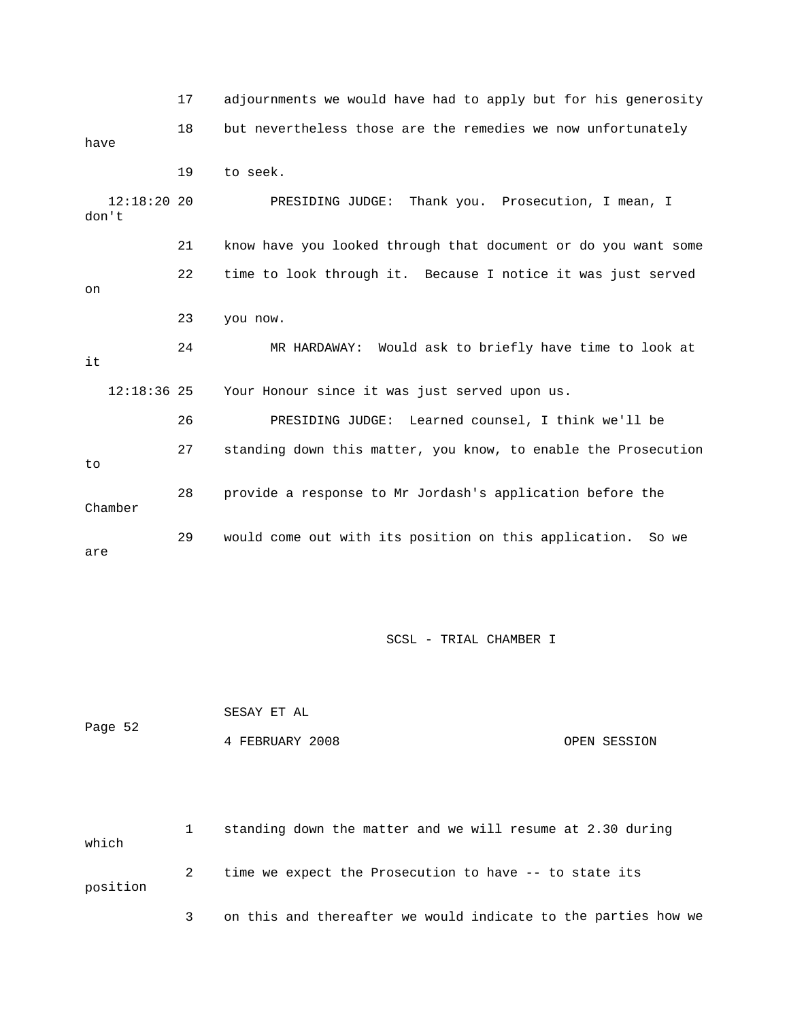17 adjournments we would have had to apply but for his generosity 18 but nevertheless those are the remedies we now unfortunately 19 to seek. 22 time to look through it. Because I notice it was just served 23 you now. 24 MR HARDAWAY: Would ask to briefly have time to look at SIDING JUDGE: Learned counsel, I think we'll be 26 PRE 27 standing down this matter, you know, to enable the Prosecution 28 provide a response to Mr Jordash's application before the have 12:18:20 20 PRESIDING JUDGE: Thank you. Prosecution, I mean, I don't 21 know have you looked through that document or do you want some on it 12:18:36 25 Your Honour since it was just served upon us. to Chamber 29 would come out with its position on this application. So we are

SCSL - TRIAL CHAMBER I

|         | SESAY ET AL     |              |
|---------|-----------------|--------------|
| Page 52 |                 |              |
|         | 4 FEBRUARY 2008 | OPEN SESSION |

 1 standing down the matter and we will resume at 2.30 during which 2 time we expect the Prosecution to have -- to state its position 3 on this and thereafter we would indicate to the parties how we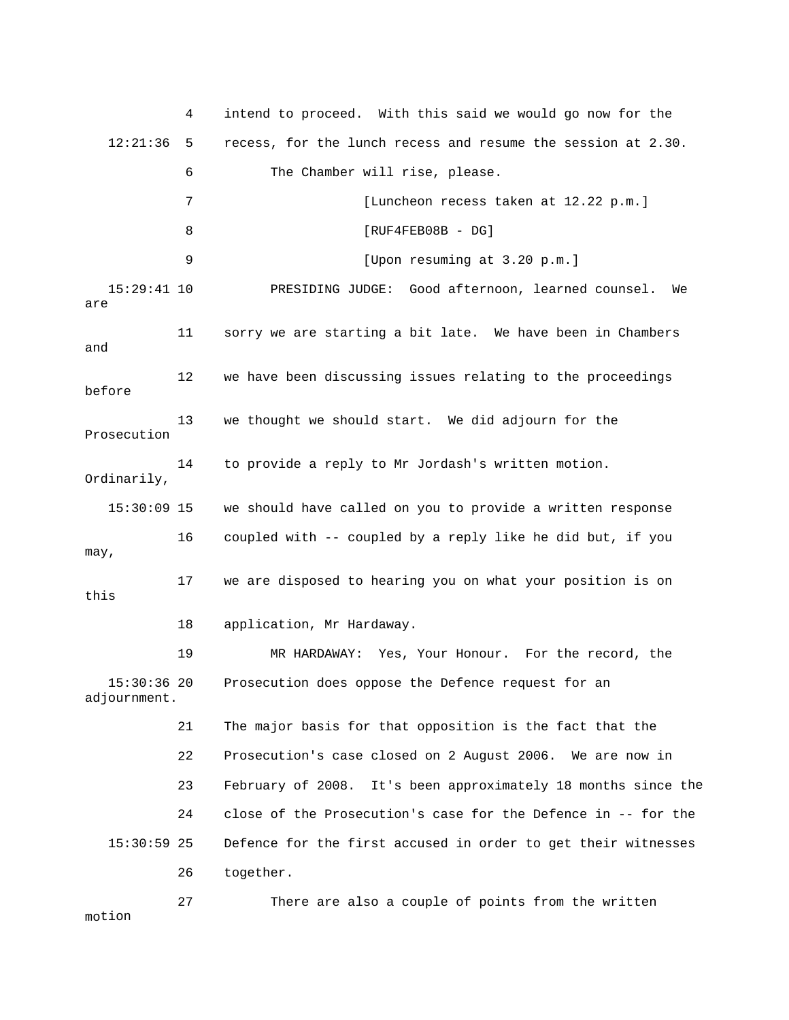4 intend to proceed. With this said we would go now for the 12:21:36 5 recess, for the lunch recess and resume the session at 2.30. 6 The Chamber will rise, please. 7 [Luncheon recess taken at 12.22 p.m.] 8 [RUF4FEB08B - DG] 9 [Upon resuming at 3.20 p.m.] PRESIDING JUDGE: Good afternoon, learned counsel. We are 11 sorry we are starting a bit late. We have been in Chambers and Prosecution 15:30:09 15 we should have called on you to provide a written response 16 coupled with -- coupled by a reply like he did but, if you 17 we are disposed to hearing you on what your position is on 18 application, Mr Hardaway. Prosecution does oppose the Defence request for an 21 The major basis for that opposition is the fact that the 22 Prosecution's case closed on 2 August 2006. We are now in 23 February of 2008. It's been approximately 18 months since the 24 close of the Prosecution's case for the Defence in -- for the 15:30:59 25 Defence for the first accused in order to get their witnesses 26 together. 27 There are also a couple of points from the written motion  $15:29:41$  10 12 we have been discussing issues relating to the proceedings before 13 we thought we should start. We did adjourn for the 14 to provide a reply to Mr Jordash's written motion. Ordinarily, may, this 19 MR HARDAWAY: Yes, Your Honour. For the record, the 15:30:36 20 adjournment. 2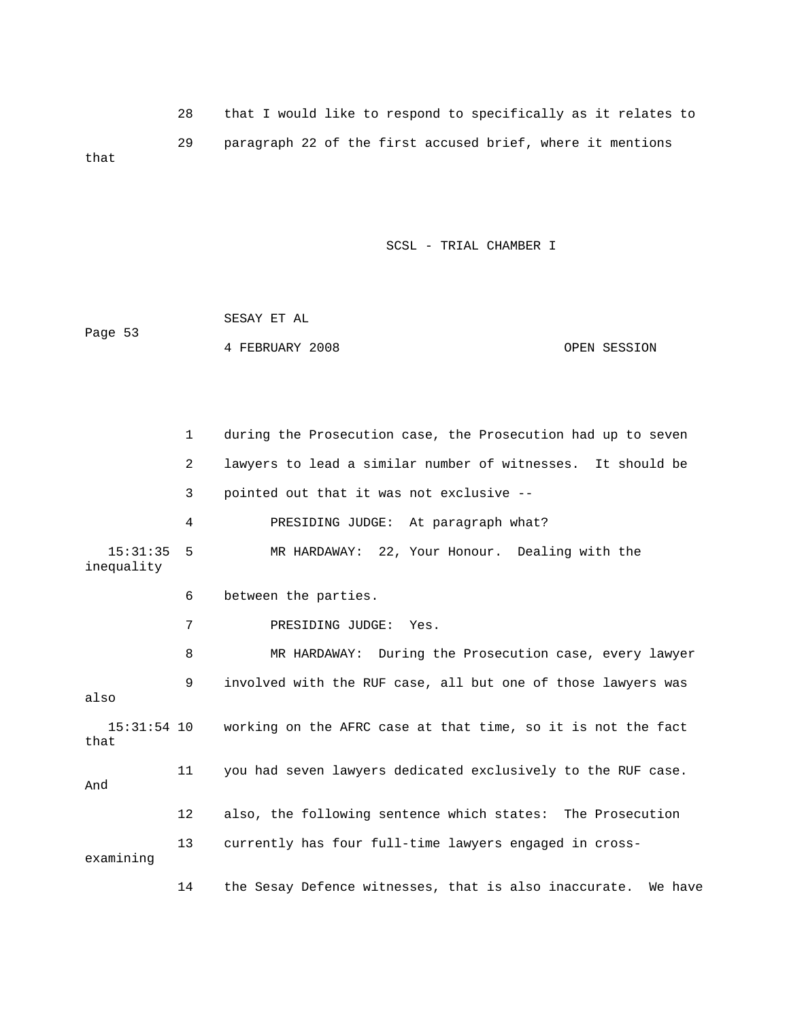28 that I would like to respond to specifically as it relates to 29 paragraph 22 of the first accused brief, where it m entions that

|         | SESAY ET AL     |              |
|---------|-----------------|--------------|
| Page 53 |                 |              |
|         | 4 FEBRUARY 2008 | OPEN SESSION |

|                        | $\mathbf{1}$ | during the Prosecution case, the Prosecution had up to seven                                            |  |  |
|------------------------|--------------|---------------------------------------------------------------------------------------------------------|--|--|
|                        | 2            | lawyers to lead a similar number of witnesses. It should be<br>pointed out that it was not exclusive -- |  |  |
|                        | 3            |                                                                                                         |  |  |
|                        | 4            | PRESIDING JUDGE: At paragraph what?                                                                     |  |  |
| 15:31:35<br>inequality | 5            | MR HARDAWAY: 22, Your Honour. Dealing with the                                                          |  |  |
|                        | 6            | between the parties.                                                                                    |  |  |
|                        | 7            | PRESIDING JUDGE: Yes.                                                                                   |  |  |
|                        | 8            | MR HARDAWAY: During the Prosecution case, every lawyer                                                  |  |  |
| also                   | 9            | involved with the RUF case, all but one of those lawyers was                                            |  |  |
| that                   |              | 15:31:54 10 working on the AFRC case at that time, so it is not the fact                                |  |  |
| And                    | 11           | you had seven lawyers dedicated exclusively to the RUF case.                                            |  |  |
|                        | 12           | also, the following sentence which states: The Prosecution                                              |  |  |
| examining              | 13           | currently has four full-time lawyers engaged in cross-                                                  |  |  |
|                        | 14           | the Sesay Defence witnesses, that is also inaccurate.<br>We have                                        |  |  |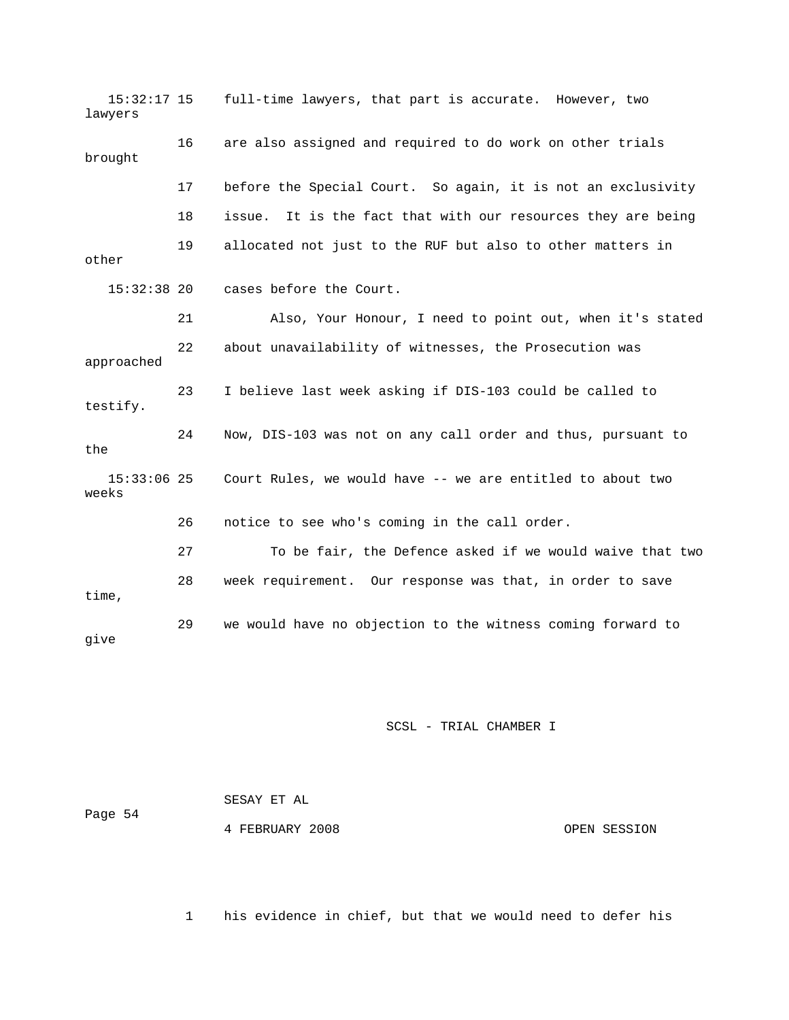15:32:17 15 full-time lawyers, that part is accurate. However, two lawyers 16 are also assigned and required to do work on other trials brought 17 before the Special Court. So again, it is not an exclusivity 21 Also, Your Honour, I need to point out, when it's stated 22 about unavailability of witnesses, the Prosecution was 23 I believe last week asking if DIS-103 could be called to 24 Now, DIS-103 was not on any call order and thus, pursuant to weeks 26 notice to see who's coming in the call order. 27 To be fair, the Defence asked if we would waive that two 29 we would have no objection to the witness coming forward to 18 issue. It is the fact that with our resources they are being 19 allocated not just to the RUF but also to other matters in other 15:32:38 20 cases before the Court. approached testify. the 15:33:06 25 Court Rules, we would have -- we are entitled to about two 28 week requirement. Our response was that, in order to save time, give

### SCSL - TRIAL CHAMBER I

| Page 54 | SESAY ET AL     |              |
|---------|-----------------|--------------|
|         | 4 FEBRUARY 2008 | OPEN SESSION |

1 his evidence in chief, but that we would need to defer his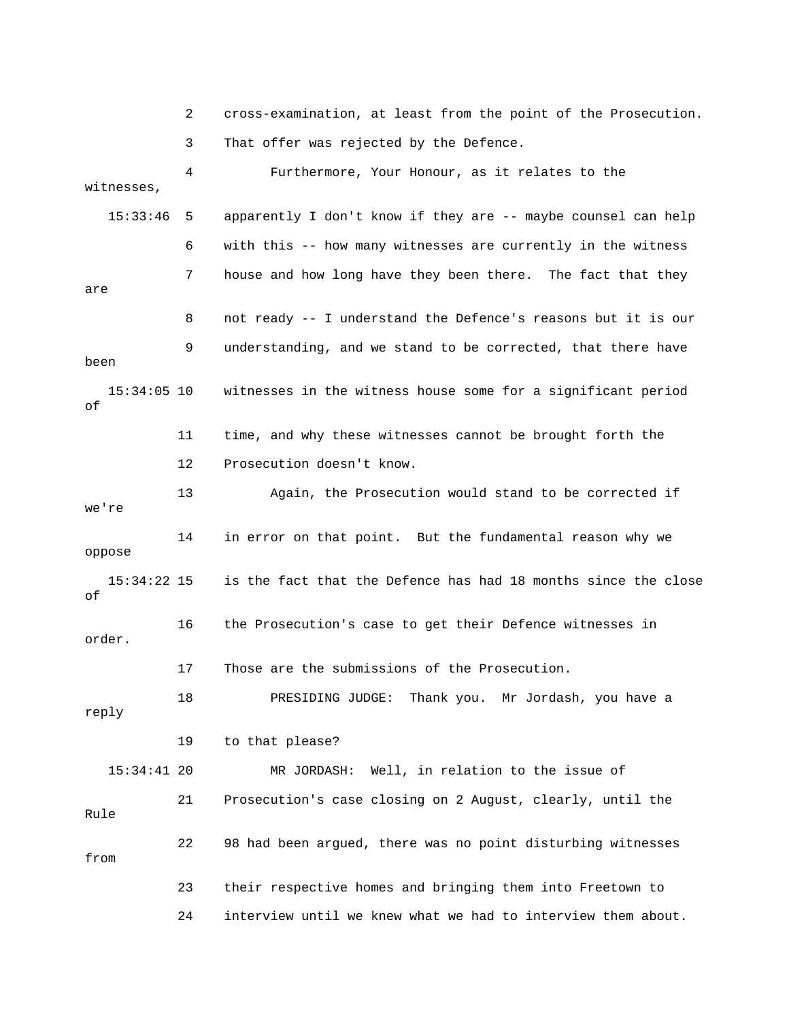2 cross-examination, at least from the point of the Prosecution. 3 That offer was rejected by the Defence. 4 Furthermore, Your Honour, as it relates to the witnesses, 15:33:46 5 apparently I don't know if they are -- maybe counsel can help 6 with this -- how many witnesses are currently in the witness 7 house and how long have they been there. The fact that they are 8 not ready -- I understand the Defence's reasons but it is our been 15:34:05 10 witnesses in the witness house some for a significant period 11 time, and why these witnesses cannot be brought forth the 13 Again, the Prosecution would stand to be corrected if 16 the Prosecution's case to get their Defence witnesses in . order 17 Those are the submissions of the Prosecution. reply 19 to that please? 24 interview until we knew what we had to interview them about. 9 understanding, and we stand to be corrected, that there have of 12 Prosecution doesn't know. we're 14 in error on that point. But the fundamental reason why we oppose 15:34:22 15 is the fact that the Defence has had 18 months since the close of 18 PRESIDING JUDGE: Thank you. Mr Jordash, you have a 15:34:41 20 MR JORDASH: Well, in relation to the issue of 21 Prosecution's case closing on 2 August, clearly, until the Rule 22 98 had been argued, there was no point disturbing witnesses from 23 their respective homes and bringing them into Freetown to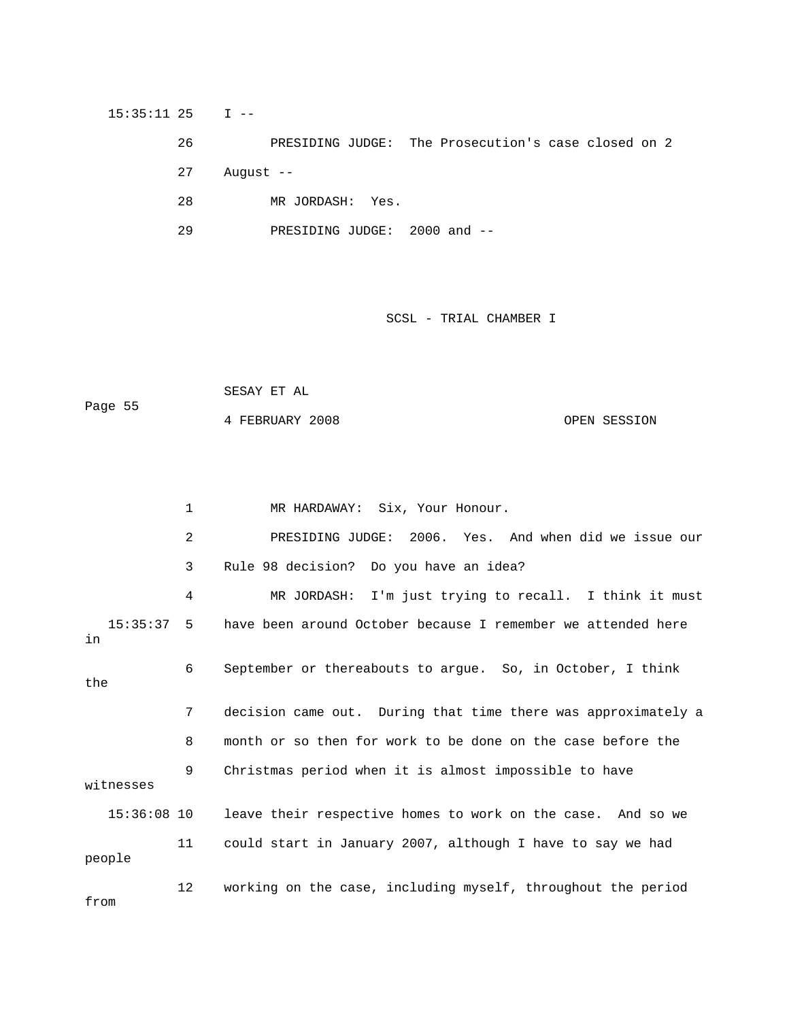15:35:11 25 I -- 26 PRESIDING JUDGE: The Prosecution's case closed on 2 27 August -- 28 MR JORDASH: Yes. 29 PRESIDING JUDGE: 2000 and --

SCSL - TRIAL CHAMBER I

 SESAY ET AL OPEN SESSION Page 55 4 FEBRUARY

1 MR HARDAWAY: Six, Your Honour. 2 PRESIDING JUDGE: 2006. Yes. And when did we issue our 3 Rule 98 decision? Do you have an idea? 4 MR JORDASH: I'm just trying to recall. I think it must 15:35:37 5 have been around October because I remember we attended here 6 September or thereabouts to argue. So, in October, I think 7 decision came out. During that time there was approximately a 8 month or so then for work to be done on the case before the 9 Christmas period when it is almost impossible to have witnesses 11 could start in January 2007, although I have to say we had in the 15:36:08 10 leave their respective homes to work on the case. And so we people 12 working on the case, including myself, throughout the period from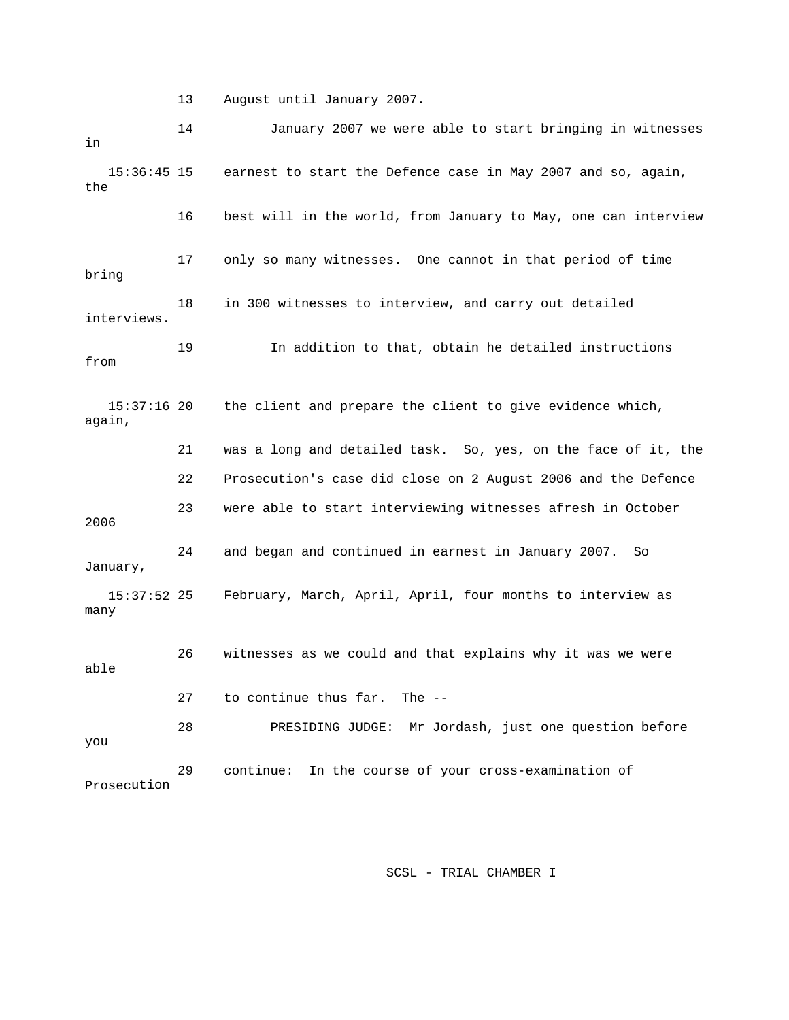13 August until January 2007.

 14 January 2007 we were able to start bringing in witnesses the 16 best will in the world, from January to May, one can interview 17 only so many witnesses. One cannot in that period of time 18 in 300 witnesses to interview, and carry out detailed 19 In addition to that, obtain he detailed instructions the client and prepare the client to give evidence which, 21 was a long and detailed task. So, yes, on the face of it, the 23 were able to start interviewing witnesses afresh in October 24 and began and continued in earnest in January 2007. So February, March, April, April, four months to interview as 26 witnesses as we could and that explains why it was we were 27 to continue thus far. The -- Prosecution in 15:36:45 15 earnest to start the Defence case in May 2007 and so, again, bring interviews. from  $15:37:16$  20 again, 22 Prosecution's case did close on 2 August 2006 and the Defence 2006 January, 15:37:52 many able 28 PRESIDING JUDGE: Mr Jordash, just one question before you 29 continue: In the course of your cross-examination of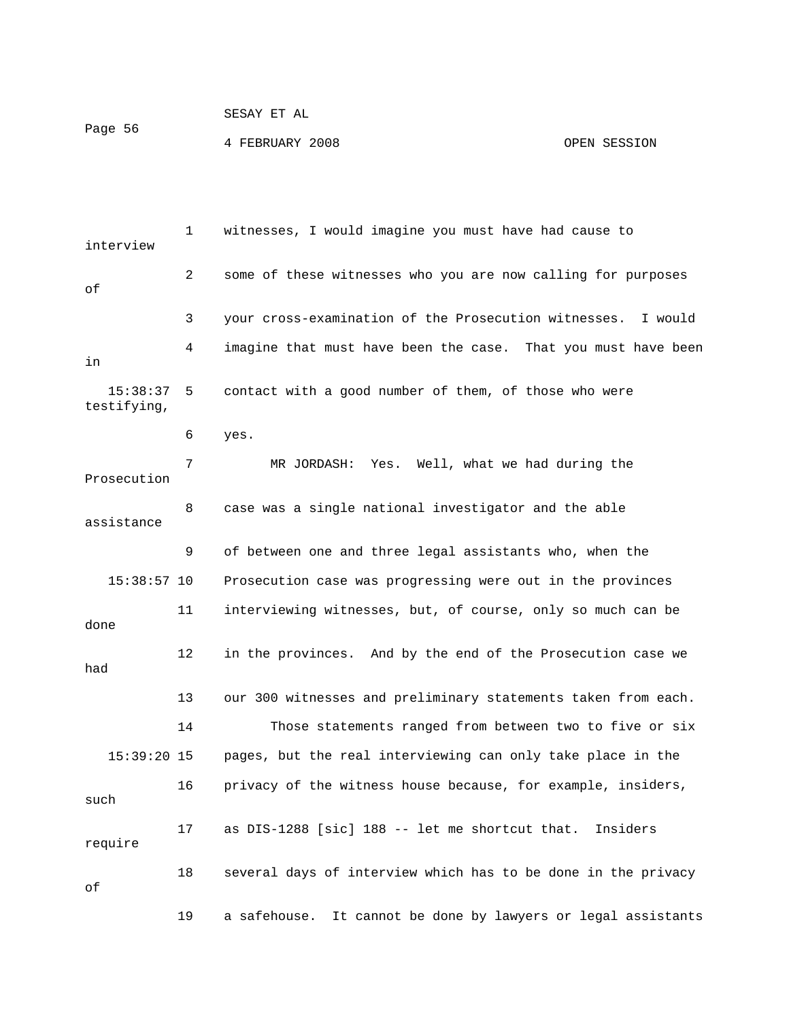|         | SESAY ET AL     |              |
|---------|-----------------|--------------|
| Page 56 |                 |              |
|         | 4 FEBRUARY 2008 | OPEN SESSION |

1 witnesses, I would imagine you must have had cause to interview 2 some of these witnesses who you are now calling for purposes 3 your cross-examination of the Prosecution witnesses. I would 4 imagine that must have been the case. That you must have been testifying, 6 yes. 7 MR JORDASH: Yes. Well, what we had during the Prosecution 15:38:57 10 Prosecution case was progressing were out in the provinces 11 interviewing witnesses, but, of course, only so much can be 12 in the provinces. And by the end of the Prosecution case we 13 our 300 witnesses and preliminary statements taken from each. Those statements ranged from between two to five or six pages, but the real interviewing can only take place in the 16 privacy of the witness house because, for example, insiders, require 18 several days of interview which has to be done in the privacy 19 a safehouse. It cannot be done by lawyers or legal assistants of in 15:38:37 5 contact with a good number of them, of those who were 8 case was a single national investigator and the able assistance 9 of between one and three legal assistants who, when the done had 14 15:39:20 1 such 17 as DIS-1288 [sic] 188 -- let me shortcut that. Insiders of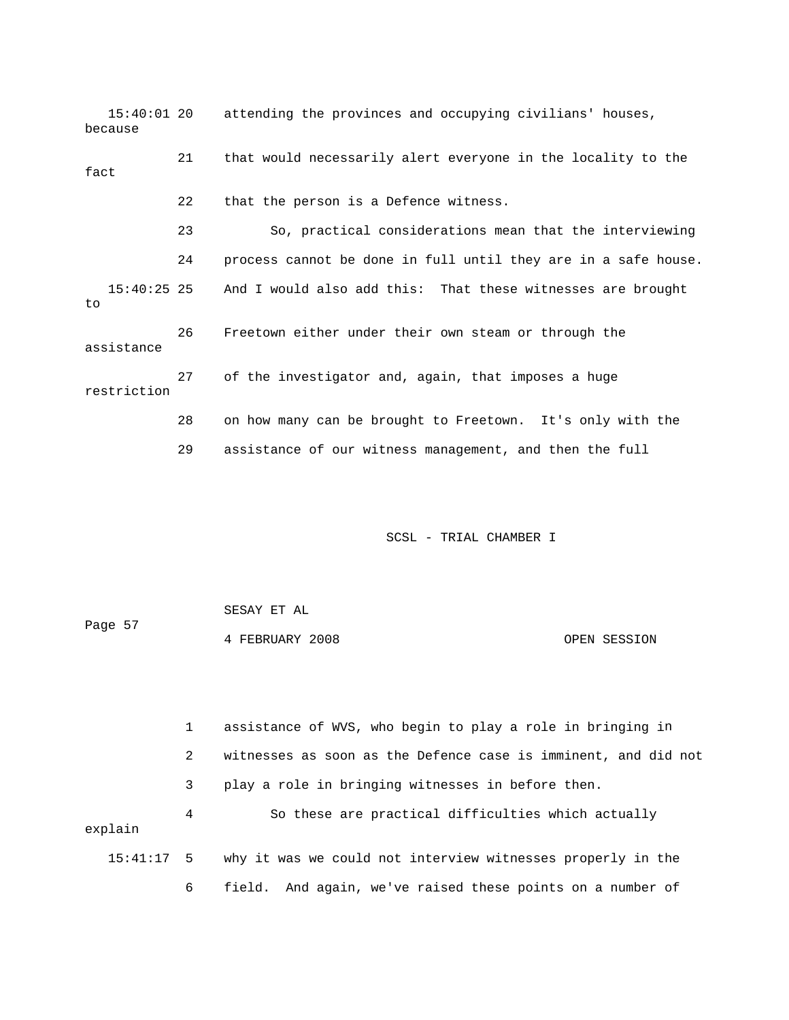15:40:01 20 attending the provinces and occupying civilians' houses, because 24 process cannot be done in full until they are in a safe house. And I would also add this: That these witnesses are brought 26 Freetown either under their own steam or through the assistance 29 assistance of our witness management, and then the full 21 that would necessarily alert everyone in the locality to the fact 22 that the person is a Defence witness. 23 So, practical considerations mean that the interviewing 15:40:25 25 to 27 of the investigator and, again, that imposes a huge restriction 28 on how many can be brought to Freetown. It's only with the

SCSL - TRIAL CHAMBER I

| Page 57 | SESAY ET AL     |              |
|---------|-----------------|--------------|
|         | 4 FEBRUARY 2008 | OPEN SESSION |

1 assistance of WVS, who begin to play a role in bringing in 2 witnesses as soon as the Defence case is imminent, and did not 3 play a role in bringing witnesses in before then. 4 So these are practical difficulties which actually explain 15:41:17 5 why it was we could not interview witnesses properly in the 6 field. And again, we've raised these points on a number of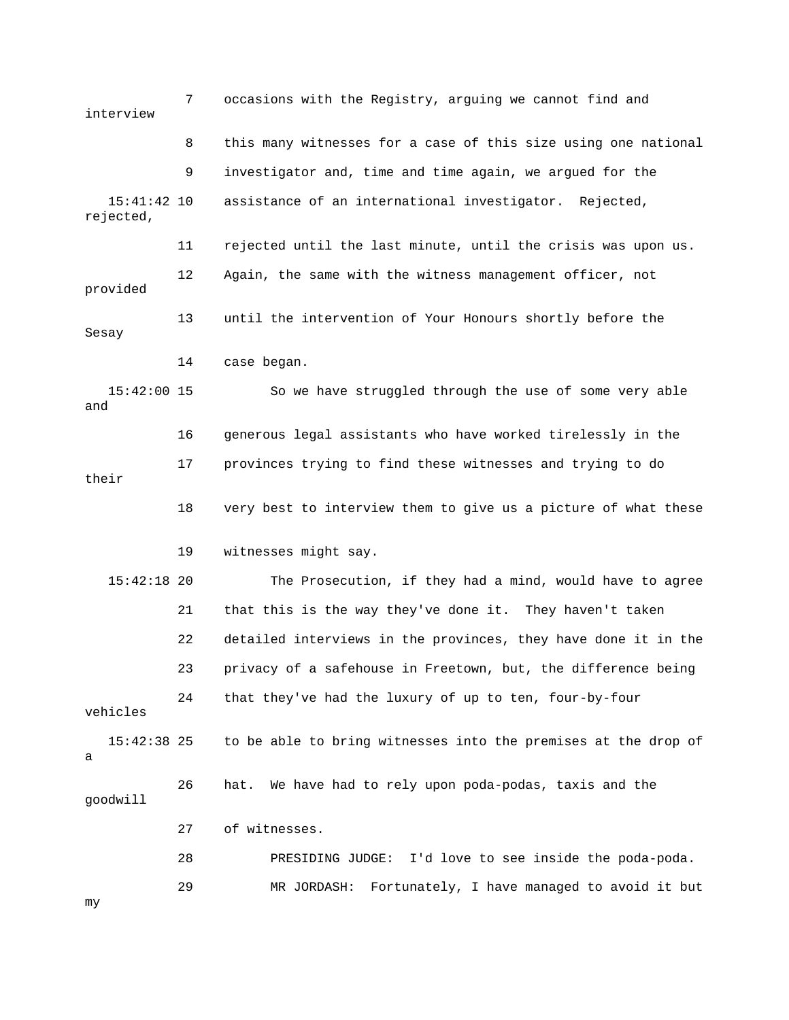7 occasions with the Registry, arguing we cannot find and interview 8 this many witnesses for a case of this size using one national rejected, 11 rejected until the last minute, until the crisis was upon us. 12 Again, the same with the witness management officer, not 13 until the intervention of Your Honours shortly before the 15:42:00 15 So we have struggled through the use of some very able e 16 generous legal assistants who have worked tirelessly in th 15:42:18 20 The Prosecution, if they had a mind, would have to agree 21 that this is the way they've done it. They haven't taken 22 detailed interviews in the provinces, they have done it in the 23 privacy of a safehouse in Freetown, but, the difference being vehicles to be able to bring witnesses into the premises at the drop of 26 hat. We have had to rely upon poda-podas, taxis and the goodwill 27 of witnesses. 29 MR JORDASH: Fortunately, I have managed to avoid it but 9 investigator and, time and time again, we argued for the 15:41:42 10 assistance of an international investigator. Rejected, provided Sesay 14 case began. and 17 provinces trying to find these witnesses and trying to do their 18 very best to interview them to give us a picture of what these 19 witnesses might say. 24 that they've had the luxury of up to ten, four-by-four  $15:42:38$  25 a 28 PRESIDING JUDGE: I'd love to see inside the poda-poda.

my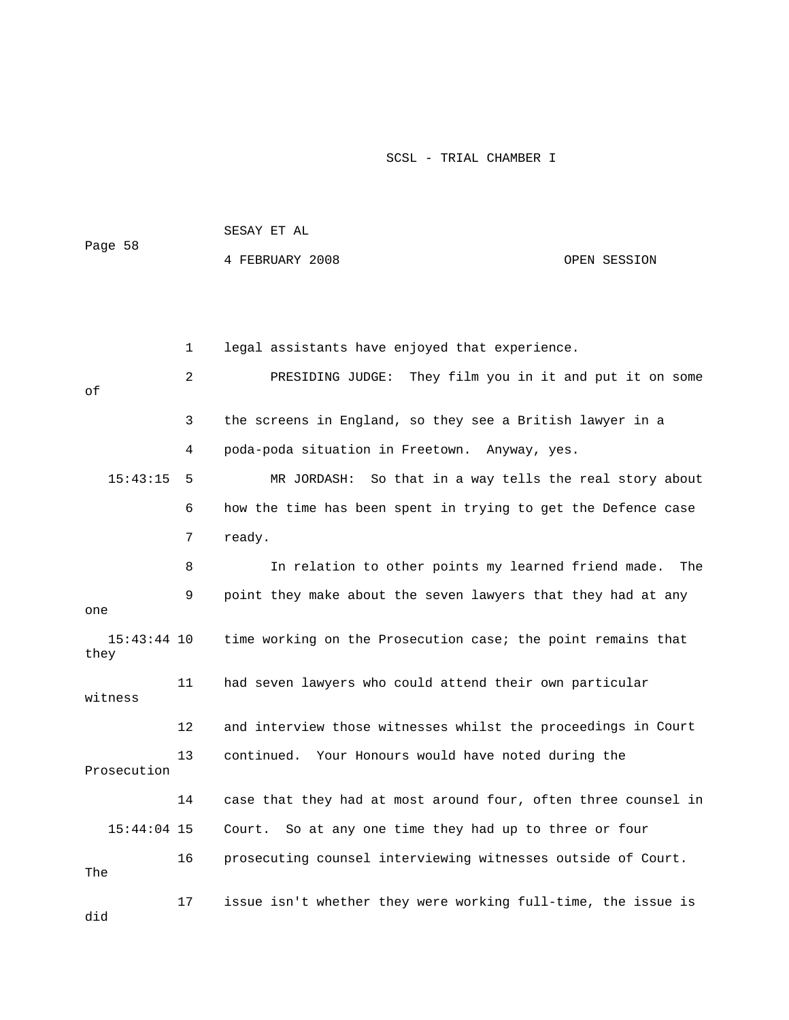| Page 58               |    | SESAY ET AL                                                    |              |
|-----------------------|----|----------------------------------------------------------------|--------------|
|                       |    | 4 FEBRUARY 2008                                                | OPEN SESSION |
|                       |    |                                                                |              |
|                       |    |                                                                |              |
|                       | 1  | legal assistants have enjoyed that experience.                 |              |
| оf                    | 2  | PRESIDING JUDGE: They film you in it and put it on some        |              |
|                       | 3  | the screens in England, so they see a British lawyer in a      |              |
|                       | 4  | poda-poda situation in Freetown. Anyway, yes.                  |              |
| 15:43:15              | 5  | MR JORDASH: So that in a way tells the real story about        |              |
|                       | 6  | how the time has been spent in trying to get the Defence case  |              |
|                       | 7  | ready.                                                         |              |
|                       | 8  | In relation to other points my learned friend made.            | The          |
| one                   | 9  | point they make about the seven lawyers that they had at any   |              |
| $15:43:44$ 10<br>they |    | time working on the Prosecution case; the point remains that   |              |
| witness               | 11 | had seven lawyers who could attend their own particular        |              |
|                       | 12 | and interview those witnesses whilst the proceedings in Court  |              |
| Prosecution           | 13 | continued. Your Honours would have noted during the            |              |
|                       | 14 | case that they had at most around four, often three counsel in |              |
| $15:44:04$ 15         |    | So at any one time they had up to three or four<br>Court.      |              |
| The                   | 16 | prosecuting counsel interviewing witnesses outside of Court.   |              |
| did                   | 17 | issue isn't whether they were working full-time, the issue is  |              |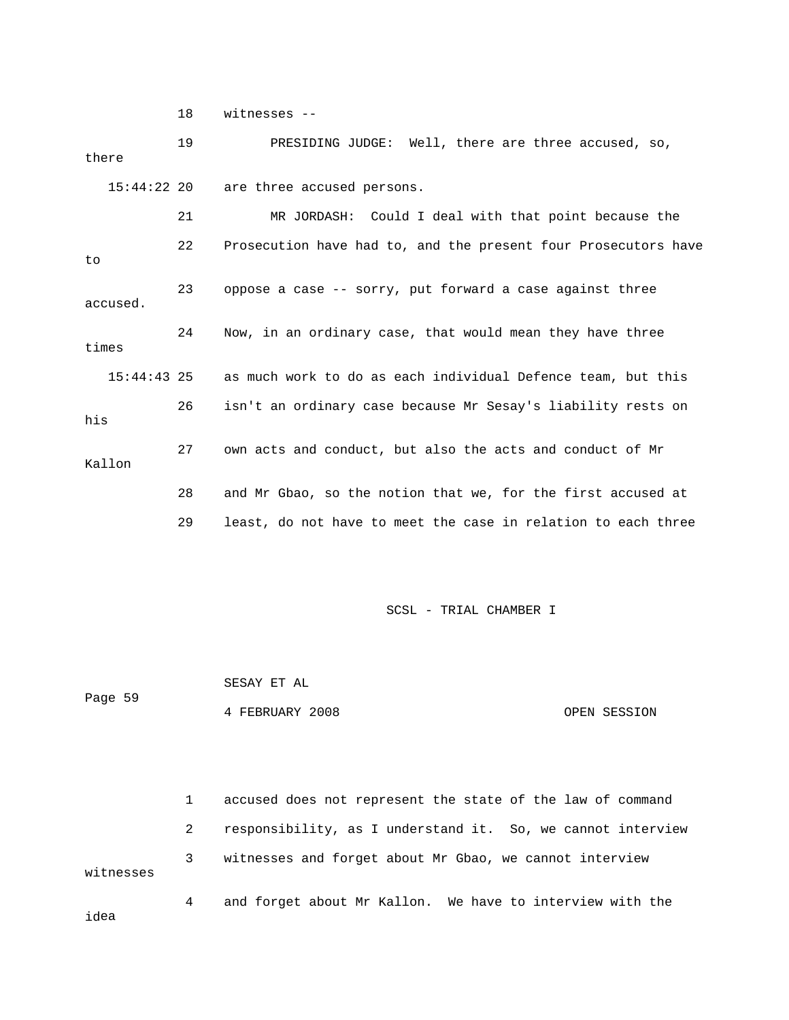18 witnesses --

 19 PRESIDING JUDGE: Well, there are three accused, so, 21 MR JORDASH: Could I deal with that point because the 22 Prosecution have had to, and the present four Prosecutors have accused. 15:44:43 25 as much work to do as each individual Defence team, but this 27 own acts and conduct, but also the acts and conduct of Mr 28 and Mr Gbao, so the notion that we, for the first accused at 29 least, do not have to meet the case in relation to each three there 15:44:22 20 are three accused persons. to 23 oppose a case -- sorry, put forward a case against three 24 Now, in an ordinary case, that would mean they have three times 26 isn't an ordinary case because Mr Sesay's liability rests on his Kallon

SCSL - TRIAL CHAMBER I

Page 59 SESAY ET AL 4 FEBRUARY 2008 OPEN SESSION

 1 accused does not represent the state of the law of command 2 responsibility, as I understand it. So, we cannot interview 3 witnesses and forget about Mr Gbao, we cannot interview 4 and forget about Mr Kallon. We have to interview with the idea witnesses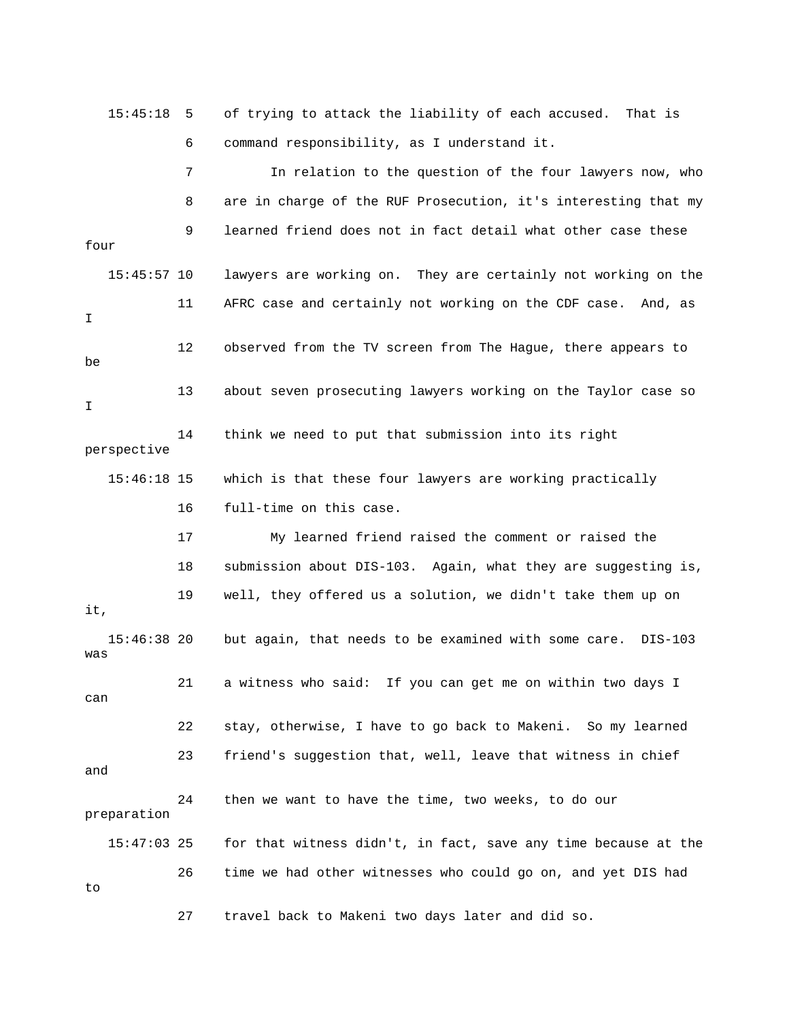15:45:18 5 of trying to attack the liability of each accused. That is 6 command responsibility, as I understand it. 7 In relation to the question of the four lawyers now, who

 8 are in charge of the RUF Prosecution, it's interesting that my 15:45:57 10 lawyers are working on. They are certainly not working on the 11 AFRC case and certainly not working on the CDF case. And, as 12 observed from the TV screen from The Hague, there appears to 13 about seven prosecuting lawyers working on the Taylor case so perspective 15:46:18 15 which is that these four lawyers are working practically 19 well, they offered us a solution, we didn't take them up on 15:46:38 20 but again, that needs to be examined with some care. DIS-103 21 a witness who said: If you can get me on within two days I 22 stay, otherwise, I have to go back to Makeni. So my learned 23 friend's suggestion that, well, leave that witness in chief 15:47:03 25 for that witness didn't, in fact, save any time because at the 26 time we had other witnesses who could go on, and yet DIS had 27 travel back to Makeni two days later and did so. 9 learned friend does not in fact detail what other case these four I be I 14 think we need to put that submission into its right 16 full-time on this case. 17 My learned friend raised the comment or raised the 18 submission about DIS-103. Again, what they are suggesting is, it, was can and 24 then we want to have the time, two weeks, to do our preparation to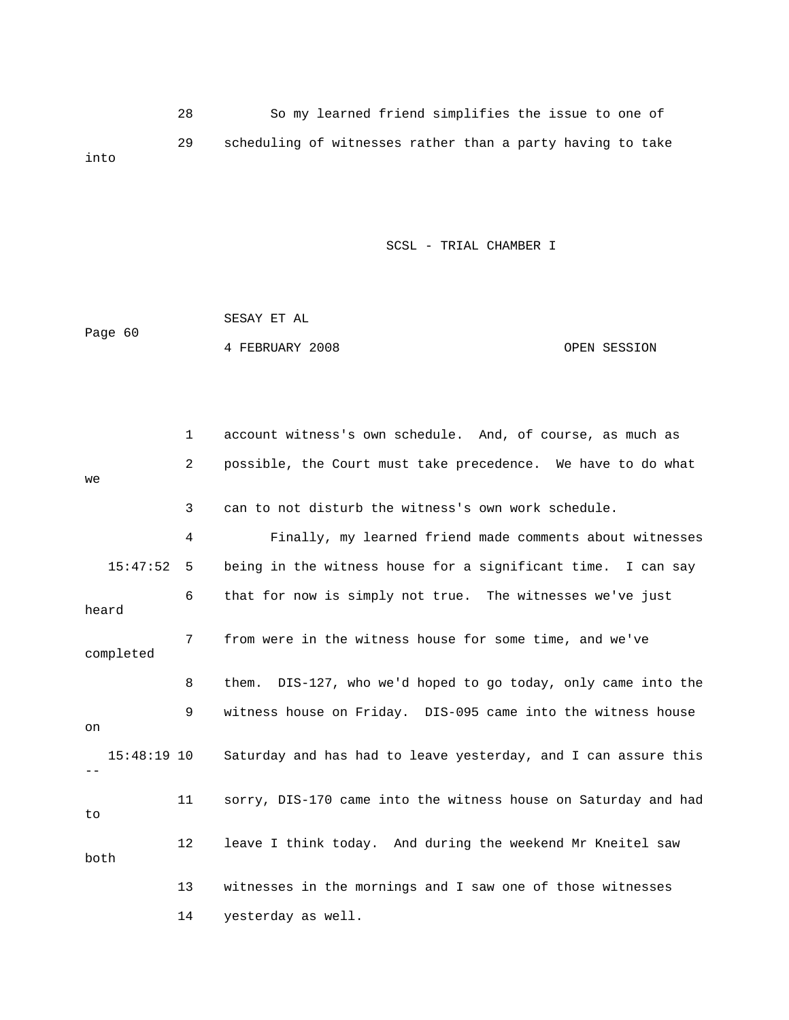28 So my learned friend simplifies the issue to one of 29 scheduling of witnesses rather than a party having to take into

|         | SESAY ET AL     |  |              |
|---------|-----------------|--|--------------|
| Page 60 |                 |  |              |
|         | 4 FEBRUARY 2008 |  | OPEN SESSION |

|               | 1                 | account witness's own schedule. And, of course, as much as     |
|---------------|-------------------|----------------------------------------------------------------|
| we            | 2                 | possible, the Court must take precedence. We have to do what   |
|               | 3                 | can to not disturb the witness's own work schedule.            |
|               | 4                 | Finally, my learned friend made comments about witnesses       |
| 15:47:52      | 5                 | being in the witness house for a significant time. I can say   |
| heard         | 6                 | that for now is simply not true. The witnesses we've just      |
| completed     | $7\phantom{.}$    | from were in the witness house for some time, and we've        |
|               | 8                 | them. DIS-127, who we'd hoped to go today, only came into the  |
| on            | 9                 | witness house on Friday. DIS-095 came into the witness house   |
| $15:48:19$ 10 |                   | Saturday and has had to leave yesterday, and I can assure this |
| to            | 11                | sorry, DIS-170 came into the witness house on Saturday and had |
| both          | $12 \overline{ }$ | leave I think today. And during the weekend Mr Kneitel saw     |
|               | 13                | witnesses in the mornings and I saw one of those witnesses     |
|               | 14                | yesterday as well.                                             |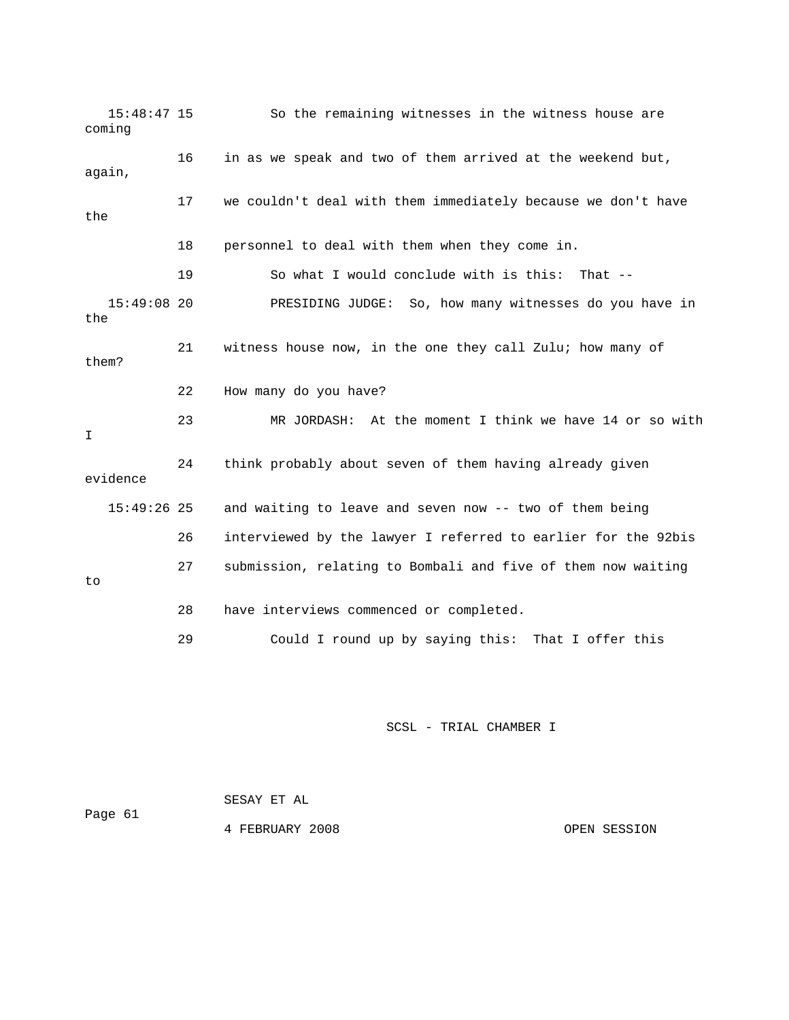15:48:47 15 So the remaining witnesses in the witness house are coming 16 in as we speak and two of them arrived at the weekend but, again, 17 we couldn't deal with them immediately because we don't have the 18 personnel to deal with them when they come in. 15:49:08 20 PRESIDING JUDGE: So, how many witnesses do you have in 21 vitness house now, in the one they call Zulu; how many of them? 22 How many do you have? 23 MR JORDASH: At the moment I think we have 14 or so with evidence 15:49:26 25 and waiting to leave and seven now -- two of them being 26 interviewed by the lawyer I referred to earlier for the 92bis 29 Could I round up by saying this: That I offer this 19 So what I would conclude with is this: That - the I 24 think probably about seven of them having already given 27 submission, relating to Bombali and five of them now waiting to 28 have interviews commenced or completed.

|         | SESAY ET AL     |              |
|---------|-----------------|--------------|
| Paqe 61 |                 |              |
|         | 4 FEBRUARY 2008 | OPEN SESSION |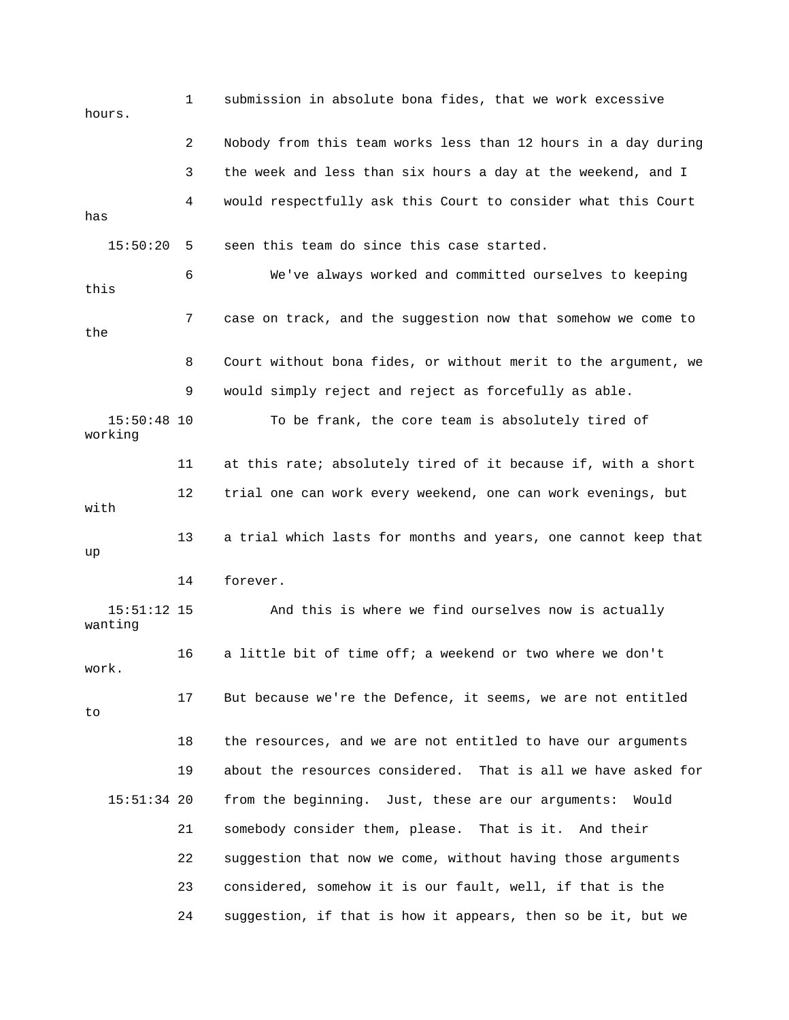1 submission in absolute bona fides, that we work excessive hours. 2 Nobody from this team works less than 12 hours in a day during 3 the week and less than six hours a day at the weekend, and I 4 would respectfully ask this Court to consider what this Court has 6 We've always worked and committed ourselves to keeping this 7 case on track, and the suggestion now that somehow we come to 8 Court without bona fides, or without merit to the argument, we working 11 at this rate; absolutely tired of it because if, with a short 12 trial one can work every weekend, one can work evenings, but 13 a trial which lasts for months and years, one cannot keep that 14 forever. wanting 16 a little bit of time off; a weekend or two where we don't 17 But because we're the Defence, it seems, we are not entitled 19 about the resources considered. That is all we have asked for from the beginning. Just, these are our arguments: Would 21 somebody consider them, please. That is it. And their 23 considered, somehow it is our fault, well, if that is the 24 suggestion, if that is how it appears, then so be it, but we 15:50:20 5 seen this team do since this case started. the 9 would simply reject and reject as forcefully as able. 15:50:48 10 To be frank, the core team is absolutely tired of with up 15:51:12 15 And this is where we find ourselves now is actually work. to 18 the resources, and we are not entitled to have our arguments  $15:51:34$  20 22 suggestion that now we come, without having those arguments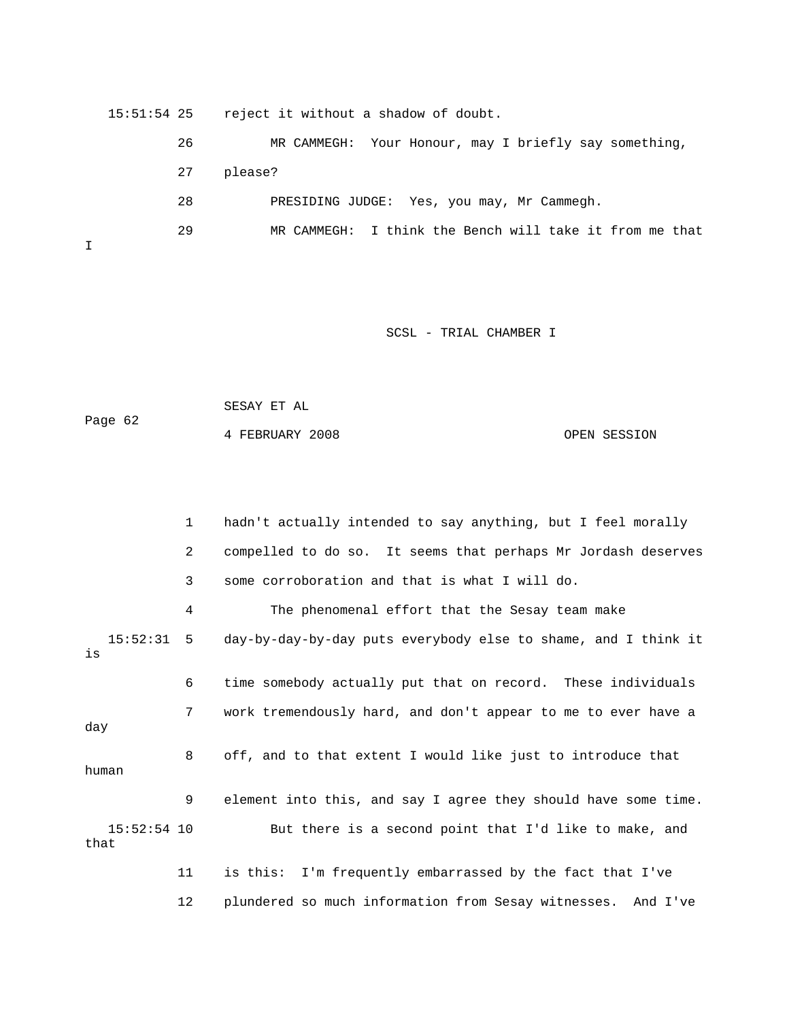15:51:54 25 reject it without a shadow of doubt.

 26 MR CAMMEGH: Your Honour, may I briefly say something, 27 please? 29 MR CAMMEGH: I think the Bench will take it from me that 28 PRESIDING JUDGE: Yes, you may, Mr Cammegh.

I

#### SCSL - TRIAL CHAMBER I

 SESAY ET AL Page 62

4 FEBRUARY 2008 OPEN SESSION

 1 hadn't actually intended to say anything, but I feel morally 2 compelled to do so. It seems that perhaps Mr Jordash deserves 3 some corroboration and that is what I will do. 4 The phenomenal effort that the Sesay team make 15:52:31 5 day-by-day-by-day puts everybody else to shame, and I think it 6 time somebody actually put that on record. These individuals 7 work tremendously hard, and don't appear to me to ever have a day 8 off, and to that extent I would like just to introduce that 15:52:54 10 But there is a second point that I'd like to make, and that is human 9 element into this, and say I agree they should have some time. 11 is this: I'm frequently embarrassed by the fact that I've 12 plundered so much information from Sesay witnesses. And I've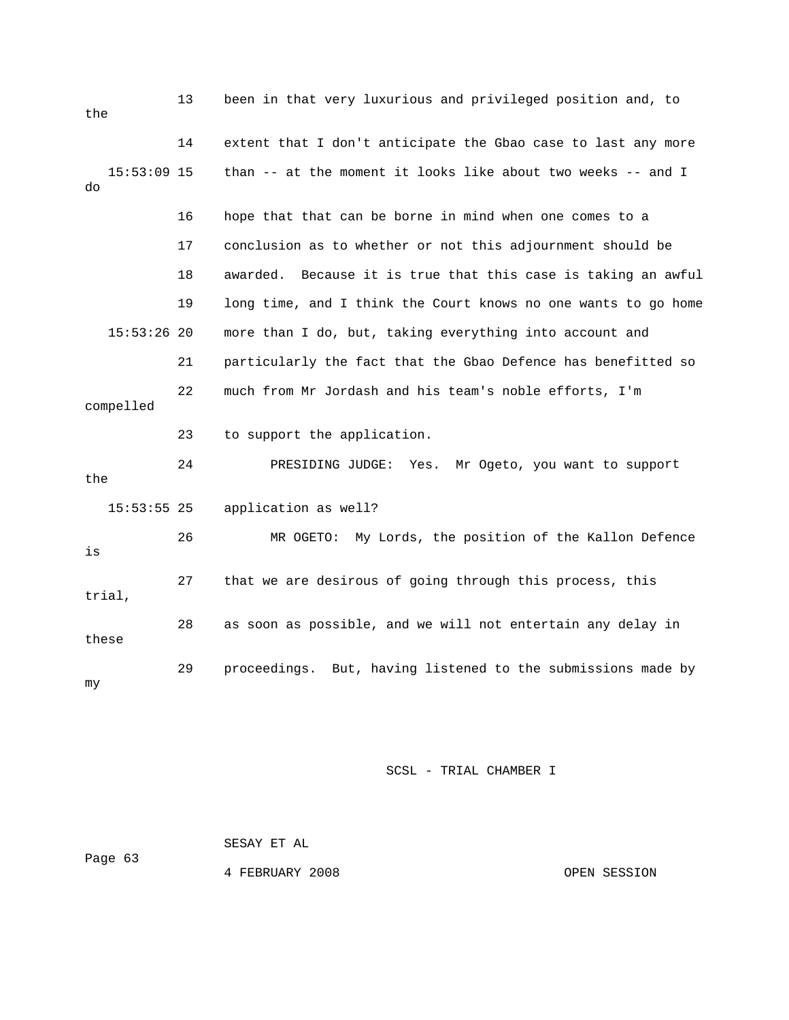| the                 | 13 | been in that very luxurious and privileged position and, to      |
|---------------------|----|------------------------------------------------------------------|
|                     | 14 | extent that I don't anticipate the Gbao case to last any more    |
| $15:53:09$ 15<br>do |    | than -- at the moment it looks like about two weeks -- and I     |
|                     | 16 | hope that that can be borne in mind when one comes to a          |
|                     | 17 | conclusion as to whether or not this adjournment should be       |
|                     | 18 | Because it is true that this case is taking an awful<br>awarded. |
|                     | 19 | long time, and I think the Court knows no one wants to go home   |
| $15:53:26$ 20       |    | more than I do, but, taking everything into account and          |
|                     | 21 | particularly the fact that the Gbao Defence has benefitted so    |
| compelled           | 22 | much from Mr Jordash and his team's noble efforts, I'm           |
|                     | 23 | to support the application.                                      |
| the                 | 24 | PRESIDING JUDGE:<br>Yes.<br>Mr Ogeto, you want to support        |
| $15:53:55$ 25       |    | application as well?                                             |
| is                  | 26 | MR OGETO: My Lords, the position of the Kallon Defence           |
| trial,              | 27 | that we are desirous of going through this process, this         |
| these               | 28 | as soon as possible, and we will not entertain any delay in      |
| my                  | 29 | proceedings. But, having listened to the submissions made by     |

 SESAY ET AL Page 63 4 FEBRUARY 2008 CPEN SESSION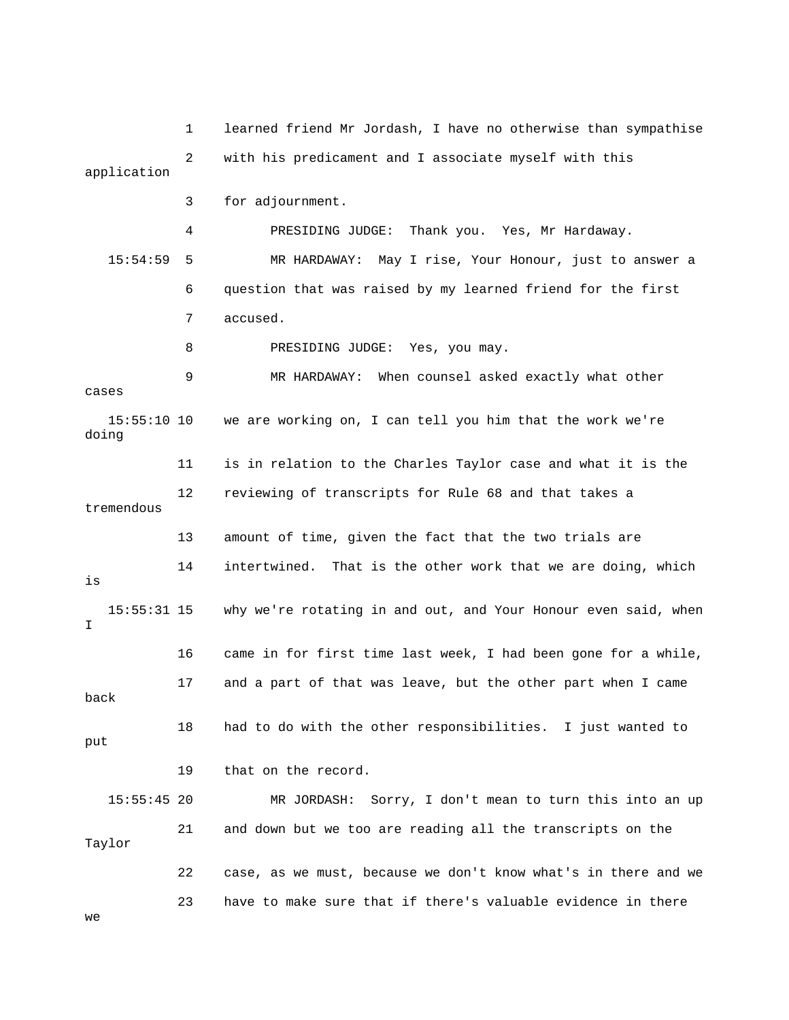1 learned friend Mr Jordash, I have no otherwise than sympathise 2 with his predicament and I associate myself with this application 4 PRESIDING JUDGE: Thank you. Yes, Mr Hardaway. 15:54:59 5 MR HARDAWAY: May I rise, Your Honour, just to answer a 6 question that was raised by my learned friend for the first 7 accused. 8 PRESIDING JUDGE: Yes, you may. 15:55:10 10 we are working on, I can tell you him that the work we're 11 is in relation to the Charles Taylor case and what it is the 13 amount of time, given the fact that the two trials are 14 intertwined. That is the other work that we are doing, which 15:55:31 15 why we're rotating in and out, and Your Honour even said, when 16 came in for first time last week, I had been gone for a while, e 17 and a part of that was leave, but the other part when I cam put 15:55:45 20 MR JORDASH: Sorry, I don't mean to turn this into an up Taylor 23 have to make sure that if there's valuable evidence in there 3 for adjournment. 9 MR HARDAWAY: When counsel asked exactly what other cases doing 12 reviewing of transcripts for Rule 68 and that takes a tremendous is I back 18 had to do with the other responsibilities. I just wanted to 19 that on the record. 21 and down but we too are reading all the transcripts on the 22 case, as we must, because we don't know what's in there and we we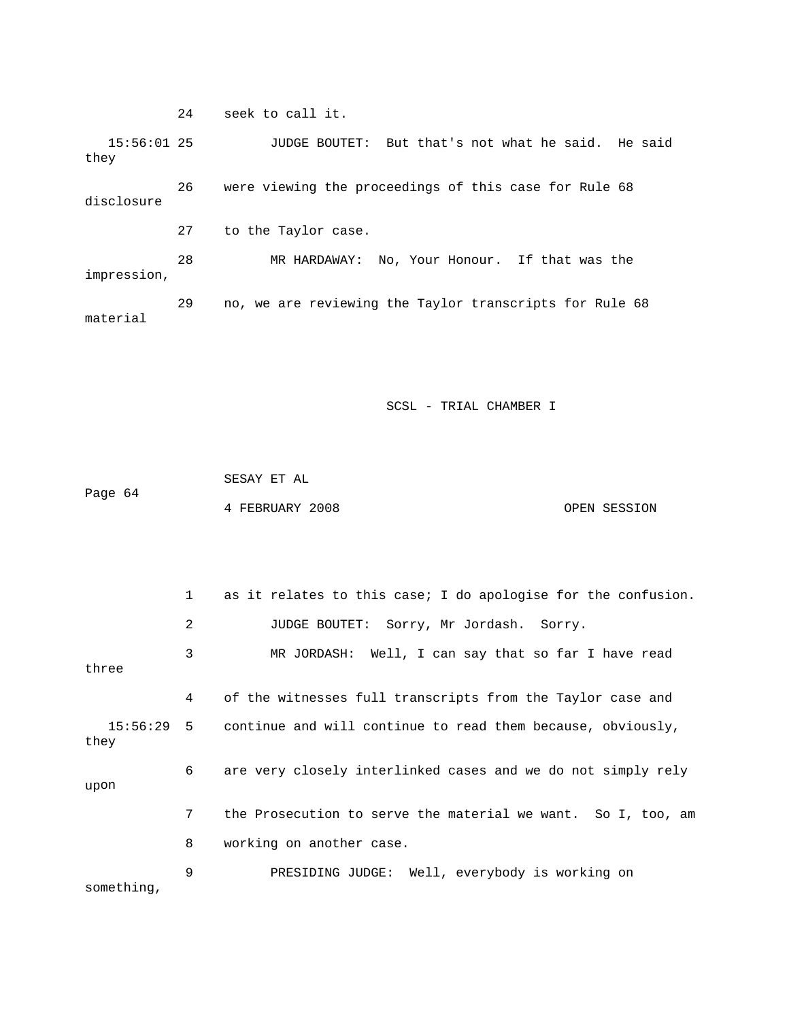24 seek to call it.

 15:56:01 25 JUDGE BOUTET: But that's not what he said. He said 26 were viewing the proceedings of this case for Rule 68 impression, material they disclosure 27 to the Taylor case. 28 MR HARDAWAY: No, Your Honour. If that was the 29 no, we are reviewing the Taylor transcripts for Rule 68

SCSL - TRIAL CHAMBER I

|         | SESAY ET AL     |              |
|---------|-----------------|--------------|
| Page 64 |                 |              |
|         | 4 FEBRUARY 2008 | OPEN SESSION |

 1 as it relates to this case; I do apologise for the confusion. 2 JUDGE BOUTET: Sorry, Mr Jordash. Sorry. 3 MR JORDASH: Well, I can say that so far I have read 4 of the witnesses full transcripts from the Taylor case and 15:56:29 5 continue and will continue to read them because, obviously, 6 are very closely interlinked cases and we do not simply rely upon 7 the Prosecution to serve the material we want. So I, too, am 8 working on another case. 9 PRESIDING JUDGE: Well, everybody is working on three they something,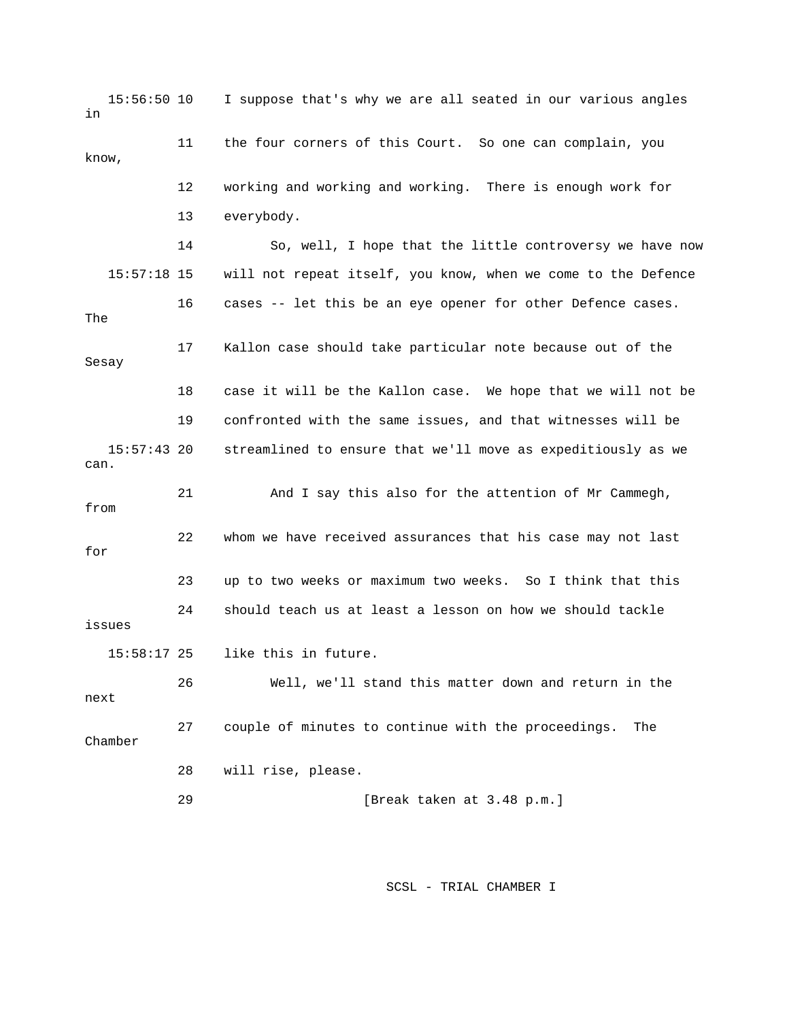15:56:50 10 I suppose that's why we are all seated in our various angles in 12 working and working and working. There is enough work for 15:57:18 15 will not repeat itself, you know, when we come to the Defence 16 cases -- let this be an eye opener for other Defence cases. 17 Kallon case should take particular note because out of the 18 case it will be the Kallon case. We hope that we will not be 19 confronted with the same issues, and that witnesses will be 21 And I say this also for the attention of Mr Cammegh, 23 up to two weeks or maximum two weeks. So I think that this next Chamber 11 the four corners of this Court. So one can complain, you know, 13 everybody. 14 So, well, I hope that the little controversy we have now The Sesay 15:57:43 20 streamlined to ensure that we'll move as expeditiously as we can. from 22 whom we have received assurances that his case may not last for 24 should teach us at least a lesson on how we should tackle issues 15:58:17 25 like this in future. 26 Well, we'll stand this matter down and return in the 27 couple of minutes to continue with the proceedings. The 28 will rise, please. 29 [Break taken at 3.48 p.m.]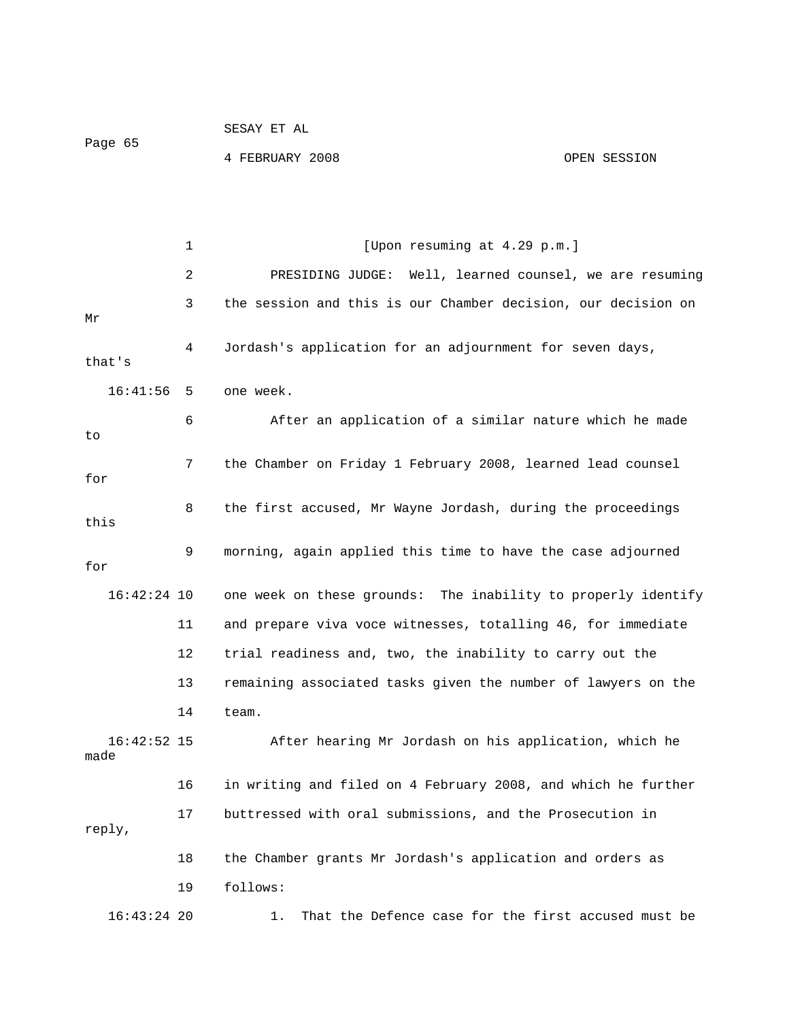```
Page 65
 SESAY ET AL 
 4 FEBRUARY 2008 OPEN SESSION
```
1 [Upon resuming at 4.29 p.m.] 2 PRESIDING JUDGE: Well, learned counsel, we are resuming 3 the session and this is our Chamber decision, our decision on 4 Jordash's application for an adjournment for seven days, that's 6 6 After an application of a similar nature which he made 7 the Chamber on Friday 1 February 2008, learned lead counsel for 8 the first accused, Mr Wayne Jordash, during the proceedings this 16:42:24 10 one week on these grounds: The inability to properly identify 11 and prepare viva voce witnesses, totalling 46, for immediate 12 trial readiness and, two, the inability to carry out the 14 team. After hearing Mr Jordash on his application, which he made 16 in writing and filed on 4 February 2008, and which he further , reply 16:43:24 20 1. That the Defence case for the first accused must be Mr 16:41:56 5 one week. to 9 morning, again applied this time to have the case adjourned for 13 remaining associated tasks given the number of lawyers on the  $16:42:52$  15 17 buttressed with oral submissions, and the Prosecution in 18 the Chamber grants Mr Jordash's application and orders as 19 follows: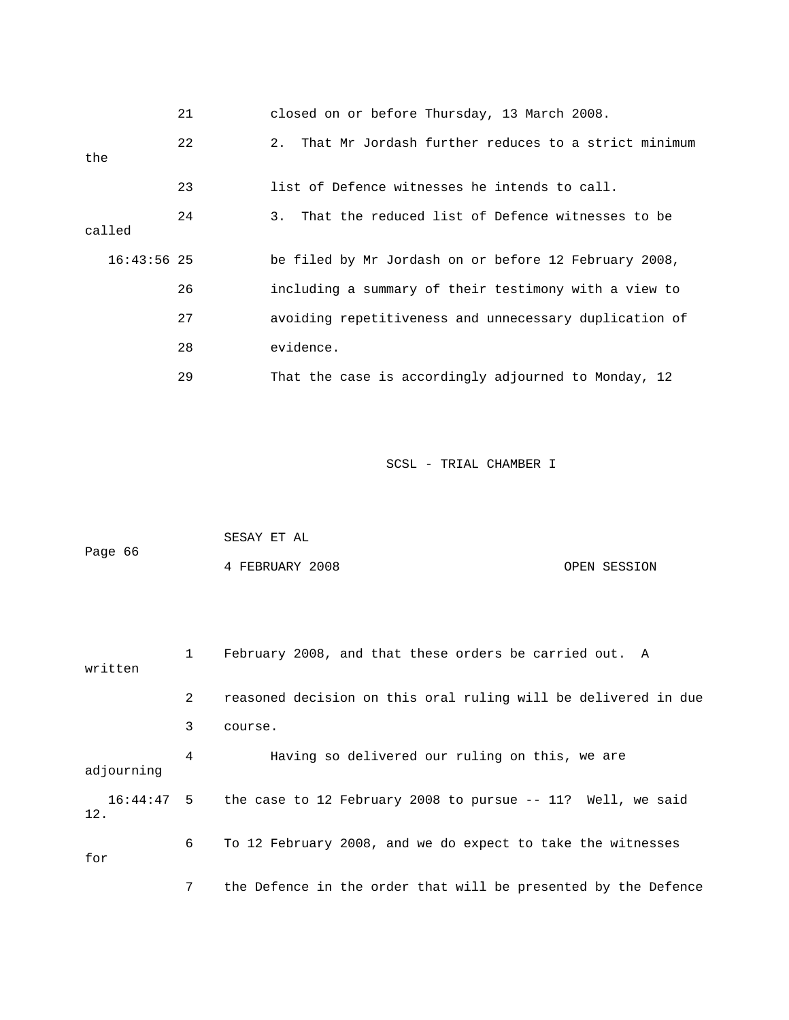|               | 21 | closed on or before Thursday, 13 March 2008.           |
|---------------|----|--------------------------------------------------------|
| the           | 22 | 2. That Mr Jordash further reduces to a strict minimum |
|               | 23 | list of Defence witnesses he intends to call.          |
| called        | 24 | 3. That the reduced list of Defence witnesses to be    |
| $16:43:56$ 25 |    | be filed by Mr Jordash on or before 12 February 2008,  |
|               | 26 | including a summary of their testimony with a view to  |
|               | 27 | avoiding repetitiveness and unnecessary duplication of |
|               | 28 | evidence.                                              |
|               | 29 | That the case is accordingly adjourned to Monday, 12   |

|         | SESAY ET AL     |  |              |
|---------|-----------------|--|--------------|
| Page 66 |                 |  |              |
|         | 4 FEBRUARY 2008 |  | OPEN SESSION |

 1 February 2008, and that these orders be carried out. A 2 reasoned decision on this oral ruling will be delivered in due 3 course. 4 Having so delivered our ruling on this, we are 16:44:47 5 the case to 12 February 2008 to pursue -- 11? Well, we said . 12 6 To 12 February 2008, and we do expect to take the witnesses 7 the Defence in the order that will be presented by the Defence written adjourning for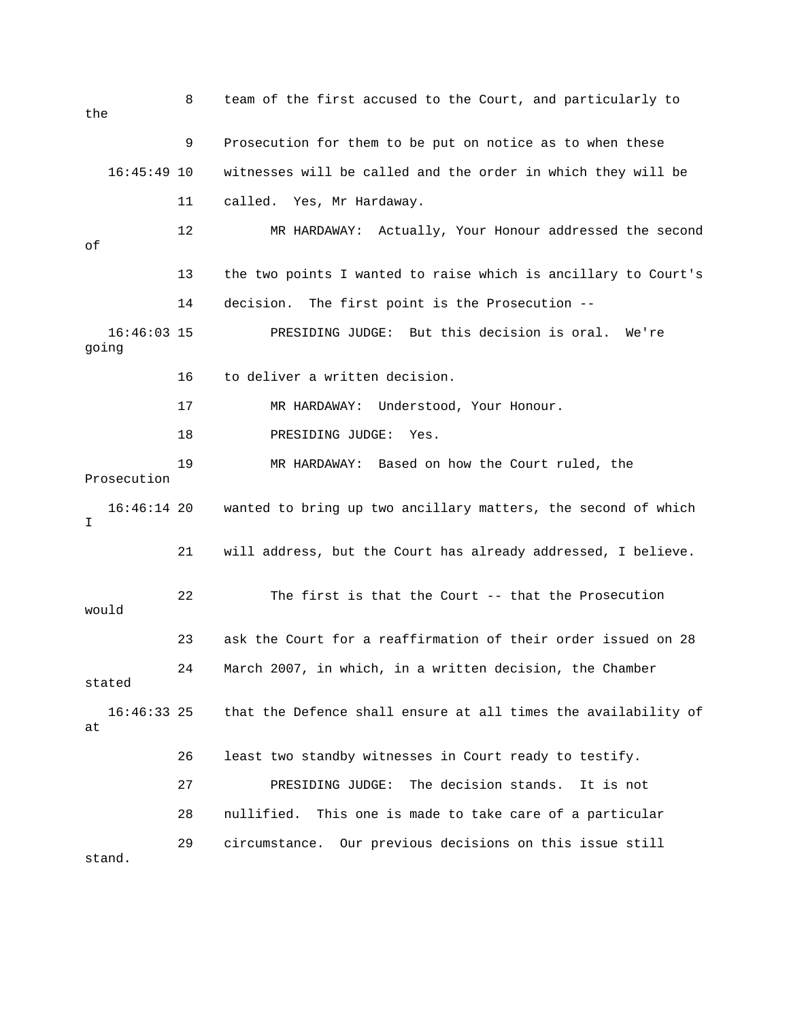8 team of the first accused to the Court, and particularly to 9 Prosecution for them to be put on notice as to when these 16:45:49 10 witnesses will be called and the order in which they will be 12 MR HARDAWAY: Actually, Your Honour addressed the second 13 the two points I wanted to raise which is ancillary to Court's 17 MR HARDAWAY: Understood, Your Honour. 18 PRESIDING JUDGE: Yes. 19 MR HARDAWAY: Based on how the Court ruled, the 22 The first is that the Court -- that the Prosecution 23 ask the Court for a reaffirmation of their order issued on 28 24 March 2007, in which, in a written decision, the Chamber 16:46:33 25 that the Defence shall ensure at all times the availability of 27 PRESIDING JUDGE: The decision stands. It is not the 11 called. Yes, Mr Hardaway. of 14 decision. The first point is the Prosecution -- 16:46:03 15 PRESIDING JUDGE: But this decision is oral. We're going 16 to deliver a written decision. Prosecution 16:46:14 20 wanted to bring up two ancillary matters, the second of which I 21 will address, but the Court has already addressed, I believe. would stated at 26 least two standby witnesses in Court ready to testify. 28 nullified. This one is made to take care of a particular 29 circumstance. Our previous decisions on this issue still stand.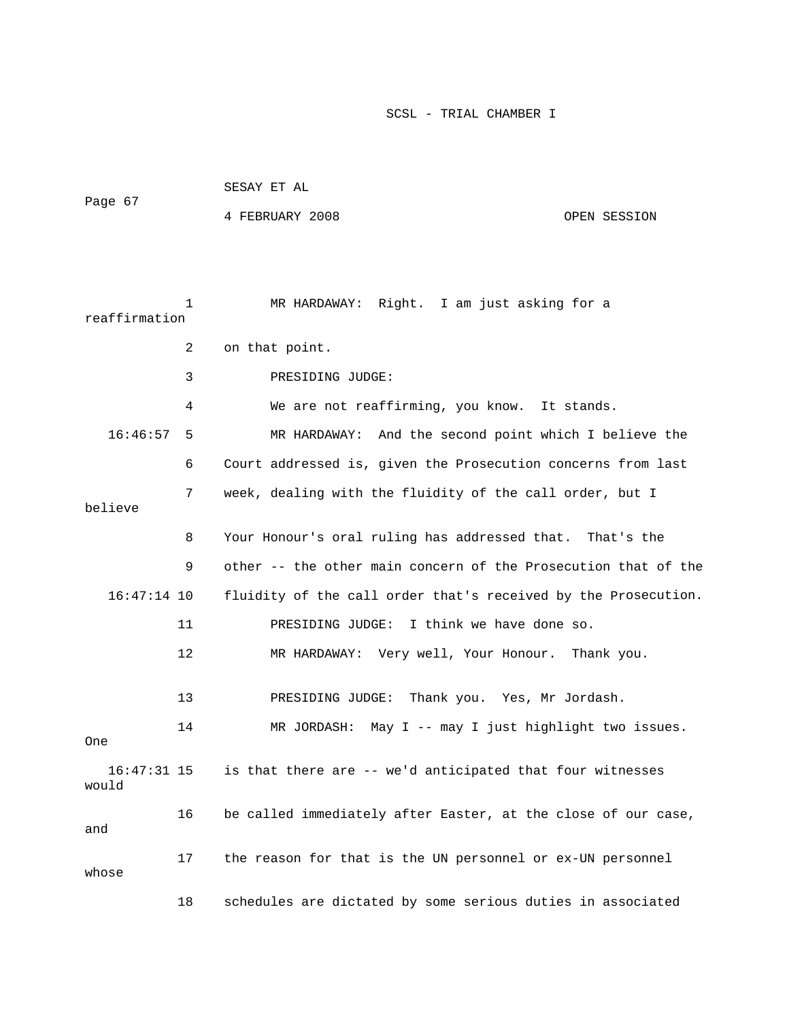| Page 67                |    | SESAY ET AL                                                    |              |
|------------------------|----|----------------------------------------------------------------|--------------|
|                        |    | 4 FEBRUARY 2008                                                | OPEN SESSION |
|                        |    |                                                                |              |
|                        |    |                                                                |              |
| reaffirmation          | 1  | MR HARDAWAY: Right. I am just asking for a                     |              |
|                        | 2  | on that point.                                                 |              |
|                        | 3  | PRESIDING JUDGE:                                               |              |
|                        | 4  | We are not reaffirming, you know. It stands.                   |              |
| 16:46:57               | 5  | MR HARDAWAY: And the second point which I believe the          |              |
|                        | 6  | Court addressed is, given the Prosecution concerns from last   |              |
| believe                | 7  | week, dealing with the fluidity of the call order, but I       |              |
|                        | 8  | Your Honour's oral ruling has addressed that. That's the       |              |
|                        | 9  | other -- the other main concern of the Prosecution that of the |              |
| $16:47:14$ 10          |    | fluidity of the call order that's received by the Prosecution. |              |
|                        | 11 | I think we have done so.<br>PRESIDING JUDGE:                   |              |
|                        | 12 | MR HARDAWAY: Very well, Your Honour. Thank you.                |              |
|                        | 13 | Thank you. Yes, Mr Jordash.<br>PRESIDING JUDGE:                |              |
| One                    | 14 | May I -- may I just highlight two issues.<br>MR JORDASH:       |              |
| $16:47:31$ 15<br>would |    | is that there are -- we'd anticipated that four witnesses      |              |
| and                    | 16 | be called immediately after Easter, at the close of our case,  |              |
| whose                  | 17 | the reason for that is the UN personnel or ex-UN personnel     |              |
|                        | 18 | schedules are dictated by some serious duties in associated    |              |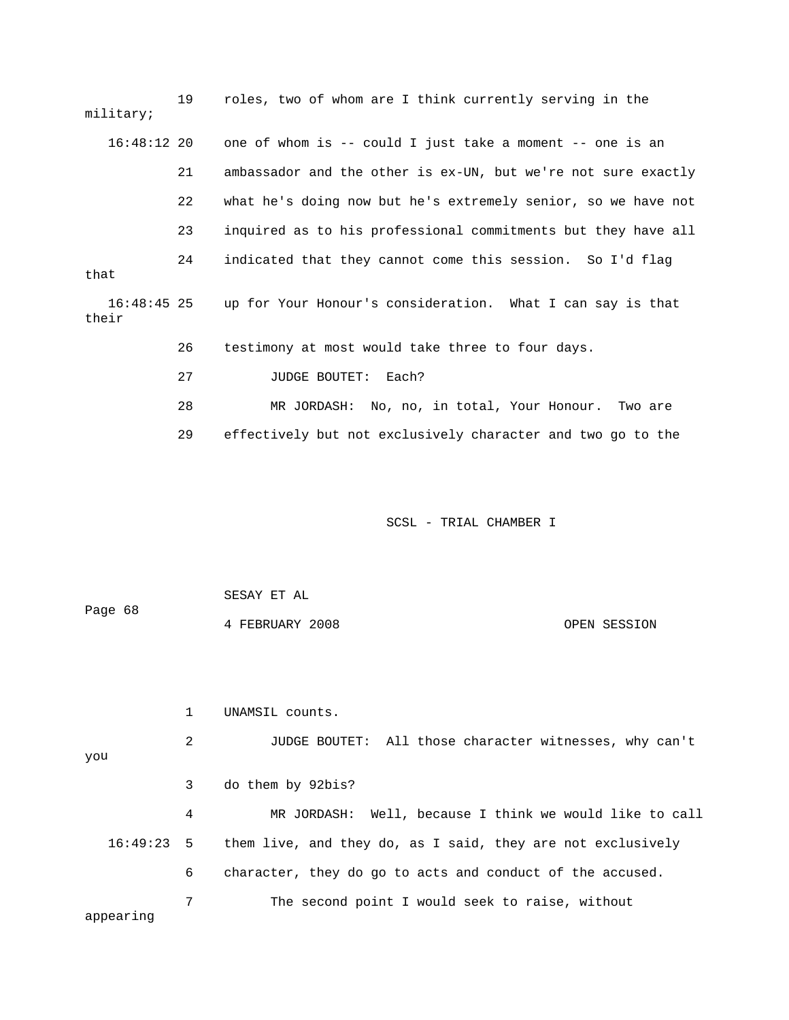| military;            | 19 | roles, two of whom are I think currently serving in the       |
|----------------------|----|---------------------------------------------------------------|
| $16:48:12$ 20        |    | one of whom is -- could I just take a moment -- one is an     |
|                      | 21 | ambassador and the other is ex-UN, but we're not sure exactly |
|                      | 22 | what he's doing now but he's extremely senior, so we have not |
|                      | 23 | inquired as to his professional commitments but they have all |
| that                 | 24 | indicated that they cannot come this session. So I'd flag     |
| 16:48:45 25<br>their |    | up for Your Honour's consideration. What I can say is that    |
|                      | 26 | testimony at most would take three to four days.              |
|                      | 27 | Each?<br><b>JUDGE BOUTET:</b>                                 |
|                      | 28 | MR JORDASH: No, no, in total, Your Honour. Two are            |
|                      | 29 | effectively but not exclusively character and two go to the   |

| Page 68 | SESAY ET AL     |              |
|---------|-----------------|--------------|
|         | 4 FEBRUARY 2008 | OPEN SESSION |

you 3 do them by 92bis? 4 MR JORDASH: Well, because I think we would like to call 16:49:23 5 them live, and they do, as I said, they are not exclusively 6 character, they do go to acts and conduct of the accused. appearing 1 UNAMSIL counts. 2 JUDGE BOUTET: All those character witnesses, why can't 7 The second point I would seek to raise, without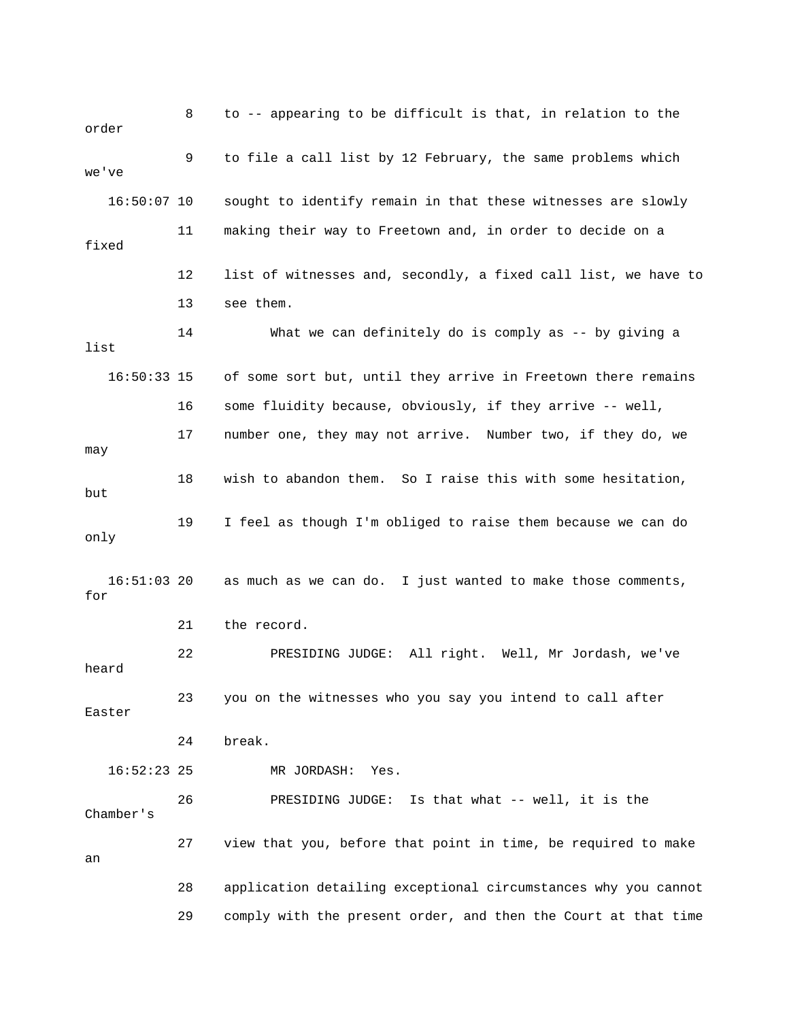or der 8 to -- appearing to be difficult is that, in relation to the 9 to file a call list by 12 February, the same problems which 've we 16:50:07 10 sought to identify remain in that these witnesses are slowly 11 making their way to Freetown and, in order to decide on a 12 list of witnesses and, secondly, a fixed call list, we have to list 16:50:33 15 of some sort but, until they arrive in Freetown there remains 16 some fluidity because, obviously, if they arrive -- well, 17 number one, they may not arrive. Number two, if they do, we may 18 wish to abandon them. So I raise this with some hesitation, but 19 I feel as though I'm obliged to raise them because we can do only 16:51:03 20 as much as we can do. I just wanted to make those comments, DING JUDGE: All right. Well, Mr Jordash, we've 22 PRESI heard 23 you on the witnesses who you say you intend to call after Easter 24 break. 29 comply with the present order, and then the Court at that time fixed 13 see them. 14 What we can definitely do is comply as -- by giving a for 21 the record. 16:52:23 25 MR JORDASH: Yes. 26 PRESIDING JUDGE: Is that what -- well, it is the Chamber's 27 view that you, before that point in time, be required to make an 28 application detailing exceptional circumstances why you cannot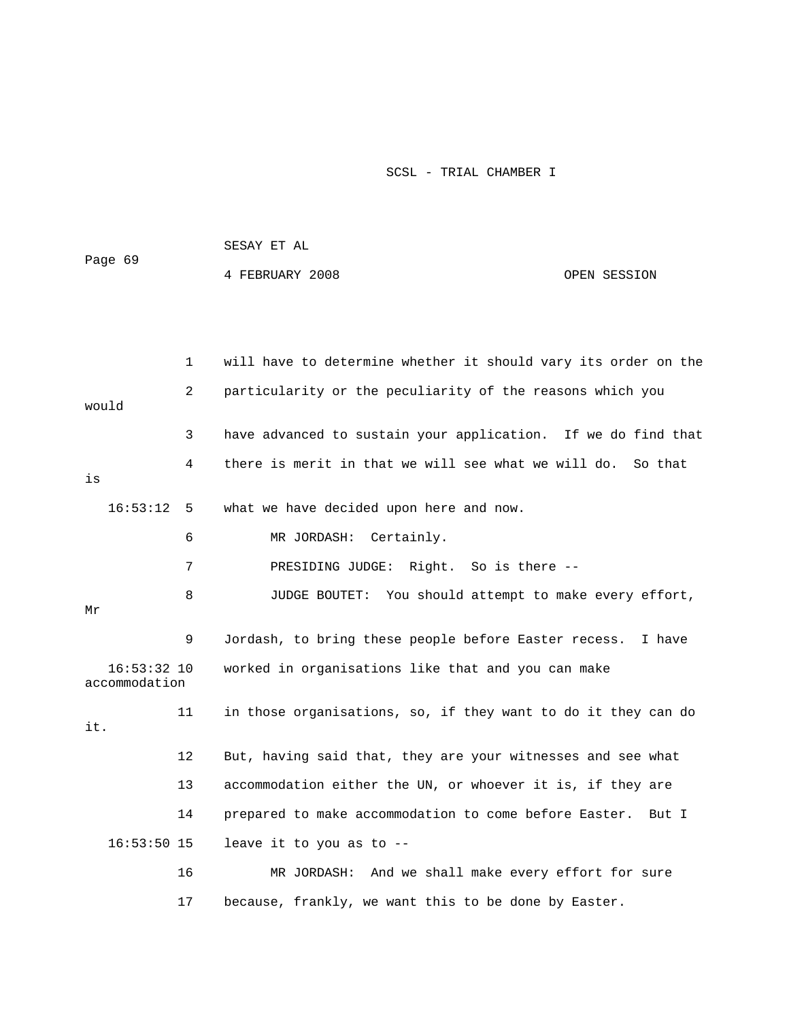| Page 69                        |    | 4 FEBRUARY 2008                                            | OPEN SESSION                                                   |
|--------------------------------|----|------------------------------------------------------------|----------------------------------------------------------------|
|                                |    |                                                            |                                                                |
|                                | 1  |                                                            | will have to determine whether it should vary its order on the |
| would                          | 2  | particularity or the peculiarity of the reasons which you  |                                                                |
|                                | 3  |                                                            | have advanced to sustain your application. If we do find that  |
| is                             | 4  |                                                            | there is merit in that we will see what we will do. So that    |
| 16:53:12                       | 5  | what we have decided upon here and now.                    |                                                                |
|                                | 6  | MR JORDASH:<br>Certainly.                                  |                                                                |
|                                | 7  | PRESIDING JUDGE:                                           | Right. So is there --                                          |
| Mr                             | 8  |                                                            | JUDGE BOUTET: You should attempt to make every effort,         |
|                                | 9  |                                                            | Jordash, to bring these people before Easter recess. I have    |
| $16:53:32$ 10<br>accommodation |    | worked in organisations like that and you can make         |                                                                |
| it.                            | 11 |                                                            | in those organisations, so, if they want to do it they can do  |
|                                | 12 |                                                            | But, having said that, they are your witnesses and see what    |
|                                | 13 | accommodation either the UN, or whoever it is, if they are |                                                                |
|                                | 14 | prepared to make accommodation to come before Easter.      | But I                                                          |
| $16:53:50$ 15                  |    | leave it to you as to --                                   |                                                                |
|                                | 16 |                                                            | MR JORDASH: And we shall make every effort for sure            |
|                                | 17 | because, frankly, we want this to be done by Easter.       |                                                                |

SESAY ET AL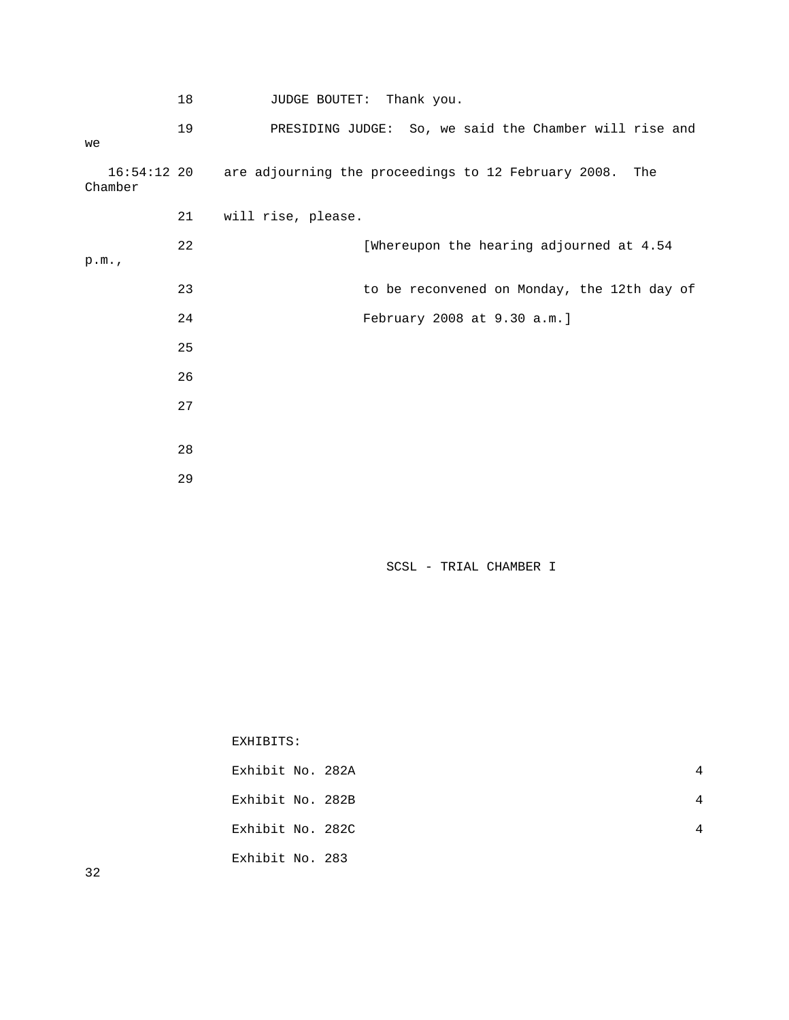|         | 18 | JUDGE BOUTET: Thank you.                                            |
|---------|----|---------------------------------------------------------------------|
| we      | 19 | PRESIDING JUDGE: So, we said the Chamber will rise and              |
| Chamber |    | 16:54:12 20 are adjourning the proceedings to 12 February 2008. The |
|         | 21 | will rise, please.                                                  |
| p.m.    | 22 | [Whereupon the hearing adjourned at 4.54                            |
|         | 23 | to be reconvened on Monday, the 12th day of                         |
|         | 24 | February 2008 at 9.30 a.m.]                                         |
|         | 25 |                                                                     |
|         | 26 |                                                                     |
|         | 27 |                                                                     |
|         |    |                                                                     |
|         | 28 |                                                                     |
|         | 29 |                                                                     |

| EXHIBITS:        |   |
|------------------|---|
| Exhibit No. 282A | 4 |
| Exhibit No. 282B | 4 |
| Exhibit No. 282C | 4 |
| Exhibit No. 283  |   |